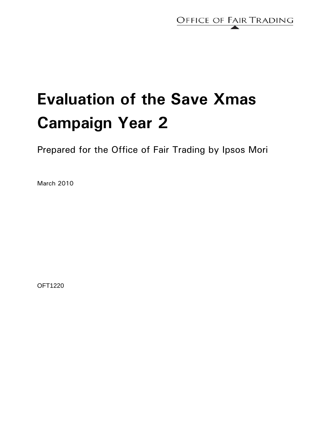

# **Evaluation of the Save Xmas Campaign Year 2**

Prepared for the Office of Fair Trading by Ipsos Mori

March 2010

OFT1220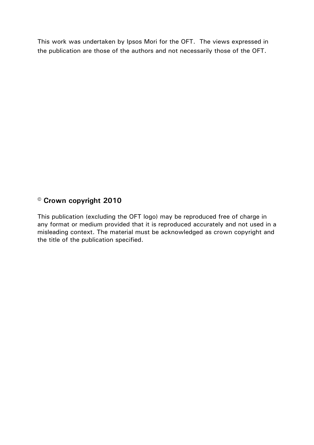This work was undertaken by Ipsos Mori for the OFT. The views expressed in the publication are those of the authors and not necessarily those of the OFT.

# **© Crown copyright 2010**

This publication (excluding the OFT logo) may be reproduced free of charge in any format or medium provided that it is reproduced accurately and not used in a misleading context. The material must be acknowledged as crown copyright and the title of the publication specified.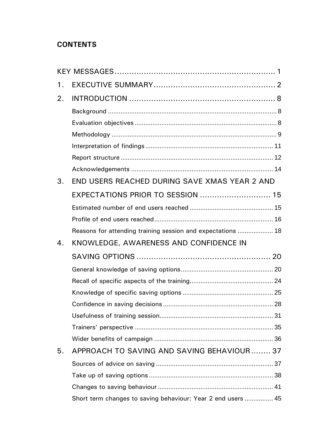# **CONTENTS**

| 1. |                                                              |  |
|----|--------------------------------------------------------------|--|
| 2. |                                                              |  |
|    |                                                              |  |
|    |                                                              |  |
|    |                                                              |  |
|    |                                                              |  |
|    |                                                              |  |
|    |                                                              |  |
| 3. | END USERS REACHED DURING SAVE XMAS YEAR 2 AND                |  |
|    | EXPECTATIONS PRIOR TO SESSION  15                            |  |
|    |                                                              |  |
|    |                                                              |  |
|    | Reasons for attending training session and expectations  18  |  |
| 4. | KNOWLEDGE, AWARENESS AND CONFIDENCE IN                       |  |
|    |                                                              |  |
|    |                                                              |  |
|    |                                                              |  |
|    |                                                              |  |
|    |                                                              |  |
|    |                                                              |  |
|    |                                                              |  |
|    |                                                              |  |
| 5. | APPROACH TO SAVING AND SAVING BEHAVIOUR 37                   |  |
|    |                                                              |  |
|    |                                                              |  |
|    |                                                              |  |
|    | Short term changes to saving behaviour: Year 2 end users  45 |  |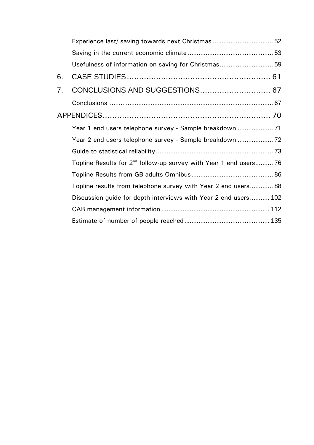|    | Experience last/ saving towards next Christmas  52                            |  |
|----|-------------------------------------------------------------------------------|--|
|    |                                                                               |  |
|    | Usefulness of information on saving for Christmas 59                          |  |
| 6. |                                                                               |  |
| 7. | CONCLUSIONS AND SUGGESTIONS 67                                                |  |
|    |                                                                               |  |
|    |                                                                               |  |
|    | Year 1 end users telephone survey - Sample breakdown  71                      |  |
|    | Year 2 end users telephone survey - Sample breakdown                          |  |
|    |                                                                               |  |
|    | Topline Results for 2 <sup>nd</sup> follow-up survey with Year 1 end users 76 |  |
|    |                                                                               |  |
|    | Topline results from telephone survey with Year 2 end users 88                |  |
|    | Discussion guide for depth interviews with Year 2 end users 102               |  |
|    |                                                                               |  |
|    |                                                                               |  |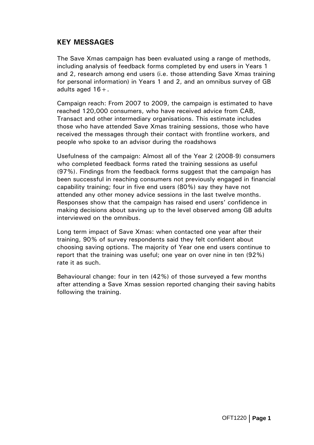# <span id="page-6-0"></span>**KEY MESSAGES**

The Save Xmas campaign has been evaluated using a range of methods, including analysis of feedback forms completed by end users in Years 1 and 2, research among end users (i.e. those attending Save Xmas training for personal information) in Years 1 and 2, and an omnibus survey of GB adults aged  $16 +$ .

Campaign reach: From 2007 to 2009, the campaign is estimated to have reached 120,000 consumers, who have received advice from CAB, Transact and other intermediary organisations. This estimate includes those who have attended Save Xmas training sessions, those who have received the messages through their contact with frontline workers, and people who spoke to an advisor during the roadshows

Usefulness of the campaign: Almost all of the Year 2 (2008-9) consumers who completed feedback forms rated the training sessions as useful (97%). Findings from the feedback forms suggest that the campaign has been successful in reaching consumers not previously engaged in financial capability training; four in five end users (80%) say they have not attended any other money advice sessions in the last twelve months. Responses show that the campaign has raised end users' confidence in making decisions about saving up to the level observed among GB adults interviewed on the omnibus.

Long term impact of Save Xmas: when contacted one year after their training, 90% of survey respondents said they felt confident about choosing saving options. The majority of Year one end users continue to report that the training was useful; one year on over nine in ten (92%) rate it as such.

Behavioural change: four in ten (42%) of those surveyed a few months after attending a Save Xmas session reported changing their saving habits following the training.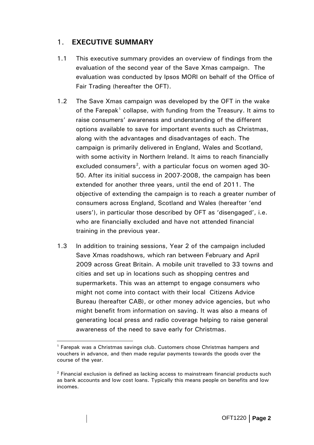# <span id="page-7-0"></span>1. **EXECUTIVE SUMMARY**

- 1.1 This executive summary provides an overview of findings from the evaluation of the second year of the Save Xmas campaign. The evaluation was conducted by Ipsos MORI on behalf of the Office of Fair Trading (hereafter the OFT).
- 1.2 The Save Xmas campaign was developed by the OFT in the wake of the Farepak<sup>[1](#page-7-1)</sup> collapse, with funding from the Treasury. It aims to raise consumers' awareness and understanding of the different options available to save for important events such as Christmas, along with the advantages and disadvantages of each. The campaign is primarily delivered in England, Wales and Scotland, with some activity in Northern Ireland. It aims to reach financially excluded consumers<sup>[2](#page-7-2)</sup>, with a particular focus on women aged 30-50. After its initial success in 2007-2008, the campaign has been extended for another three years, until the end of 2011. The objective of extending the campaign is to reach a greater number of consumers across England, Scotland and Wales (hereafter 'end users'), in particular those described by OFT as 'disengaged', i.e. who are financially excluded and have not attended financial training in the previous year.
- 1.3 In addition to training sessions, Year 2 of the campaign included Save Xmas roadshows, which ran between February and April 2009 across Great Britain. A mobile unit travelled to 33 towns and cities and set up in locations such as shopping centres and supermarkets. This was an attempt to engage consumers who might not come into contact with their local Citizens Advice Bureau (hereafter CAB), or other money advice agencies, but who might benefit from information on saving. It was also a means of generating local press and radio coverage helping to raise general awareness of the need to save early for Christmas.

 $\overline{a}$ 

<span id="page-7-1"></span><sup>&</sup>lt;sup>1</sup> Farepak was a Christmas savings club. Customers chose Christmas hampers and vouchers in advance, and then made regular payments towards the goods over the course of the year.

<span id="page-7-2"></span> $2$  Financial exclusion is defined as lacking access to mainstream financial products such as bank accounts and low cost loans. Typically this means people on benefits and low incomes.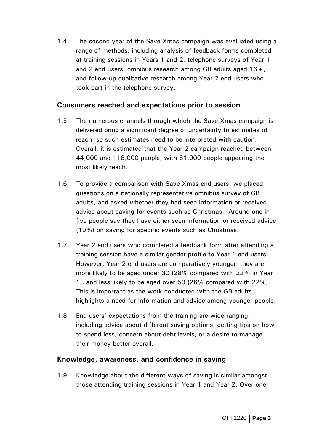1.4 The second year of the Save Xmas campaign was evaluated using a range of methods, including analysis of feedback forms completed at training sessions in Years 1 and 2, telephone surveys of Year 1 and 2 end users, omnibus research among GB adults aged  $16 +$ , and follow-up qualitative research among Year 2 end users who took part in the telephone survey.

#### **Consumers reached and expectations prior to session**

- 1.5 The numerous channels through which the Save Xmas campaign is delivered bring a significant degree of uncertainty to estimates of reach, so such estimates need to be interpreted with caution. Overall, it is estimated that the Year 2 campaign reached between 44,000 and 118,000 people, with 81,000 people appearing the most likely reach.
- 1.6 To provide a comparison with Save Xmas end users, we placed questions on a nationally representative omnibus survey of GB adults, and asked whether they had seen information or received advice about saving for events such as Christmas. Around one in five people say they have either seen information or received advice (19%) on saving for specific events such as Christmas.
- 1.7 Year 2 end users who completed a feedback form after attending a training session have a similar gender profile to Year 1 end users. However, Year 2 end users are comparatively younger: they are more likely to be aged under 30 (28% compared with 22% in Year 1), and less likely to be aged over 50 (26% compared with 22%). This is important as the work conducted with the GB adults highlights a need for information and advice among younger people.
- 1.8 End users' expectations from the training are wide ranging, including advice about different saving options, getting tips on how to spend less, concern about debt levels, or a desire to manage their money better overall.

## **Knowledge, awareness, and confidence in saving**

1.9 Knowledge about the different ways of saving is similar amongst those attending training sessions in Year 1 and Year 2. Over one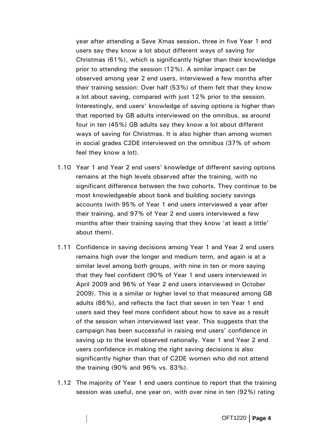year after attending a Save Xmas session, three in five Year 1 end users say they know a lot about different ways of saving for Christmas (61%), which is significantly higher than their knowledge prior to attending the session (12%). A similar impact can be observed among year 2 end users, interviewed a few months after their training session: Over half (53%) of them felt that they know a lot about saving, compared with just 12% prior to the session. Interestingly, end users' knowledge of saving options is higher than that reported by GB adults interviewed on the omnibus, as around four in ten (45%) GB adults say they know a lot about different ways of saving for Christmas. It is also higher than among women in social grades C2DE interviewed on the omnibus (37% of whom feel they know a lot).

- 1.10 Year 1 and Year 2 end users' knowledge of different saving options remains at the high levels observed after the training, with no significant difference between the two cohorts. They continue to be most knowledgeable about bank and building society savings accounts (with 95% of Year 1 end users interviewed a year after their training, and 97% of Year 2 end users interviewed a few months after their training saying that they know 'at least a little' about them).
- 1.11 Confidence in saving decisions among Year 1 and Year 2 end users remains high over the longer and medium term, and again is at a similar level among both groups, with nine in ten or more saying that they feel confident (90% of Year 1 end users interviewed in April 2009 and 96% of Year 2 end users interviewed in October 2009). This is a similar or higher level to that measured among GB adults (86%), and reflects the fact that seven in ten Year 1 end users said they feel more confident about how to save as a result of the session when interviewed last year. This suggests that the campaign has been successful in raising end users' confidence in saving up to the level observed nationally. Year 1 and Year 2 end users confidence in making the right saving decisions is also significantly higher than that of C2DE women who did not attend the training (90% and 96% vs. 83%).
- 1.12 The majority of Year 1 end users continue to report that the training session was useful, one year on, with over nine in ten (92%) rating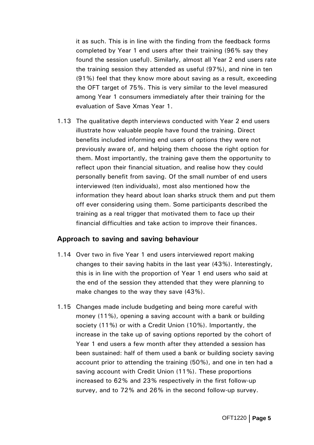it as such. This is in line with the finding from the feedback forms completed by Year 1 end users after their training (96% say they found the session useful). Similarly, almost all Year 2 end users rate the training session they attended as useful (97%), and nine in ten (91%) feel that they know more about saving as a result, exceeding the OFT target of 75%. This is very similar to the level measured among Year 1 consumers immediately after their training for the evaluation of Save Xmas Year 1.

1.13 The qualitative depth interviews conducted with Year 2 end users illustrate how valuable people have found the training. Direct benefits included informing end users of options they were not previously aware of, and helping them choose the right option for them. Most importantly, the training gave them the opportunity to reflect upon their financial situation, and realise how they could personally benefit from saving. Of the small number of end users interviewed (ten individuals), most also mentioned how the information they heard about loan sharks struck them and put them off ever considering using them. Some participants described the training as a real trigger that motivated them to face up their financial difficulties and take action to improve their finances.

## **Approach to saving and saving behaviour**

- 1.14 Over two in five Year 1 end users interviewed report making changes to their saving habits in the last year (43%). Interestingly, this is in line with the proportion of Year 1 end users who said at the end of the session they attended that they were planning to make changes to the way they save (43%).
- 1.15 Changes made include budgeting and being more careful with money (11%), opening a saving account with a bank or building society (11%) or with a Credit Union (10%). Importantly, the increase in the take up of saving options reported by the cohort of Year 1 end users a few month after they attended a session has been sustained: half of them used a bank or building society saving account prior to attending the training (50%), and one in ten had a saving account with Credit Union (11%). These proportions increased to 62% and 23% respectively in the first follow-up survey, and to 72% and 26% in the second follow-up survey.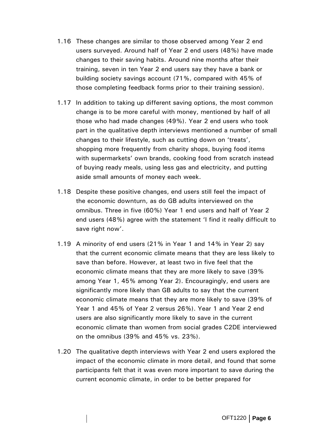- 1.16 These changes are similar to those observed among Year 2 end users surveyed. Around half of Year 2 end users (48%) have made changes to their saving habits. Around nine months after their training, seven in ten Year 2 end users say they have a bank or building society savings account (71%, compared with 45% of those completing feedback forms prior to their training session).
- 1.17 In addition to taking up different saving options, the most common change is to be more careful with money, mentioned by half of all those who had made changes (49%). Year 2 end users who took part in the qualitative depth interviews mentioned a number of small changes to their lifestyle, such as cutting down on 'treats', shopping more frequently from charity shops, buying food items with supermarkets' own brands, cooking food from scratch instead of buying ready meals, using less gas and electricity, and putting aside small amounts of money each week.
- 1.18 Despite these positive changes, end users still feel the impact of the economic downturn, as do GB adults interviewed on the omnibus. Three in five (60%) Year 1 end users and half of Year 2 end users (48%) agree with the statement 'I find it really difficult to save right now'.
- 1.19 A minority of end users (21% in Year 1 and 14% in Year 2) say that the current economic climate means that they are less likely to save than before. However, at least two in five feel that the economic climate means that they are more likely to save (39% among Year 1, 45% among Year 2). Encouragingly, end users are significantly more likely than GB adults to say that the current economic climate means that they are more likely to save (39% of Year 1 and 45% of Year 2 versus 26%). Year 1 and Year 2 end users are also significantly more likely to save in the current economic climate than women from social grades C2DE interviewed on the omnibus (39% and 45% vs. 23%).
- 1.20 The qualitative depth interviews with Year 2 end users explored the impact of the economic climate in more detail, and found that some participants felt that it was even more important to save during the current economic climate, in order to be better prepared for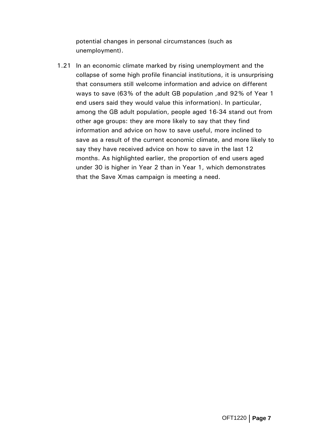potential changes in personal circumstances (such as unemployment).

1.21 In an economic climate marked by rising unemployment and the collapse of some high profile financial institutions, it is unsurprising that consumers still welcome information and advice on different ways to save (63% of the adult GB population ,and 92% of Year 1 end users said they would value this information). In particular, among the GB adult population, people aged 16-34 stand out from other age groups: they are more likely to say that they find information and advice on how to save useful, more inclined to save as a result of the current economic climate, and more likely to say they have received advice on how to save in the last 12 months. As highlighted earlier, the proportion of end users aged under 30 is higher in Year 2 than in Year 1, which demonstrates that the Save Xmas campaign is meeting a need.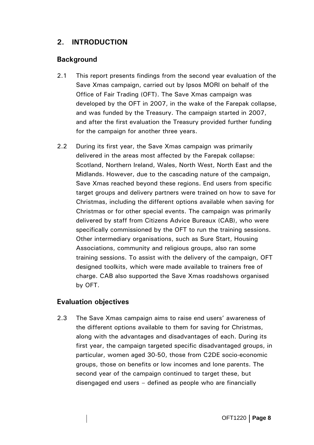# <span id="page-13-0"></span>**2. INTRODUCTION**

## **Background**

- 2.1 This report presents findings from the second year evaluation of the Save Xmas campaign, carried out by Ipsos MORI on behalf of the Office of Fair Trading (OFT). The Save Xmas campaign was developed by the OFT in 2007, in the wake of the Farepak collapse, and was funded by the Treasury. The campaign started in 2007, and after the first evaluation the Treasury provided further funding for the campaign for another three years.
- 2.2 During its first year, the Save Xmas campaign was primarily delivered in the areas most affected by the Farepak collapse: Scotland, Northern Ireland, Wales, North West, North East and the Midlands. However, due to the cascading nature of the campaign, Save Xmas reached beyond these regions. End users from specific target groups and delivery partners were trained on how to save for Christmas, including the different options available when saving for Christmas or for other special events. The campaign was primarily delivered by staff from Citizens Advice Bureaux (CAB), who were specifically commissioned by the OFT to run the training sessions. Other intermediary organisations, such as Sure Start, Housing Associations, community and religious groups, also ran some training sessions. To assist with the delivery of the campaign, OFT designed toolkits, which were made available to trainers free of charge. CAB also supported the Save Xmas roadshows organised by OFT.

## **Evaluation objectives**

2.3 The Save Xmas campaign aims to raise end users' awareness of the different options available to them for saving for Christmas, along with the advantages and disadvantages of each. During its first year, the campaign targeted specific disadvantaged groups, in particular, women aged 30-50, those from C2DE socio-economic groups, those on benefits or low incomes and lone parents. The second year of the campaign continued to target these, but disengaged end users – defined as people who are financially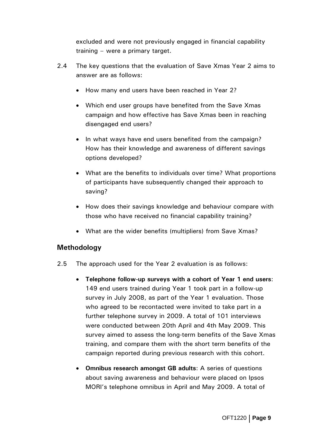<span id="page-14-0"></span>excluded and were not previously engaged in financial capability training – were a primary target.

- 2.4 The key questions that the evaluation of Save Xmas Year 2 aims to answer are as follows:
	- How many end users have been reached in Year 2?
	- Which end user groups have benefited from the Save Xmas campaign and how effective has Save Xmas been in reaching disengaged end users?
	- In what ways have end users benefited from the campaign? How has their knowledge and awareness of different savings options developed?
	- What are the benefits to individuals over time? What proportions of participants have subsequently changed their approach to saving?
	- How does their savings knowledge and behaviour compare with those who have received no financial capability training?
	- What are the wider benefits (multipliers) from Save Xmas?

# **Methodology**

- 2.5 The approach used for the Year 2 evaluation is as follows:
	- **Telephone follow-up surveys with a cohort of Year 1 end users**: 149 end users trained during Year 1 took part in a follow-up survey in July 2008, as part of the Year 1 evaluation. Those who agreed to be recontacted were invited to take part in a further telephone survey in 2009. A total of 101 interviews were conducted between 20th April and 4th May 2009. This survey aimed to assess the long-term benefits of the Save Xmas training, and compare them with the short term benefits of the campaign reported during previous research with this cohort.
	- **Omnibus research amongst GB adults**: A series of questions about saving awareness and behaviour were placed on Ipsos MORI's telephone omnibus in April and May 2009. A total of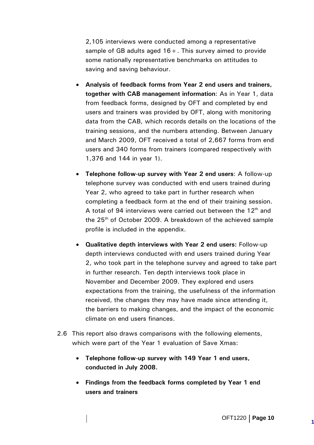2,105 interviews were conducted among a representative sample of GB adults aged  $16 +$ . This survey aimed to provide some nationally representative benchmarks on attitudes to saving and saving behaviour.

- **Analysis of feedback forms from Year 2 end users and trainers, together with CAB management information**: As in Year 1, data from feedback forms, designed by OFT and completed by end users and trainers was provided by OFT, along with monitoring data from the CAB, which records details on the locations of the training sessions, and the numbers attending. Between January and March 2009, OFT received a total of 2,667 forms from end users and 340 forms from trainers (compared respectively with 1,376 and 144 in year 1).
- **Telephone follow-up survey with Year 2 end users**: A follow-up telephone survey was conducted with end users trained during Year 2, who agreed to take part in further research when completing a feedback form at the end of their training session. A total of 94 interviews were carried out between the  $12<sup>th</sup>$  and the 25<sup>th</sup> of October 2009. A breakdown of the achieved sample profile is included in the appendix.
- **Qualitative depth interviews with Year 2 end users:** Follow-up depth interviews conducted with end users trained during Year 2, who took part in the telephone survey and agreed to take part in further research. Ten depth interviews took place in November and December 2009. They explored end users expectations from the training, the usefulness of the information received, the changes they may have made since attending it, the barriers to making changes, and the impact of the economic climate on end users finances.
- 2.6 This report also draws comparisons with the following elements, which were part of the Year 1 evaluation of Save Xmas:
	- **Telephone follow-up survey with 149 Year 1 end users, conducted in July 2008.**
	- **Findings from the feedback forms completed by Year 1 end users and trainers**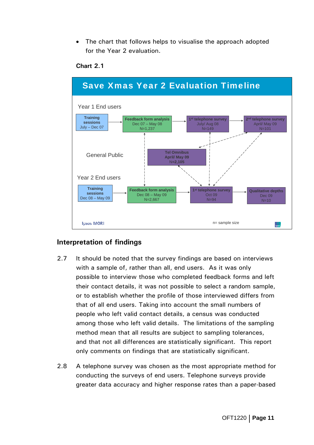<span id="page-16-0"></span>The chart that follows helps to visualise the approach adopted for the Year 2 evaluation.



#### **Chart 2.1**

## **Interpretation of findings**

- 2.7 It should be noted that the survey findings are based on interviews with a sample of, rather than all, end users. As it was only possible to interview those who completed feedback forms and left their contact details, it was not possible to select a random sample, or to establish whether the profile of those interviewed differs from that of all end users. Taking into account the small numbers of people who left valid contact details, a census was conducted among those who left valid details. The limitations of the sampling method mean that all results are subject to sampling tolerances, and that not all differences are statistically significant. This report only comments on findings that are statistically significant.
- 2.8 A telephone survey was chosen as the most appropriate method for conducting the surveys of end users. Telephone surveys provide greater data accuracy and higher response rates than a paper-based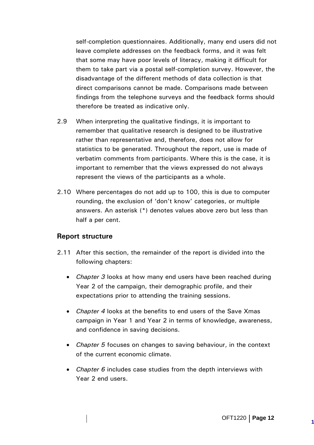<span id="page-17-0"></span>self-completion questionnaires. Additionally, many end users did not leave complete addresses on the feedback forms, and it was felt that some may have poor levels of literacy, making it difficult for them to take part via a postal self-completion survey. However, the disadvantage of the different methods of data collection is that direct comparisons cannot be made. Comparisons made between findings from the telephone surveys and the feedback forms should therefore be treated as indicative only.

- 2.9 When interpreting the qualitative findings, it is important to remember that qualitative research is designed to be illustrative rather than representative and, therefore, does not allow for statistics to be generated. Throughout the report, use is made of verbatim comments from participants. Where this is the case, it is important to remember that the views expressed do not always represent the views of the participants as a whole.
- 2.10 Where percentages do not add up to 100, this is due to computer rounding, the exclusion of 'don't know' categories, or multiple answers. An asterisk (\*) denotes values above zero but less than half a per cent.

#### **Report structure**

- 2.11 After this section, the remainder of the report is divided into the following chapters:
	- *Chapter 3* looks at how many end users have been reached during Year 2 of the campaign, their demographic profile, and their expectations prior to attending the training sessions.
	- *Chapter 4* looks at the benefits to end users of the Save Xmas campaign in Year 1 and Year 2 in terms of knowledge, awareness, and confidence in saving decisions.
	- *Chapter 5* focuses on changes to saving behaviour, in the context of the current economic climate.
	- *Chapter 6* includes case studies from the depth interviews with Year 2 end users.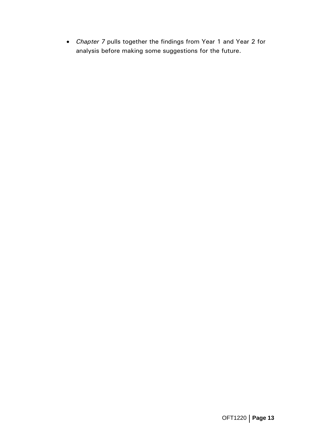• *Chapter 7* pulls together the findings from Year 1 and Year 2 for analysis before making some suggestions for the future.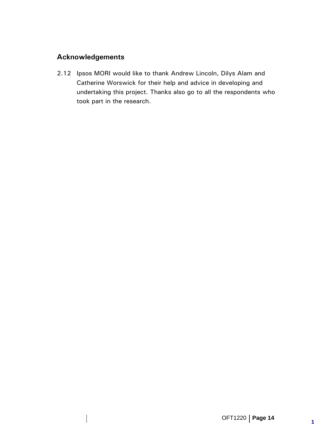# <span id="page-19-0"></span>**Acknowledgements**

2.12 Ipsos MORI would like to thank Andrew Lincoln, Dilys Alam and Catherine Worswick for their help and advice in developing and undertaking this project. Thanks also go to all the respondents who took part in the research.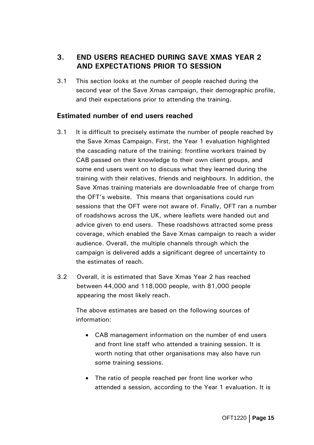# <span id="page-20-0"></span>**3. END USERS REACHED DURING SAVE XMAS YEAR 2 AND EXPECTATIONS PRIOR TO SESSION**

3.1 This section looks at the number of people reached during the second year of the Save Xmas campaign, their demographic profile, and their expectations prior to attending the training.

## **Estimated number of end users reached**

- 3.1 It is difficult to precisely estimate the number of people reached by the Save Xmas Campaign. First, the Year 1 evaluation highlighted the cascading nature of the training: frontline workers trained by CAB passed on their knowledge to their own client groups, and some end users went on to discuss what they learned during the training with their relatives, friends and neighbours. In addition, the Save Xmas training materials are downloadable free of charge from the OFT's website. This means that organisations could run sessions that the OFT were not aware of. Finally, OFT ran a number of roadshows across the UK, where leaflets were handed out and advice given to end users. These roadshows attracted some press coverage, which enabled the Save Xmas campaign to reach a wider audience. Overall, the multiple channels through which the campaign is delivered adds a significant degree of uncertainty to the estimates of reach.
- 3.2 Overall, it is estimated that Save Xmas Year 2 has reached between 44,000 and 118,000 people, with 81,000 people appearing the most likely reach.

The above estimates are based on the following sources of information:

- CAB management information on the number of end users and front line staff who attended a training session. It is worth noting that other organisations may also have run some training sessions.
- The ratio of people reached per front line worker who attended a session, according to the Year 1 evaluation. It is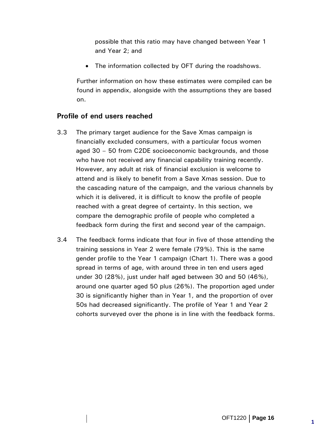<span id="page-21-0"></span>possible that this ratio may have changed between Year 1 and Year 2; and

• The information collected by OFT during the roadshows.

Further information on how these estimates were compiled can be found in appendix, alongside with the assumptions they are based on.

# **Profile of end users reached**

- 3.3 The primary target audience for the Save Xmas campaign is financially excluded consumers, with a particular focus women aged 30 – 50 from C2DE socioeconomic backgrounds, and those who have not received any financial capability training recently. However, any adult at risk of financial exclusion is welcome to attend and is likely to benefit from a Save Xmas session. Due to the cascading nature of the campaign, and the various channels by which it is delivered, it is difficult to know the profile of people reached with a great degree of certainty. In this section, we compare the demographic profile of people who completed a feedback form during the first and second year of the campaign.
- 3.4 The feedback forms indicate that four in five of those attending the training sessions in Year 2 were female (79%). This is the same gender profile to the Year 1 campaign (Chart 1). There was a good spread in terms of age, with around three in ten end users aged under 30 (28%), just under half aged between 30 and 50 (46%), around one quarter aged 50 plus (26%). The proportion aged under 30 is significantly higher than in Year 1, and the proportion of over 50s had decreased significantly. The profile of Year 1 and Year 2 cohorts surveyed over the phone is in line with the feedback forms.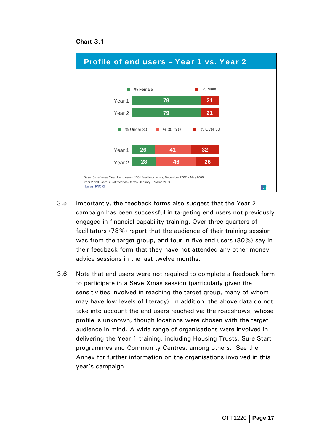



- 3.5 Importantly, the feedback forms also suggest that the Year 2 campaign has been successful in targeting end users not previously engaged in financial capability training. Over three quarters of facilitators (78%) report that the audience of their training session was from the target group, and four in five end users (80%) say in their feedback form that they have not attended any other money advice sessions in the last twelve months.
- 3.6 Note that end users were not required to complete a feedback form to participate in a Save Xmas session (particularly given the sensitivities involved in reaching the target group, many of whom may have low levels of literacy). In addition, the above data do not take into account the end users reached via the roadshows, whose profile is unknown, though locations were chosen with the target audience in mind. A wide range of organisations were involved in delivering the Year 1 training, including Housing Trusts, Sure Start programmes and Community Centres, among others. See the Annex for further information on the organisations involved in this year's campaign.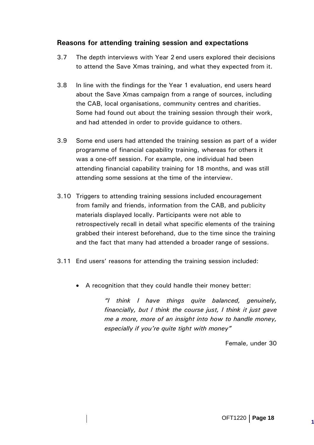# <span id="page-23-0"></span>**Reasons for attending training session and expectations**

- 3.7 The depth interviews with Year 2 end users explored their decisions to attend the Save Xmas training, and what they expected from it.
- 3.8 In line with the findings for the Year 1 evaluation, end users heard about the Save Xmas campaign from a range of sources, including the CAB, local organisations, community centres and charities. Some had found out about the training session through their work, and had attended in order to provide guidance to others.
- 3.9 Some end users had attended the training session as part of a wider programme of financial capability training, whereas for others it was a one-off session. For example, one individual had been attending financial capability training for 18 months, and was still attending some sessions at the time of the interview.
- 3.10 Triggers to attending training sessions included encouragement from family and friends, information from the CAB, and publicity materials displayed locally. Participants were not able to retrospectively recall in detail what specific elements of the training grabbed their interest beforehand, due to the time since the training and the fact that many had attended a broader range of sessions.
- 3.11 End users' reasons for attending the training session included:
	- A recognition that they could handle their money better:

*"I think I have things quite balanced, genuinely, financially, but I think the course just, I think it just gave me a more, more of an insight into how to handle money, especially if you're quite tight with money"* 

Female, under 30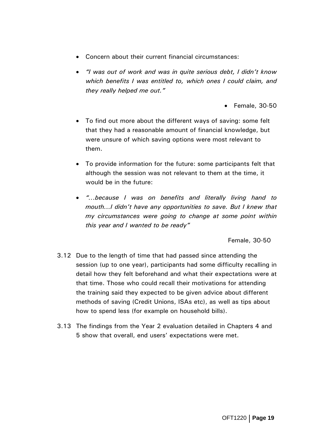- Concern about their current financial circumstances:
- *"I was out of work and was in quite serious debt, I didn't know which benefits I was entitled to, which ones I could claim, and they really helped me out."* 
	- Female, 30-50
- To find out more about the different ways of saving: some felt that they had a reasonable amount of financial knowledge, but were unsure of which saving options were most relevant to them.
- To provide information for the future: some participants felt that although the session was not relevant to them at the time, it would be in the future:
- *"…because I was on benefits and literally living hand to mouth...I didn't have any opportunities to save. But I knew that my circumstances were going to change at some point within this year and I wanted to be ready"*

Female, 30-50

- 3.12 Due to the length of time that had passed since attending the session (up to one year), participants had some difficulty recalling in detail how they felt beforehand and what their expectations were at that time. Those who could recall their motivations for attending the training said they expected to be given advice about different methods of saving (Credit Unions, ISAs etc), as well as tips about how to spend less (for example on household bills).
- 3.13 The findings from the Year 2 evaluation detailed in Chapters 4 and 5 show that overall, end users' expectations were met.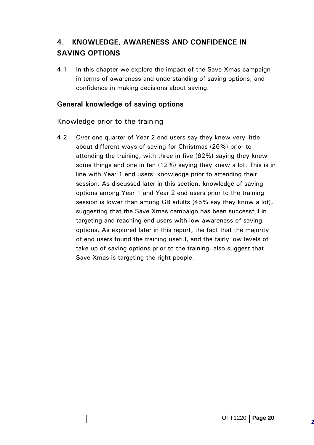# <span id="page-25-0"></span>**4. KNOWLEDGE, AWARENESS AND CONFIDENCE IN SAVING OPTIONS**

4.1 In this chapter we explore the impact of the Save Xmas campaign in terms of awareness and understanding of saving options, and confidence in making decisions about saving.

# **General knowledge of saving options**

Knowledge prior to the training

4.2 Over one quarter of Year 2 end users say they knew very little about different ways of saving for Christmas (26%) prior to attending the training, with three in five (62%) saying they knew some things and one in ten (12%) saying they knew a lot. This is in line with Year 1 end users' knowledge prior to attending their session. As discussed later in this section, knowledge of saving options among Year 1 and Year 2 end users prior to the training session is lower than among GB adults (45% say they know a lot), suggesting that the Save Xmas campaign has been successful in targeting and reaching end users with low awareness of saving options. As explored later in this report, the fact that the majority of end users found the training useful, and the fairly low levels of take up of saving options prior to the training, also suggest that Save Xmas is targeting the right people.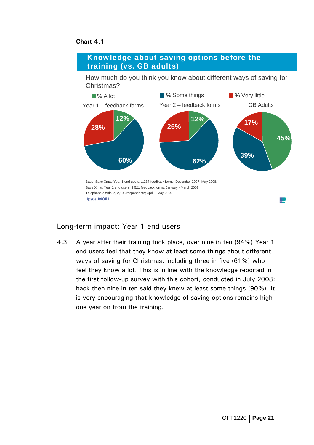**Chart 4.1** 



# Long-term impact: Year 1 end users

4.3 A year after their training took place, over nine in ten (94%) Year 1 end users feel that they know at least some things about different ways of saving for Christmas, including three in five (61%) who feel they know a lot. This is in line with the knowledge reported in the first follow-up survey with this cohort, conducted in July 2008: back then nine in ten said they knew at least some things (90%). It is very encouraging that knowledge of saving options remains high one year on from the training.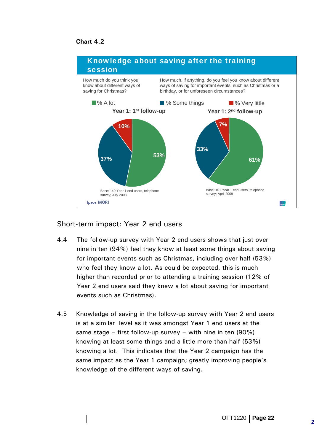#### **Chart 4.2**



# Short-term impact: Year 2 end users

- 4.4 The follow-up survey with Year 2 end users shows that just over nine in ten (94%) feel they know at least some things about saving for important events such as Christmas, including over half (53%) who feel they know a lot. As could be expected, this is much higher than recorded prior to attending a training session (12% of Year 2 end users said they knew a lot about saving for important events such as Christmas).
- 4.5 Knowledge of saving in the follow-up survey with Year 2 end users is at a similar level as it was amongst Year 1 end users at the same stage – first follow-up survey – with nine in ten (90%) knowing at least some things and a little more than half (53%) knowing a lot. This indicates that the Year 2 campaign has the same impact as the Year 1 campaign; greatly improving people's knowledge of the different ways of saving.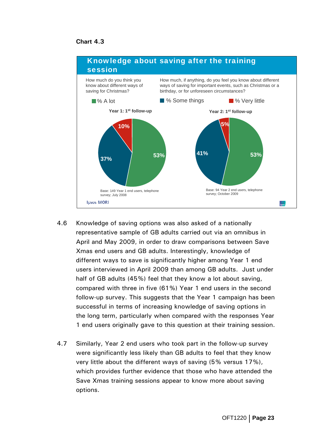

- 4.6 Knowledge of saving options was also asked of a nationally representative sample of GB adults carried out via an omnibus in April and May 2009, in order to draw comparisons between Save Xmas end users and GB adults. Interestingly, knowledge of different ways to save is significantly higher among Year 1 end users interviewed in April 2009 than among GB adults. Just under half of GB adults (45%) feel that they know a lot about saving, compared with three in five (61%) Year 1 end users in the second follow-up survey. This suggests that the Year 1 campaign has been successful in terms of increasing knowledge of saving options in the long term, particularly when compared with the responses Year 1 end users originally gave to this question at their training session.
- 4.7 Similarly, Year 2 end users who took part in the follow-up survey were significantly less likely than GB adults to feel that they know very little about the different ways of saving (5% versus 17%), which provides further evidence that those who have attended the Save Xmas training sessions appear to know more about saving options.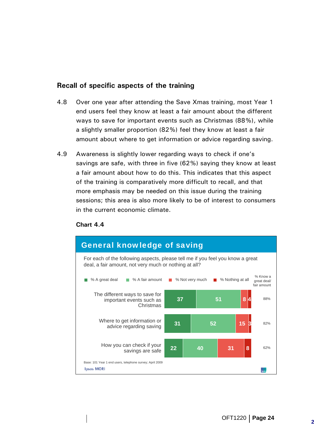# <span id="page-29-0"></span>**Recall of specific aspects of the training**

- 4.8 Over one year after attending the Save Xmas training, most Year 1 end users feel they know at least a fair amount about the different ways to save for important events such as Christmas (88%), while a slightly smaller proportion (82%) feel they know at least a fair amount about where to get information or advice regarding saving.
- 4.9 Awareness is slightly lower regarding ways to check if one's savings are safe, with three in five (62%) saying they know at least a fair amount about how to do this. This indicates that this aspect of the training is comparatively more difficult to recall, and that more emphasis may be needed on this issue during the training sessions; this area is also more likely to be of interest to consumers in the current economic climate.



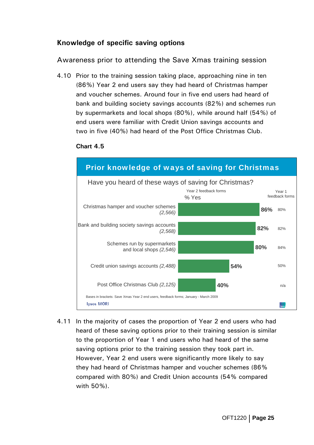# <span id="page-30-0"></span>**Knowledge of specific saving options**

Awareness prior to attending the Save Xmas training session

4.10 Prior to the training session taking place, approaching nine in ten (86%) Year 2 end users say they had heard of Christmas hamper and voucher schemes. Around four in five end users had heard of bank and building society savings accounts (82%) and schemes run by supermarkets and local shops (80%), while around half (54%) of end users were familiar with Credit Union savings accounts and two in five (40%) had heard of the Post Office Christmas Club.





4.11 In the majority of cases the proportion of Year 2 end users who had heard of these saving options prior to their training session is similar to the proportion of Year 1 end users who had heard of the same saving options prior to the training session they took part in. However, Year 2 end users were significantly more likely to say they had heard of Christmas hamper and voucher schemes (86% compared with 80%) and Credit Union accounts (54% compared with 50%).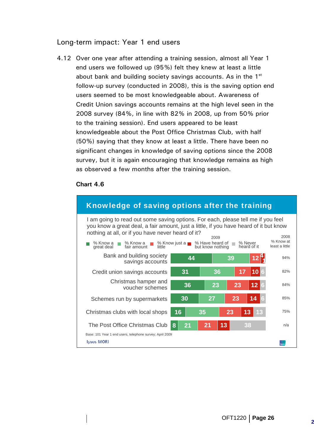# Long-term impact: Year 1 end users

4.12 Over one year after attending a training session, almost all Year 1 end users we followed up (95%) felt they knew at least a little about bank and building society savings accounts. As in the  $1<sup>st</sup>$ follow-up survey (conducted in 2008), this is the saving option end users seemed to be most knowledgeable about. Awareness of Credit Union savings accounts remains at the high level seen in the 2008 survey (84%, in line with 82% in 2008, up from 50% prior to the training session). End users appeared to be least knowledgeable about the Post Office Christmas Club, with half (50%) saying that they know at least a little. There have been no significant changes in knowledge of saving options since the 2008 survey, but it is again encouraging that knowledge remains as high as observed a few months after the training session.

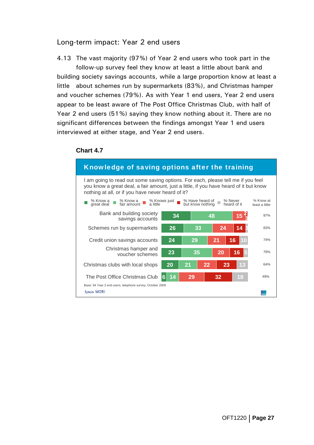#### Long-term impact: Year 2 end users

4.13 The vast majority (97%) of Year 2 end users who took part in the follow-up survey feel they know at least a little about bank and building society savings accounts, while a large proportion know at least a little about schemes run by supermarkets (83%), and Christmas hamper and voucher schemes (79%). As with Year 1 end users, Year 2 end users appear to be least aware of The Post Office Christmas Club, with half of Year 2 end users (51%) saying they know nothing about it. There are no significant differences between the findings amongst Year 1 end users interviewed at either stage, and Year 2 end users.

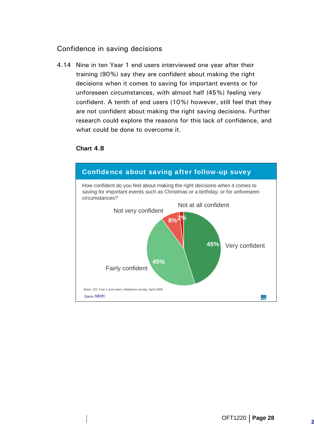# <span id="page-33-0"></span>Confidence in saving decisions

4.14 Nine in ten Year 1 end users interviewed one year after their training (90%) say they are confident about making the right decisions when it comes to saving for important events or for unforeseen circumstances, with almost half (45%) feeling very confident. A tenth of end users (10%) however, still feel that they are not confident about making the right saving decisions. Further research could explore the reasons for this lack of confidence, and what could be done to overcome it.

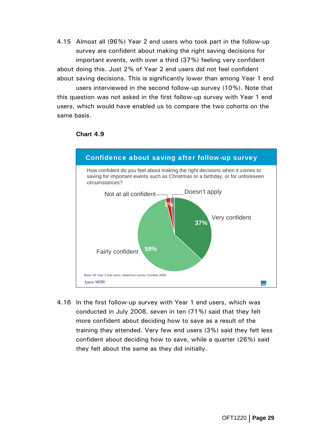4.15 Almost all (96%) Year 2 end users who took part in the follow-up survey are confident about making the right saving decisions for important events, with over a third (37%) feeling very confident about doing this. Just 2% of Year 2 end users did not feel confident about saving decisions. This is significantly lower than among Year 1 end

 users interviewed in the second follow-up survey (10%). Note that this question was not asked in the first follow-up survey with Year 1 end users, which would have enabled us to compare the two cohorts on the same basis.



#### **Chart 4.9**

4.16 In the first follow-up survey with Year 1 end users, which was conducted in July 2008, seven in ten (71%) said that they felt more confident about deciding how to save as a result of the training they attended. Very few end users (3%) said they felt less confident about deciding how to save, while a quarter (26%) said they felt about the same as they did initially.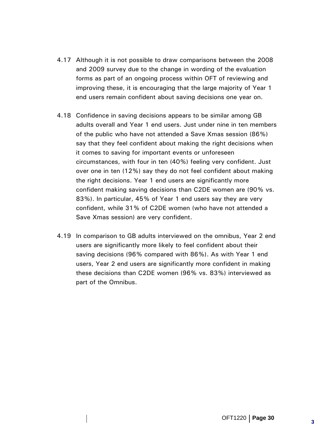- 4.17 Although it is not possible to draw comparisons between the 2008 and 2009 survey due to the change in wording of the evaluation forms as part of an ongoing process within OFT of reviewing and improving these, it is encouraging that the large majority of Year 1 end users remain confident about saving decisions one year on.
- 4.18 Confidence in saving decisions appears to be similar among GB adults overall and Year 1 end users. Just under nine in ten members of the public who have not attended a Save Xmas session (86%) say that they feel confident about making the right decisions when it comes to saving for important events or unforeseen circumstances, with four in ten (40%) feeling very confident. Just over one in ten (12%) say they do not feel confident about making the right decisions. Year 1 end users are significantly more confident making saving decisions than C2DE women are (90% vs. 83%). In particular, 45% of Year 1 end users say they are very confident, while 31% of C2DE women (who have not attended a Save Xmas session) are very confident.
- 4.19 In comparison to GB adults interviewed on the omnibus, Year 2 end users are significantly more likely to feel confident about their saving decisions (96% compared with 86%). As with Year 1 end users, Year 2 end users are significantly more confident in making these decisions than C2DE women (96% vs. 83%) interviewed as part of the Omnibus.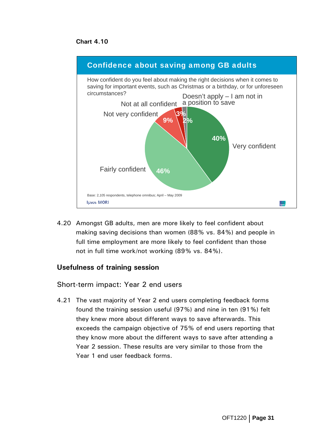**Chart 4.10** 



4.20 Amongst GB adults, men are more likely to feel confident about making saving decisions than women (88% vs. 84%) and people in full time employment are more likely to feel confident than those not in full time work/not working (89% vs. 84%).

## **Usefulness of training session**

Short-term impact: Year 2 end users

4.21 The vast majority of Year 2 end users completing feedback forms found the training session useful (97%) and nine in ten (91%) felt they knew more about different ways to save afterwards. This exceeds the campaign objective of 75% of end users reporting that they know more about the different ways to save after attending a Year 2 session. These results are very similar to those from the Year 1 end user feedback forms.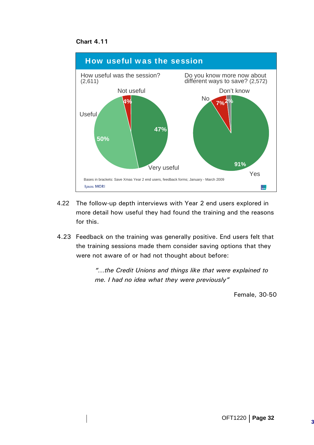



- 4.22 The follow-up depth interviews with Year 2 end users explored in more detail how useful they had found the training and the reasons for this.
- 4.23 Feedback on the training was generally positive. End users felt that the training sessions made them consider saving options that they were not aware of or had not thought about before:

*"…the Credit Unions and things like that were explained to me. I had no idea what they were previously"* 

Female, 30-50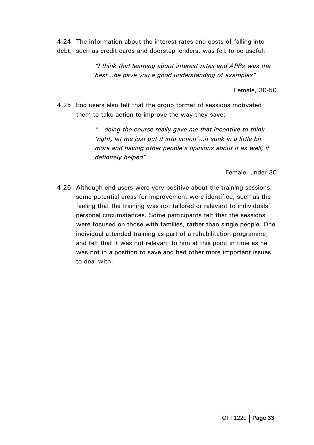4.24 The information about the interest rates and costs of falling into debt, such as credit cards and doorstep lenders, was felt to be useful:

> *"I think that learning about interest rates and APRs was the best…he gave you a good understanding of examples"*

> > Female, 30-50

4.25 End users also felt that the group format of sessions motivated them to take action to improve the way they save:

> *"…doing the course really gave me that incentive to think 'right, let me just put it into action'…it sunk in a little bit more and having other people's opinions about it as well, it definitely helped"*

> > Female, under 30

4.26 Although end users were very positive about the training sessions, some potential areas for improvement were identified, such as the feeling that the training was not tailored or relevant to individuals' personal circumstances. Some participants felt that the sessions were focused on those with families, rather than single people. One individual attended training as part of a rehabilitation programme, and felt that it was not relevant to him at this point in time as he was not in a position to save and had other more important issues to deal with.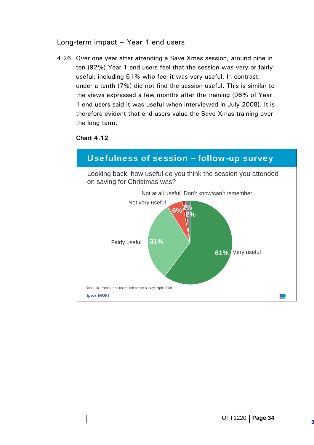## Long-term impact – Year 1 end users

4.26 Over one year after attending a Save Xmas session, around nine in ten (92%) Year 1 end users feel that the session was very or fairly useful; including 61% who feel it was very useful. In contrast, under a tenth (7%) did not find the session useful. This is similar to the views expressed a few months after the training (96% of Year 1 end users said it was useful when interviewed in July 2008). It is therefore evident that end users value the Save Xmas training over the long term.

### **Chart 4.12**

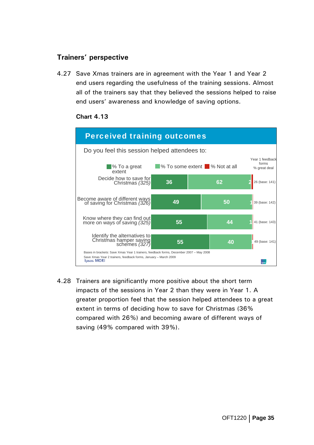# **Trainers' perspective**

4.27 Save Xmas trainers are in agreement with the Year 1 and Year 2 end users regarding the usefulness of the training sessions. Almost all of the trainers say that they believed the sessions helped to raise end users' awareness and knowledge of saving options.



#### **Chart 4.13**

4.28 Trainers are significantly more positive about the short term impacts of the sessions in Year 2 than they were in Year 1. A greater proportion feel that the session helped attendees to a great extent in terms of deciding how to save for Christmas (36% compared with 26%) and becoming aware of different ways of saving (49% compared with 39%).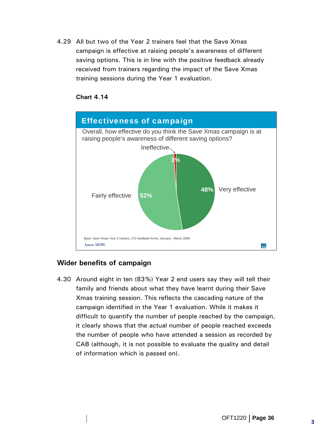4.29 All but two of the Year 2 trainers feel that the Save Xmas campaign is effective at raising people's awareness of different saving options. This is in line with the positive feedback already received from trainers regarding the impact of the Save Xmas training sessions during the Year 1 evaluation.



### **Chart 4.14**

## **Wider benefits of campaign**

4.30 Around eight in ten (83%) Year 2 end users say they will tell their family and friends about what they have learnt during their Save Xmas training session. This reflects the cascading nature of the campaign identified in the Year 1 evaluation. While it makes it difficult to quantify the number of people reached by the campaign, it clearly shows that the actual number of people reached exceeds the number of people who have attended a session as recorded by CAB (although, it is not possible to evaluate the quality and detail of information which is passed on).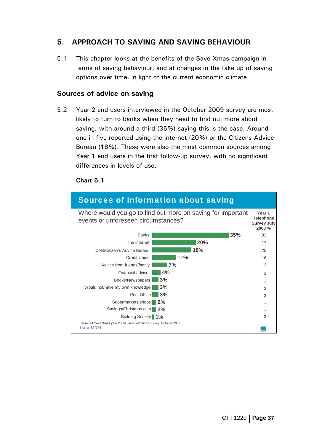# **5. APPROACH TO SAVING AND SAVING BEHAVIOUR**

5.1 This chapter looks at the benefits of the Save Xmas campaign in terms of saving behaviour, and at changes in the take up of saving options over time, in light of the current economic climate.

### **Sources of advice on saving**

5.2 Year 2 end users interviewed in the October 2009 survey are most likely to turn to banks when they need to find out more about saving, with around a third (35%) saying this is the case. Around one in five reported using the internet (20%) or the Citizens Advice Bureau (18%). These were also the most common sources among Year 1 end users in the first follow-up survey, with no significant differences in levels of use.

### **Chart 5.1**

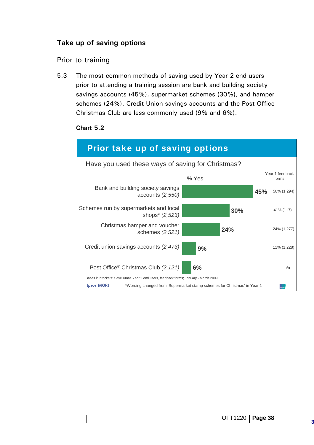# **Take up of saving options**

## Prior to training

5.3 The most common methods of saving used by Year 2 end users prior to attending a training session are bank and building society savings accounts (45%), supermarket schemes (30%), and hamper schemes (24%). Credit Union savings accounts and the Post Office Christmas Club are less commonly used (9% and 6%).

### **Chart 5.2**

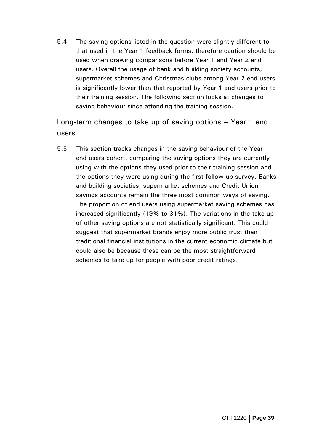5.4 The saving options listed in the question were slightly different to that used in the Year 1 feedback forms, therefore caution should be used when drawing comparisons before Year 1 and Year 2 end users. Overall the usage of bank and building society accounts, supermarket schemes and Christmas clubs among Year 2 end users is significantly lower than that reported by Year 1 end users prior to their training session. The following section looks at changes to saving behaviour since attending the training session.

Long-term changes to take up of saving options – Year 1 end users

5.5 This section tracks changes in the saving behaviour of the Year 1 end users cohort, comparing the saving options they are currently using with the options they used prior to their training session and the options they were using during the first follow-up survey. Banks and building societies, supermarket schemes and Credit Union savings accounts remain the three most common ways of saving. The proportion of end users using supermarket saving schemes has increased significantly (19% to 31%). The variations in the take up of other saving options are not statistically significant. This could suggest that supermarket brands enjoy more public trust than traditional financial institutions in the current economic climate but could also be because these can be the most straightforward schemes to take up for people with poor credit ratings.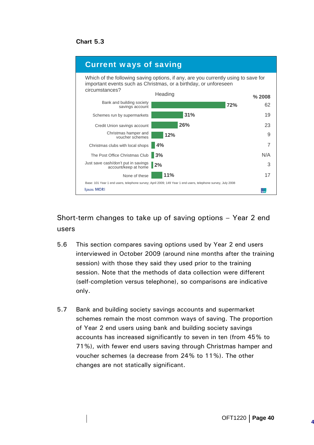**Chart 5.3** 



Short-term changes to take up of saving options – Year 2 end users

- 5.6 This section compares saving options used by Year 2 end users interviewed in October 2009 (around nine months after the training session) with those they said they used prior to the training session. Note that the methods of data collection were different (self-completion versus telephone), so comparisons are indicative only.
- 5.7 Bank and building society savings accounts and supermarket schemes remain the most common ways of saving. The proportion of Year 2 end users using bank and building society savings accounts has increased significantly to seven in ten (from 45% to 71%), with fewer end users saving through Christmas hamper and voucher schemes (a decrease from 24% to 11%). The other changes are not statically significant.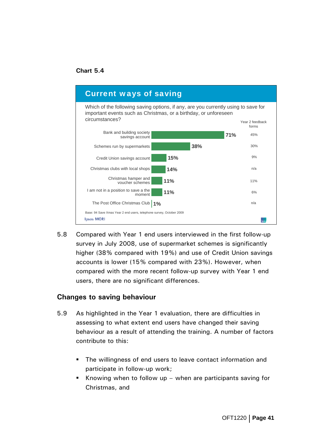### **Chart 5.4**



5.8 Compared with Year 1 end users interviewed in the first follow-up survey in July 2008, use of supermarket schemes is significantly higher (38% compared with 19%) and use of Credit Union savings accounts is lower (15% compared with 23%). However, when compared with the more recent follow-up survey with Year 1 end users, there are no significant differences.

#### **Changes to saving behaviour**

- 5.9 As highlighted in the Year 1 evaluation, there are difficulties in assessing to what extent end users have changed their saving behaviour as a result of attending the training. A number of factors contribute to this:
	- **The willingness of end users to leave contact information and** participate in follow-up work;
	- Knowing when to follow up when are participants saving for Christmas, and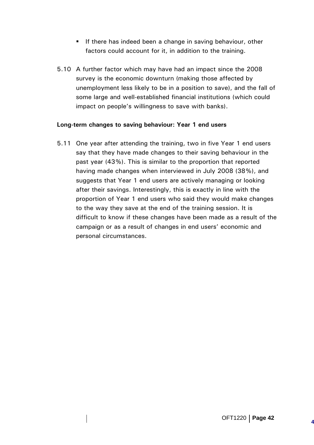- **If there has indeed been a change in saving behaviour, other** factors could account for it, in addition to the training.
- 5.10 A further factor which may have had an impact since the 2008 survey is the economic downturn (making those affected by unemployment less likely to be in a position to save), and the fall of some large and well-established financial institutions (which could impact on people's willingness to save with banks).

### **Long-term changes to saving behaviour: Year 1 end users**

5.11 One year after attending the training, two in five Year 1 end users say that they have made changes to their saving behaviour in the past year (43%). This is similar to the proportion that reported having made changes when interviewed in July 2008 (38%), and suggests that Year 1 end users are actively managing or looking after their savings. Interestingly, this is exactly in line with the proportion of Year 1 end users who said they would make changes to the way they save at the end of the training session. It is difficult to know if these changes have been made as a result of the campaign or as a result of changes in end users' economic and personal circumstances.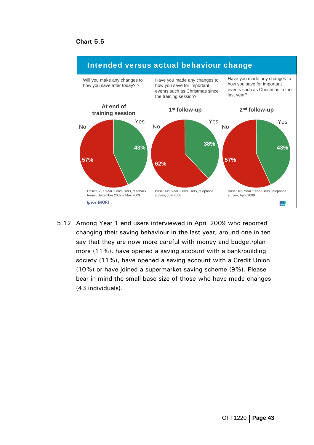#### **Chart 5.5**



5.12 Among Year 1 end users interviewed in April 2009 who reported changing their saving behaviour in the last year, around one in ten say that they are now more careful with money and budget/plan more (11%), have opened a saving account with a bank/building society (11%), have opened a saving account with a Credit Union (10%) or have joined a supermarket saving scheme (9%). Please bear in mind the small base size of those who have made changes (43 individuals).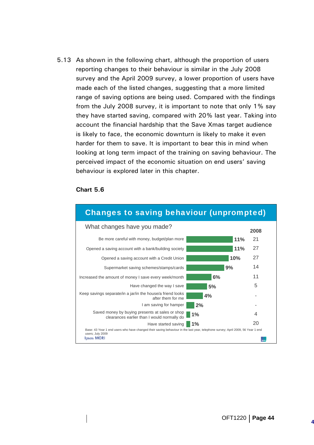5.13 As shown in the following chart, although the proportion of users reporting changes to their behaviour is similar in the July 2008 survey and the April 2009 survey, a lower proportion of users have made each of the listed changes, suggesting that a more limited range of saving options are being used. Compared with the findings from the July 2008 survey, it is important to note that only 1% say they have started saving, compared with 20% last year. Taking into account the financial hardship that the Save Xmas target audience is likely to face, the economic downturn is likely to make it even harder for them to save. It is important to bear this in mind when looking at long term impact of the training on saving behaviour. The perceived impact of the economic situation on end users' saving behaviour is explored later in this chapter.

#### **Chart 5.6**

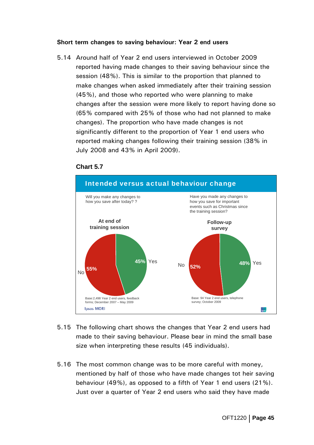#### **Short term changes to saving behaviour: Year 2 end users**

5.14 Around half of Year 2 end users interviewed in October 2009 reported having made changes to their saving behaviour since the session (48%). This is similar to the proportion that planned to make changes when asked immediately after their training session (45%), and those who reported who were planning to make changes after the session were more likely to report having done so (65% compared with 25% of those who had not planned to make changes). The proportion who have made changes is not significantly different to the proportion of Year 1 end users who reported making changes following their training session (38% in July 2008 and 43% in April 2009).

#### **Chart 5.7**



- 5.15 The following chart shows the changes that Year 2 end users had made to their saving behaviour. Please bear in mind the small base size when interpreting these results (45 individuals).
- 5.16 The most common change was to be more careful with money, mentioned by half of those who have made changes tot heir saving behaviour (49%), as opposed to a fifth of Year 1 end users (21%). Just over a quarter of Year 2 end users who said they have made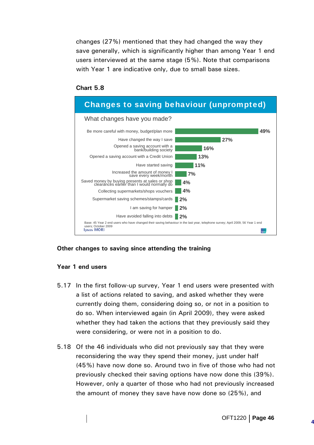changes (27%) mentioned that they had changed the way they save generally, which is significantly higher than among Year 1 end users interviewed at the same stage (5%). Note that comparisons with Year 1 are indicative only, due to small base sizes.

#### **Chart 5.8**



#### **Other changes to saving since attending the training**

#### **Year 1 end users**

- 5.17 In the first follow-up survey, Year 1 end users were presented with a list of actions related to saving, and asked whether they were currently doing them, considering doing so, or not in a position to do so. When interviewed again (in April 2009), they were asked whether they had taken the actions that they previously said they were considering, or were not in a position to do.
- 5.18 Of the 46 individuals who did not previously say that they were reconsidering the way they spend their money, just under half (45%) have now done so. Around two in five of those who had not previously checked their saving options have now done this (39%). However, only a quarter of those who had not previously increased the amount of money they save have now done so (25%), and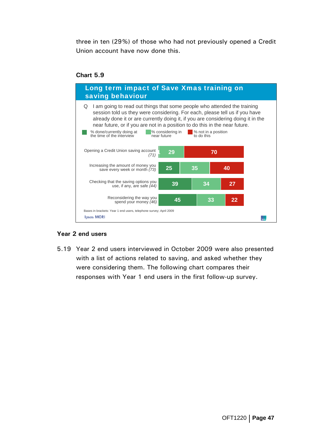three in ten (29%) of those who had not previously opened a Credit Union account have now done this.

#### **Chart 5.9**



#### **Year 2 end users**

5.19 Year 2 end users interviewed in October 2009 were also presented with a list of actions related to saving, and asked whether they were considering them. The following chart compares their responses with Year 1 end users in the first follow-up survey.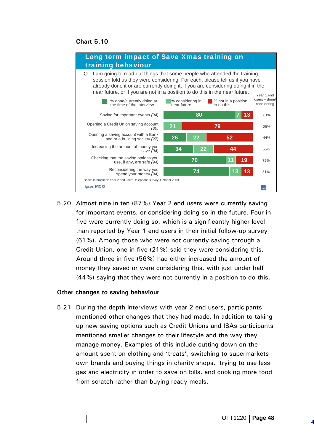**Chart 5.10** 



5.20 Almost nine in ten (87%) Year 2 end users were currently saving for important events, or considering doing so in the future. Four in five were currently doing so, which is a significantly higher level than reported by Year 1 end users in their initial follow-up survey (61%). Among those who were not currently saving through a Credit Union, one in five (21%) said they were considering this. Around three in five (56%) had either increased the amount of money they saved or were considering this, with just under half (44%) saying that they were not currently in a position to do this.

#### **Other changes to saving behaviour**

5.21 During the depth interviews with year 2 end users, participants mentioned other changes that they had made. In addition to taking up new saving options such as Credit Unions and ISAs participants mentioned smaller changes to their lifestyle and the way they manage money. Examples of this include cutting down on the amount spent on clothing and 'treats', switching to supermarkets own brands and buying things in charity shops, trying to use less gas and electricity in order to save on bills, and cooking more food from scratch rather than buying ready meals.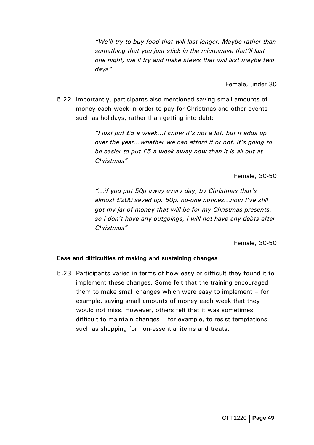*"We'll try to buy food that will last longer. Maybe rather than something that you just stick in the microwave that'll last one night, we'll try and make stews that will last maybe two days"* 

Female, under 30

5.22 Importantly, participants also mentioned saving small amounts of money each week in order to pay for Christmas and other events such as holidays, rather than getting into debt:

> *"I just put £5 a week…I know it's not a lot, but it adds up over the year…whether we can afford it or not, it's going to be easier to put £5 a week away now than it is all out at Christmas"*

> > Female, 30-50

*"…if you put 50p away every day, by Christmas that's almost £200 saved up. 50p, no-one notices…now I've still got my jar of money that will be for my Christmas presents, so I don't have any outgoings, I will not have any debts after Christmas"* 

Female, 30-50

#### **Ease and difficulties of making and sustaining changes**

5.23 Participants varied in terms of how easy or difficult they found it to implement these changes. Some felt that the training encouraged them to make small changes which were easy to implement – for example, saving small amounts of money each week that they would not miss. However, others felt that it was sometimes difficult to maintain changes – for example, to resist temptations such as shopping for non-essential items and treats.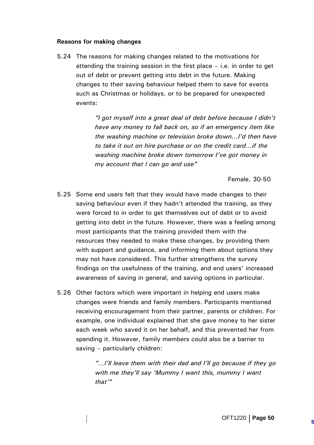#### **Reasons for making changes**

5.24 The reasons for making changes related to the motivations for attending the training session in the first place – i.e. in order to get out of debt or prevent getting into debt in the future. Making changes to their saving behaviour helped them to save for events such as Christmas or holidays, or to be prepared for unexpected events:

> *"I got myself into a great deal of debt before because I didn't have any money to fall back on, so if an emergency item like the washing machine or television broke down…I'd then have to take it out on hire purchase or on the credit card…if the washing machine broke down tomorrow I've got money in my account that I can go and use"*

> > Female, 30-50

- 5.25 Some end users felt that they would have made changes to their saving behaviour even if they hadn't attended the training, as they were forced to in order to get themselves out of debt or to avoid getting into debt in the future. However, there was a feeling among most participants that the training provided them with the resources they needed to make these changes, by providing them with support and guidance, and informing them about options they may not have considered. This further strengthens the survey findings on the usefulness of the training, and end users' increased awareness of saving in general, and saving options in particular.
- 5.26 Other factors which were important in helping end users make changes were friends and family members. Participants mentioned receiving encouragement from their partner, parents or children. For example, one individual explained that she gave money to her sister each week who saved it on her behalf, and this prevented her from spending it. However, family members could also be a barrier to saving – particularly children:

*"…I'll leave them with their dad and I'll go because if they go with me they'll say 'Mummy I want this, mummy I want that'"*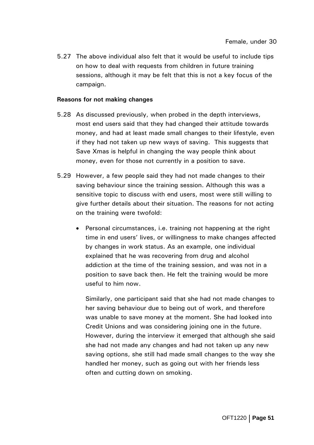5.27 The above individual also felt that it would be useful to include tips on how to deal with requests from children in future training sessions, although it may be felt that this is not a key focus of the campaign.

#### **Reasons for not making changes**

- 5.28 As discussed previously, when probed in the depth interviews, most end users said that they had changed their attitude towards money, and had at least made small changes to their lifestyle, even if they had not taken up new ways of saving. This suggests that Save Xmas is helpful in changing the way people think about money, even for those not currently in a position to save.
- 5.29 However, a few people said they had not made changes to their saving behaviour since the training session. Although this was a sensitive topic to discuss with end users, most were still willing to give further details about their situation. The reasons for not acting on the training were twofold:
	- Personal circumstances, i.e. training not happening at the right time in end users' lives, or willingness to make changes affected by changes in work status. As an example, one individual explained that he was recovering from drug and alcohol addiction at the time of the training session, and was not in a position to save back then. He felt the training would be more useful to him now.

Similarly, one participant said that she had not made changes to her saving behaviour due to being out of work, and therefore was unable to save money at the moment. She had looked into Credit Unions and was considering joining one in the future. However, during the interview it emerged that although she said she had not made any changes and had not taken up any new saving options, she still had made small changes to the way she handled her money, such as going out with her friends less often and cutting down on smoking.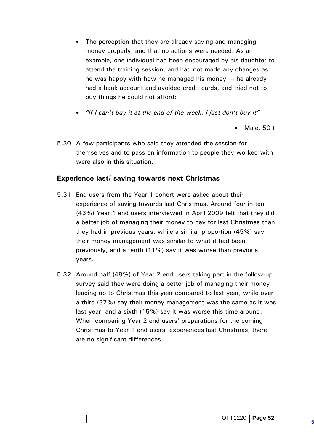- The perception that they are already saving and managing money properly, and that no actions were needed. As an example, one individual had been encouraged by his daughter to attend the training session, and had not made any changes as he was happy with how he managed his money  $-$  he already had a bank account and avoided credit cards, and tried not to buy things he could not afford:
- *"If I can't buy it at the end of the week, I just don't buy it"*

• Male,  $50+$ 

5.30 A few participants who said they attended the session for themselves and to pass on information to people they worked with were also in this situation.

## **Experience last/ saving towards next Christmas**

- 5.31 End users from the Year 1 cohort were asked about their experience of saving towards last Christmas. Around four in ten (43%) Year 1 end users interviewed in April 2009 felt that they did a better job of managing their money to pay for last Christmas than they had in previous years, while a similar proportion (45%) say their money management was similar to what it had been previously, and a tenth (11%) say it was worse than previous years.
- 5.32 Around half (48%) of Year 2 end users taking part in the follow-up survey said they were doing a better job of managing their money leading up to Christmas this year compared to last year, while over a third (37%) say their money management was the same as it was last year, and a sixth (15%) say it was worse this time around. When comparing Year 2 end users' preparations for the coming Christmas to Year 1 end users' experiences last Christmas, there are no significant differences.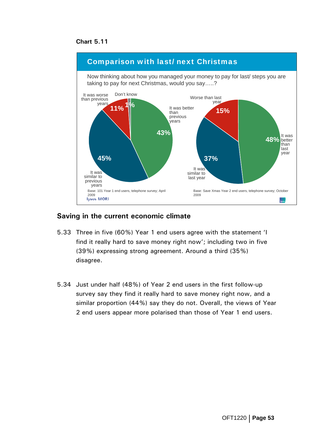#### **Chart 5.11**



### **Saving in the current economic climate**

- 5.33 Three in five (60%) Year 1 end users agree with the statement 'I find it really hard to save money right now'; including two in five (39%) expressing strong agreement. Around a third (35%) disagree.
- 5.34 Just under half (48%) of Year 2 end users in the first follow-up survey say they find it really hard to save money right now, and a similar proportion (44%) say they do not. Overall, the views of Year 2 end users appear more polarised than those of Year 1 end users.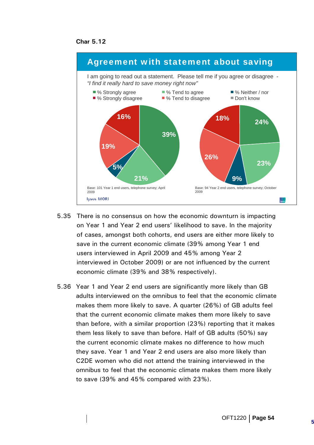**Char 5.12** 



- 5.35 There is no consensus on how the economic downturn is impacting on Year 1 and Year 2 end users' likelihood to save. In the majority of cases, amongst both cohorts, end users are either more likely to save in the current economic climate (39% among Year 1 end users interviewed in April 2009 and 45% among Year 2 interviewed in October 2009) or are not influenced by the current economic climate (39% and 38% respectively).
- 5.36 Year 1 and Year 2 end users are significantly more likely than GB adults interviewed on the omnibus to feel that the economic climate makes them more likely to save. A quarter (26%) of GB adults feel that the current economic climate makes them more likely to save than before, with a similar proportion (23%) reporting that it makes them less likely to save than before. Half of GB adults (50%) say the current economic climate makes no difference to how much they save. Year 1 and Year 2 end users are also more likely than C2DE women who did not attend the training interviewed in the omnibus to feel that the economic climate makes them more likely to save (39% and 45% compared with 23%).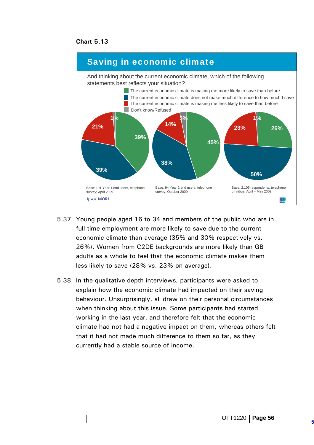



- 5.37 Young people aged 16 to 34 and members of the public who are in full time employment are more likely to save due to the current economic climate than average (35% and 30% respectively vs. 26%). Women from C2DE backgrounds are more likely than GB adults as a whole to feel that the economic climate makes them less likely to save (28% vs. 23% on average).
- 5.38 In the qualitative depth interviews, participants were asked to explain how the economic climate had impacted on their saving behaviour. Unsurprisingly, all draw on their personal circumstances when thinking about this issue. Some participants had started working in the last year, and therefore felt that the economic climate had not had a negative impact on them, whereas others felt that it had not made much difference to them so far, as they currently had a stable source of income.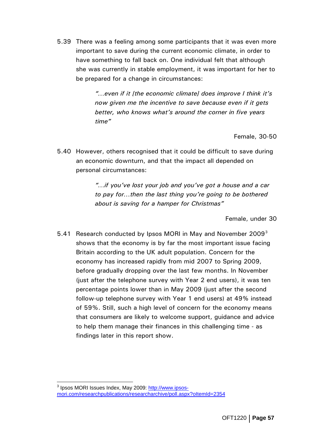<span id="page-62-0"></span>5.39 There was a feeling among some participants that it was even more important to save during the current economic climate, in order to have something to fall back on. One individual felt that although she was currently in stable employment, it was important for her to be prepared for a change in circumstances:

> *"…even if it [the economic climate] does improve I think it's now given me the incentive to save because even if it gets better, who knows what's around the corner in five years time"*

> > Female, 30-50

5.40 However, others recognised that it could be difficult to save during an economic downturn, and that the impact all depended on personal circumstances:

> *"…if you've lost your job and you've got a house and a car to pay for…then the last thing you're going to be bothered about is saving for a hamper for Christmas"*

> > Female, under 30

5.41 Research conducted by Ipsos MORI in May and November  $2009<sup>3</sup>$  $2009<sup>3</sup>$  $2009<sup>3</sup>$ shows that the economy is by far the most important issue facing Britain according to the UK adult population. Concern for the economy has increased rapidly from mid 2007 to Spring 2009, before gradually dropping over the last few months. In November (just after the telephone survey with Year 2 end users), it was ten percentage points lower than in May 2009 (just after the second follow-up telephone survey with Year 1 end users) at 49% instead of 59%. Still, such a high level of concern for the economy means that consumers are likely to welcome support, guidance and advice to help them manage their finances in this challenging time - as findings later in this report show.

 $\overline{a}$ <sup>3</sup> Ipsos MORI Issues Index, May 2009: <u>http://www.ipsos-</u> mori.com/researchpublications/researcharchive/poll.aspx?oItemId=2354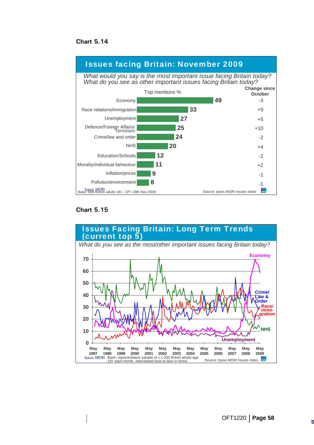**Chart 5.14** 



#### **Chart 5.15**

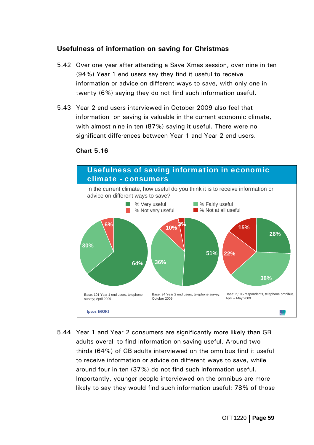## **Usefulness of information on saving for Christmas**

- 5.42 Over one year after attending a Save Xmas session, over nine in ten (94%) Year 1 end users say they find it useful to receive information or advice on different ways to save, with only one in twenty (6%) saying they do not find such information useful.
- 5.43 Year 2 end users interviewed in October 2009 also feel that information on saving is valuable in the current economic climate, with almost nine in ten (87%) saying it useful. There were no significant differences between Year 1 and Year 2 end users.



#### **Chart 5.16**

5.44 Year 1 and Year 2 consumers are significantly more likely than GB adults overall to find information on saving useful. Around two thirds (64%) of GB adults interviewed on the omnibus find it useful to receive information or advice on different ways to save, while around four in ten (37%) do not find such information useful. Importantly, younger people interviewed on the omnibus are more likely to say they would find such information useful: 78% of those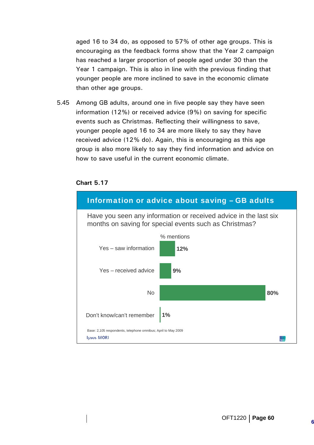aged 16 to 34 do, as opposed to 57% of other age groups. This is encouraging as the feedback forms show that the Year 2 campaign has reached a larger proportion of people aged under 30 than the Year 1 campaign. This is also in line with the previous finding that younger people are more inclined to save in the economic climate than other age groups.

5.45 Among GB adults, around one in five people say they have seen information (12%) or received advice (9%) on saving for specific events such as Christmas. Reflecting their willingness to save, younger people aged 16 to 34 are more likely to say they have received advice (12% do). Again, this is encouraging as this age group is also more likely to say they find information and advice on how to save useful in the current economic climate.



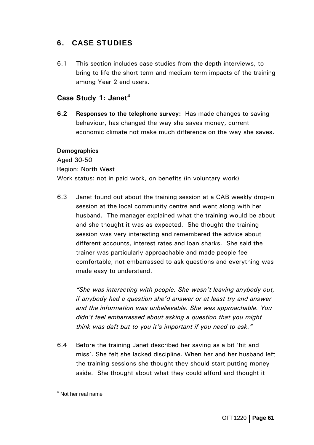# <span id="page-66-0"></span>6. CASE STUDIES

6.1 This section includes case studies from the depth interviews, to bring to life the short term and medium term impacts of the training among Year 2 end users.

## **Case Study 1: Janet[4](#page-66-0)**

**6.2 Responses to the telephone survey:** Has made changes to saving behaviour, has changed the way she saves money, current economic climate not make much difference on the way she saves.

### **Demographics**

Aged 30-50 Region: North West Work status: not in paid work, on benefits (in voluntary work)

6.3 Janet found out about the training session at a CAB weekly drop-in session at the local community centre and went along with her husband. The manager explained what the training would be about and she thought it was as expected. She thought the training session was very interesting and remembered the advice about different accounts, interest rates and loan sharks. She said the trainer was particularly approachable and made people feel comfortable, not embarrassed to ask questions and everything was made easy to understand.

*"She was interacting with people. She wasn't leaving anybody out, if anybody had a question she'd answer or at least try and answer and the information was unbelievable. She was approachable. You didn't feel embarrassed about asking a question that you might think was daft but to you it's important if you need to ask."* 

6.4 Before the training Janet described her saving as a bit 'hit and miss'. She felt she lacked discipline. When her and her husband left the training sessions she thought they should start putting money aside. She thought about what they could afford and thought it

 4 Not her real name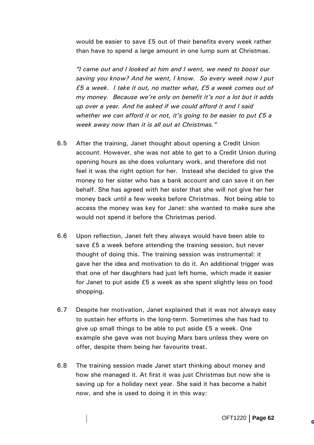would be easier to save £5 out of their benefits every week rather than have to spend a large amount in one lump sum at Christmas.

*"I came out and I looked at him and I went, we need to boost our saving you know? And he went, I know. So every week now I put £5 a week. I take it out, no matter what, £5 a week comes out of my money. Because we're only on benefit it's not a lot but it adds up over a year. And he asked if we could afford it and I said whether we can afford it or not, it's going to be easier to put £5 a week away now than it is all out at Christmas."* 

- 6.5 After the training, Janet thought about opening a Credit Union account. However, she was not able to get to a Credit Union during opening hours as she does voluntary work, and therefore did not feel it was the right option for her. Instead she decided to give the money to her sister who has a bank account and can save it on her behalf. She has agreed with her sister that she will not give her her money back until a few weeks before Christmas. Not being able to access the money was key for Janet: she wanted to make sure she would not spend it before the Christmas period.
- 6.6 Upon reflection, Janet felt they always would have been able to save £5 a week before attending the training session, but never thought of doing this. The training session was instrumental: it gave her the idea and motivation to do it. An additional trigger was that one of her daughters had just left home, which made it easier for Janet to put aside £5 a week as she spent slightly less on food shopping.
- 6.7 Despite her motivation, Janet explained that it was not always easy to sustain her efforts in the long-term. Sometimes she has had to give up small things to be able to put aside £5 a week. One example she gave was not buying Mars bars unless they were on offer, despite them being her favourite treat.
- 6.8 The training session made Janet start thinking about money and how she managed it. At first it was just Christmas but now she is saving up for a holiday next year. She said it has become a habit now, and she is used to doing it in this way: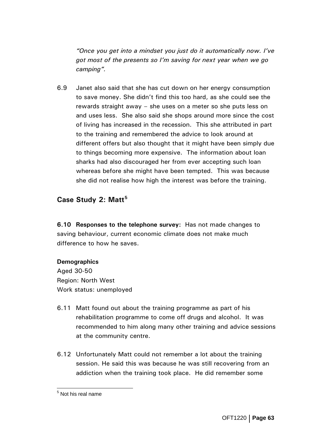<span id="page-68-0"></span>*"Once you get into a mindset you just do it automatically now. I've got most of the presents so I'm saving for next year when we go camping".* 

6.9 Janet also said that she has cut down on her energy consumption to save money. She didn't find this too hard, as she could see the rewards straight away – she uses on a meter so she puts less on and uses less. She also said she shops around more since the cost of living has increased in the recession. This she attributed in part to the training and remembered the advice to look around at different offers but also thought that it might have been simply due to things becoming more expensive. The information about loan sharks had also discouraged her from ever accepting such loan whereas before she might have been tempted. This was because she did not realise how high the interest was before the training.

## **Case Study 2: Matt[5](#page-68-0)**

**6.10 Responses to the telephone survey:** Has not made changes to saving behaviour, current economic climate does not make much difference to how he saves.

#### **Demographics**

Aged 30-50 Region: North West Work status: unemployed

- 6.11 Matt found out about the training programme as part of his rehabilitation programme to come off drugs and alcohol. It was recommended to him along many other training and advice sessions at the community centre.
- 6.12 Unfortunately Matt could not remember a lot about the training session. He said this was because he was still recovering from an addiction when the training took place. He did remember some

 5 Not his real name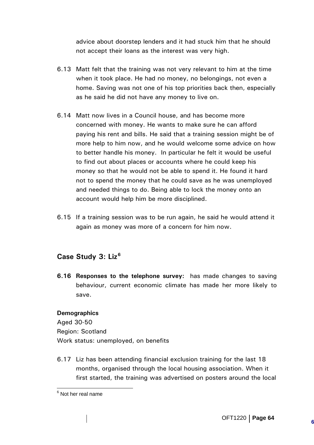<span id="page-69-0"></span>advice about doorstep lenders and it had stuck him that he should not accept their loans as the interest was very high.

- 6.13 Matt felt that the training was not very relevant to him at the time when it took place. He had no money, no belongings, not even a home. Saving was not one of his top priorities back then, especially as he said he did not have any money to live on.
- 6.14 Matt now lives in a Council house, and has become more concerned with money. He wants to make sure he can afford paying his rent and bills. He said that a training session might be of more help to him now, and he would welcome some advice on how to better handle his money. In particular he felt it would be useful to find out about places or accounts where he could keep his money so that he would not be able to spend it. He found it hard not to spend the money that he could save as he was unemployed and needed things to do. Being able to lock the money onto an account would help him be more disciplined.
- 6.15 If a training session was to be run again, he said he would attend it again as money was more of a concern for him now.

# **Case Study 3: Liz[6](#page-69-0)**

**6.16 Responses to the telephone survey:** has made changes to saving behaviour, current economic climate has made her more likely to save.

#### **Demographics**

Aged 30-50 Region: Scotland Work status: unemployed, on benefits

6.17 Liz has been attending financial exclusion training for the last 18 months, organised through the local housing association. When it first started, the training was advertised on posters around the local

e<br><sup>6</sup> Not her real name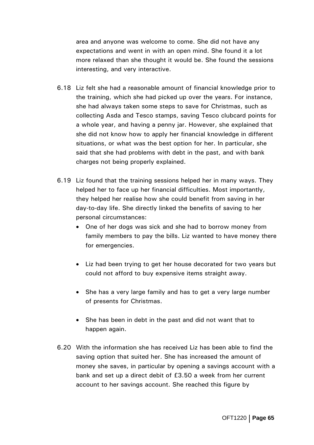area and anyone was welcome to come. She did not have any expectations and went in with an open mind. She found it a lot more relaxed than she thought it would be. She found the sessions interesting, and very interactive.

- 6.18 Liz felt she had a reasonable amount of financial knowledge prior to the training, which she had picked up over the years. For instance, she had always taken some steps to save for Christmas, such as collecting Asda and Tesco stamps, saving Tesco clubcard points for a whole year, and having a penny jar. However, she explained that she did not know how to apply her financial knowledge in different situations, or what was the best option for her. In particular, she said that she had problems with debt in the past, and with bank charges not being properly explained.
- 6.19 Liz found that the training sessions helped her in many ways. They helped her to face up her financial difficulties. Most importantly, they helped her realise how she could benefit from saving in her day-to-day life. She directly linked the benefits of saving to her personal circumstances:
	- One of her dogs was sick and she had to borrow money from family members to pay the bills. Liz wanted to have money there for emergencies.
	- Liz had been trying to get her house decorated for two years but could not afford to buy expensive items straight away.
	- She has a very large family and has to get a very large number of presents for Christmas.
	- She has been in debt in the past and did not want that to happen again.
- 6.20 With the information she has received Liz has been able to find the saving option that suited her. She has increased the amount of money she saves, in particular by opening a savings account with a bank and set up a direct debit of £3.50 a week from her current account to her savings account. She reached this figure by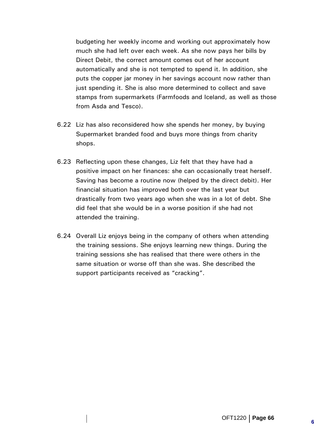budgeting her weekly income and working out approximately how much she had left over each week. As she now pays her bills by Direct Debit, the correct amount comes out of her account automatically and she is not tempted to spend it. In addition, she puts the copper jar money in her savings account now rather than just spending it. She is also more determined to collect and save stamps from supermarkets (Farmfoods and Iceland, as well as those from Asda and Tesco).

- 6.22 Liz has also reconsidered how she spends her money, by buying Supermarket branded food and buys more things from charity shops.
- 6.23 Reflecting upon these changes, Liz felt that they have had a positive impact on her finances: she can occasionally treat herself. Saving has become a routine now (helped by the direct debit). Her financial situation has improved both over the last year but drastically from two years ago when she was in a lot of debt. She did feel that she would be in a worse position if she had not attended the training.
- 6.24 Overall Liz enjoys being in the company of others when attending the training sessions. She enjoys learning new things. During the training sessions she has realised that there were others in the same situation or worse off than she was. She described the support participants received as "cracking".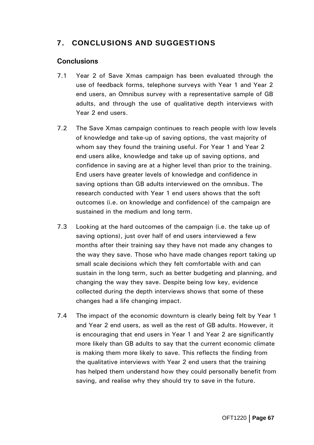# 7. CONCLUSIONS AND SUGGESTIONS

#### **Conclusions**

- 7.1 Year 2 of Save Xmas campaign has been evaluated through the use of feedback forms, telephone surveys with Year 1 and Year 2 end users, an Omnibus survey with a representative sample of GB adults, and through the use of qualitative depth interviews with Year 2 end users.
- 7.2 The Save Xmas campaign continues to reach people with low levels of knowledge and take-up of saving options, the vast majority of whom say they found the training useful. For Year 1 and Year 2 end users alike, knowledge and take up of saving options, and confidence in saving are at a higher level than prior to the training. End users have greater levels of knowledge and confidence in saving options than GB adults interviewed on the omnibus. The research conducted with Year 1 end users shows that the soft outcomes (i.e. on knowledge and confidence) of the campaign are sustained in the medium and long term.
- 7.3 Looking at the hard outcomes of the campaign (i.e. the take up of saving options), just over half of end users interviewed a few months after their training say they have not made any changes to the way they save. Those who have made changes report taking up small scale decisions which they felt comfortable with and can sustain in the long term, such as better budgeting and planning, and changing the way they save. Despite being low key, evidence collected during the depth interviews shows that some of these changes had a life changing impact.
- 7.4 The impact of the economic downturn is clearly being felt by Year 1 and Year 2 end users, as well as the rest of GB adults. However, it is encouraging that end users in Year 1 and Year 2 are significantly more likely than GB adults to say that the current economic climate is making them more likely to save. This reflects the finding from the qualitative interviews with Year 2 end users that the training has helped them understand how they could personally benefit from saving, and realise why they should try to save in the future.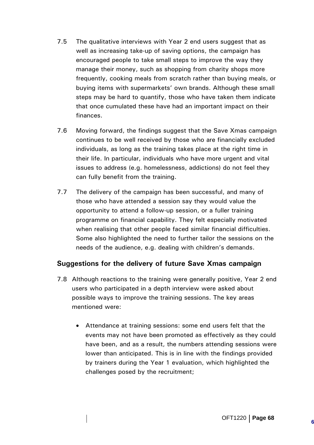- 7.5 The qualitative interviews with Year 2 end users suggest that as well as increasing take-up of saving options, the campaign has encouraged people to take small steps to improve the way they manage their money, such as shopping from charity shops more frequently, cooking meals from scratch rather than buying meals, or buying items with supermarkets' own brands. Although these small steps may be hard to quantify, those who have taken them indicate that once cumulated these have had an important impact on their finances.
- 7.6 Moving forward, the findings suggest that the Save Xmas campaign continues to be well received by those who are financially excluded individuals, as long as the training takes place at the right time in their life. In particular, individuals who have more urgent and vital issues to address (e.g. homelessness, addictions) do not feel they can fully benefit from the training.
- 7.7 The delivery of the campaign has been successful, and many of those who have attended a session say they would value the opportunity to attend a follow-up session, or a fuller training programme on financial capability. They felt especially motivated when realising that other people faced similar financial difficulties. Some also highlighted the need to further tailor the sessions on the needs of the audience, e.g. dealing with children's demands.

## **Suggestions for the delivery of future Save Xmas campaign**

- 7.8 Although reactions to the training were generally positive, Year 2 end users who participated in a depth interview were asked about possible ways to improve the training sessions. The key areas mentioned were:
	- Attendance at training sessions: some end users felt that the events may not have been promoted as effectively as they could have been, and as a result, the numbers attending sessions were lower than anticipated. This is in line with the findings provided by trainers during the Year 1 evaluation, which highlighted the challenges posed by the recruitment;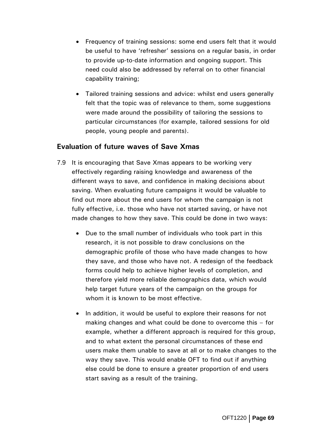- Frequency of training sessions: some end users felt that it would be useful to have 'refresher' sessions on a regular basis, in order to provide up-to-date information and ongoing support. This need could also be addressed by referral on to other financial capability training;
- Tailored training sessions and advice: whilst end users generally felt that the topic was of relevance to them, some suggestions were made around the possibility of tailoring the sessions to particular circumstances (for example, tailored sessions for old people, young people and parents).

#### **Evaluation of future waves of Save Xmas**

- 7.9 It is encouraging that Save Xmas appears to be working very effectively regarding raising knowledge and awareness of the different ways to save, and confidence in making decisions about saving. When evaluating future campaigns it would be valuable to find out more about the end users for whom the campaign is not fully effective, i.e. those who have not started saving, or have not made changes to how they save. This could be done in two ways:
	- Due to the small number of individuals who took part in this research, it is not possible to draw conclusions on the demographic profile of those who have made changes to how they save, and those who have not. A redesign of the feedback forms could help to achieve higher levels of completion, and therefore yield more reliable demographics data, which would help target future years of the campaign on the groups for whom it is known to be most effective.
	- In addition, it would be useful to explore their reasons for not making changes and what could be done to overcome this – for example, whether a different approach is required for this group, and to what extent the personal circumstances of these end users make them unable to save at all or to make changes to the way they save. This would enable OFT to find out if anything else could be done to ensure a greater proportion of end users start saving as a result of the training.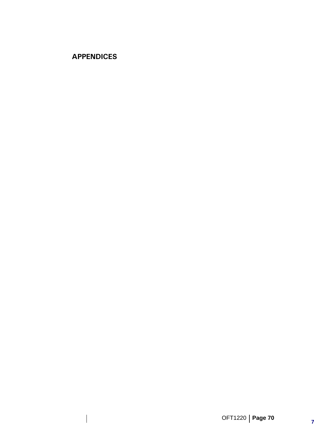# **APPENDICES**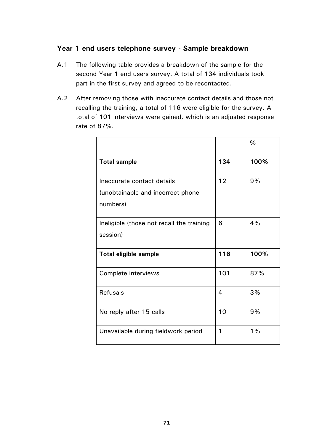#### **Year 1 end users telephone survey - Sample breakdown**

- A.1 The following table provides a breakdown of the sample for the second Year 1 end users survey. A total of 134 individuals took part in the first survey and agreed to be recontacted.
- A.2 After removing those with inaccurate contact details and those not recalling the training, a total of 116 were eligible for the survey. A total of 101 interviews were gained, which is an adjusted response rate of 87%.

|                                           |     | $\frac{0}{0}$ |
|-------------------------------------------|-----|---------------|
| <b>Total sample</b>                       | 134 | 100%          |
| Inaccurate contact details                | 12  | 9%            |
| (unobtainable and incorrect phone         |     |               |
| numbers)                                  |     |               |
| Ineligible (those not recall the training | 6   | 4%            |
| session)                                  |     |               |
| <b>Total eligible sample</b>              | 116 | 100%          |
| Complete interviews                       | 101 | 87%           |
| <b>Refusals</b>                           | 4   | 3%            |
| No reply after 15 calls                   | 10  | 9%            |
| Unavailable during fieldwork period       | 1   | 1%            |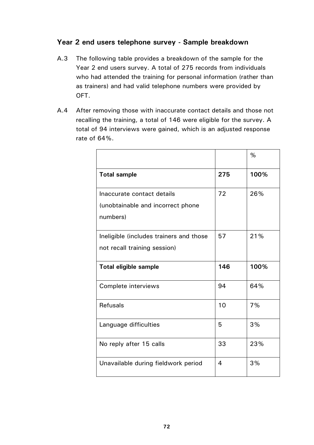### **Year 2 end users telephone survey - Sample breakdown**

- A.3 The following table provides a breakdown of the sample for the Year 2 end users survey. A total of 275 records from individuals who had attended the training for personal information (rather than as trainers) and had valid telephone numbers were provided by OFT.
- A.4 After removing those with inaccurate contact details and those not recalling the training, a total of 146 were eligible for the survey. A total of 94 interviews were gained, which is an adjusted response rate of 64%.

|                                                                             |                | %    |
|-----------------------------------------------------------------------------|----------------|------|
| <b>Total sample</b>                                                         | 275            | 100% |
| Inaccurate contact details<br>(unobtainable and incorrect phone<br>numbers) | 72             | 26%  |
| Ineligible (includes trainers and those<br>not recall training session)     | 57             | 21%  |
| <b>Total eligible sample</b>                                                | 146            | 100% |
| Complete interviews                                                         | 94             | 64%  |
| <b>Refusals</b>                                                             | 10             | 7%   |
| Language difficulties                                                       | 5              | 3%   |
| No reply after 15 calls                                                     | 33             | 23%  |
| Unavailable during fieldwork period                                         | $\overline{4}$ | 3%   |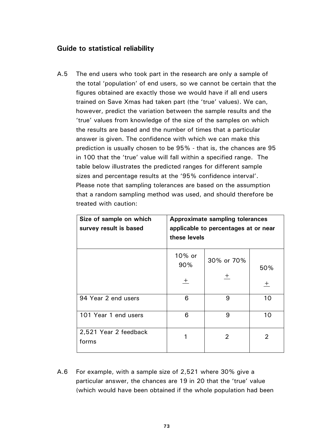#### **Guide to statistical reliability**

A.5 The end users who took part in the research are only a sample of the total 'population' of end users, so we cannot be certain that the figures obtained are exactly those we would have if all end users trained on Save Xmas had taken part (the 'true' values). We can, however, predict the variation between the sample results and the 'true' values from knowledge of the size of the samples on which the results are based and the number of times that a particular answer is given. The confidence with which we can make this prediction is usually chosen to be 95% - that is, the chances are 95 in 100 that the 'true' value will fall within a specified range. The table below illustrates the predicted ranges for different sample sizes and percentage results at the '95% confidence interval'. Please note that sampling tolerances are based on the assumption that a random sampling method was used, and should therefore be treated with caution:

| Size of sample on which<br>survey result is based | <b>Approximate sampling tolerances</b><br>applicable to percentages at or near<br>these levels |                      |                |  |  |
|---------------------------------------------------|------------------------------------------------------------------------------------------------|----------------------|----------------|--|--|
|                                                   | 10% or<br>90%<br>土                                                                             | 30% or 70%<br>$^{+}$ | 50%<br>$+$     |  |  |
| 94 Year 2 end users                               | 6                                                                                              | 9                    | 10             |  |  |
| 101 Year 1 end users                              | 6                                                                                              | 9                    | 10             |  |  |
| 2,521 Year 2 feedback<br>forms                    |                                                                                                | $\overline{2}$       | $\overline{2}$ |  |  |

A.6 For example, with a sample size of 2,521 where 30% give a particular answer, the chances are 19 in 20 that the 'true' value (which would have been obtained if the whole population had been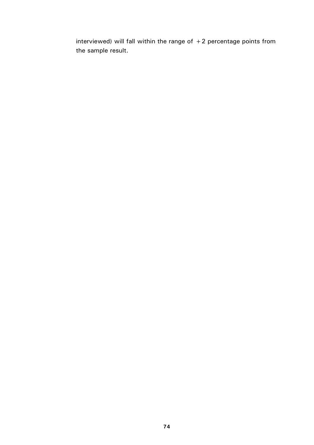interviewed) will fall within the range of  $+2$  percentage points from the sample result.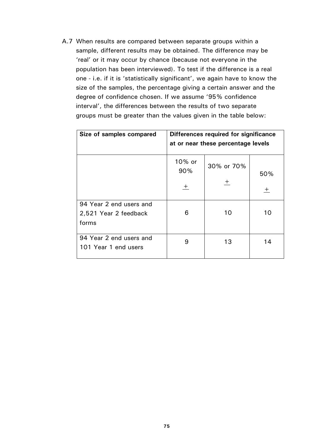A.7 When results are compared between separate groups within a sample, different results may be obtained. The difference may be 'real' or it may occur by chance (because not everyone in the population has been interviewed). To test if the difference is a real one - i.e. if it is 'statistically significant', we again have to know the size of the samples, the percentage giving a certain answer and the degree of confidence chosen. If we assume '95% confidence interval', the differences between the results of two separate groups must be greater than the values given in the table below:

| Size of samples compared                                  |                    | Differences required for significance<br>at or near these percentage levels |              |
|-----------------------------------------------------------|--------------------|-----------------------------------------------------------------------------|--------------|
|                                                           | 10% or<br>90%<br>土 | 30% or 70%<br>$\pm$                                                         | 50%<br>$\pm$ |
| 94 Year 2 end users and<br>2,521 Year 2 feedback<br>forms | 6                  | 10                                                                          | 10           |
| 94 Year 2 end users and<br>101 Year 1 end users           | 9                  | 13                                                                          | 14           |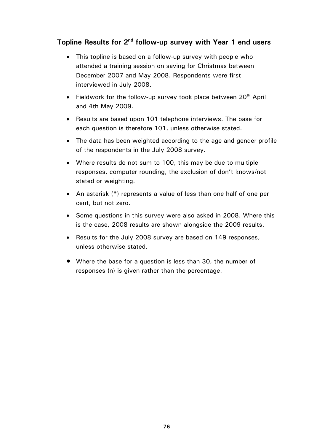## **Topline Results for 2nd follow-up survey with Year 1 end users**

- This topline is based on a follow-up survey with people who attended a training session on saving for Christmas between December 2007 and May 2008. Respondents were first interviewed in July 2008.
- Fieldwork for the follow-up survey took place between  $20<sup>th</sup>$  April and 4th May 2009.
- Results are based upon 101 telephone interviews. The base for each question is therefore 101, unless otherwise stated.
- The data has been weighted according to the age and gender profile of the respondents in the July 2008 survey.
- Where results do not sum to 100, this may be due to multiple responses, computer rounding, the exclusion of don't knows/not stated or weighting.
- An asterisk (\*) represents a value of less than one half of one per cent, but not zero.
- Some questions in this survey were also asked in 2008. Where this is the case, 2008 results are shown alongside the 2009 results.
- Results for the July 2008 survey are based on 149 responses, unless otherwise stated.
- Where the base for a question is less than 30, the number of responses (n) is given rather than the percentage.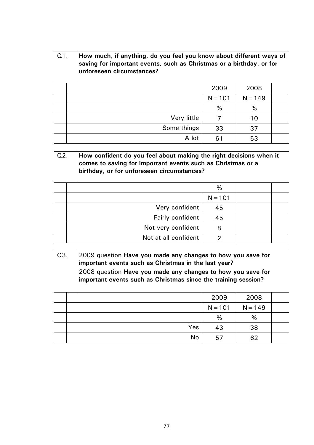| $Q1$ .<br>How much, if anything, do you feel you know about different ways of<br>saving for important events, such as Christmas or a birthday, or for<br>unforeseen circumstances? |             |           |           |  |
|------------------------------------------------------------------------------------------------------------------------------------------------------------------------------------|-------------|-----------|-----------|--|
|                                                                                                                                                                                    |             | 2009      | 2008      |  |
|                                                                                                                                                                                    |             | $N = 101$ | $N = 149$ |  |
|                                                                                                                                                                                    |             | $\%$      | $\%$      |  |
|                                                                                                                                                                                    | Very little |           | 10        |  |
|                                                                                                                                                                                    | Some things | 33        | 37        |  |
|                                                                                                                                                                                    | A lot       | 61        | 53        |  |

| Q <sub>2</sub> | How confident do you feel about making the right decisions when it<br>comes to saving for important events such as Christmas or a<br>birthday, or for unforeseen circumstances? |           |  |
|----------------|---------------------------------------------------------------------------------------------------------------------------------------------------------------------------------|-----------|--|
|                |                                                                                                                                                                                 | $\%$      |  |
|                |                                                                                                                                                                                 | $N = 101$ |  |
|                | Very confident                                                                                                                                                                  | 45        |  |
|                | Fairly confident                                                                                                                                                                | 45        |  |
|                | Not very confident                                                                                                                                                              | 8         |  |
|                | Not at all confident                                                                                                                                                            | 2         |  |

| Q3.                                                                                                                           | 2009 question Have you made any changes to how you save for<br>important events such as Christmas in the last year? |            |           |           |  |  |
|-------------------------------------------------------------------------------------------------------------------------------|---------------------------------------------------------------------------------------------------------------------|------------|-----------|-----------|--|--|
| 2008 question Have you made any changes to how you save for<br>important events such as Christmas since the training session? |                                                                                                                     |            |           |           |  |  |
|                                                                                                                               |                                                                                                                     |            | 2009      | 2008      |  |  |
|                                                                                                                               |                                                                                                                     |            | $N = 101$ | $N = 149$ |  |  |
|                                                                                                                               |                                                                                                                     |            | %         | %         |  |  |
|                                                                                                                               |                                                                                                                     | <b>Yes</b> | 43        | 38        |  |  |
|                                                                                                                               |                                                                                                                     | No         | 57        | 62        |  |  |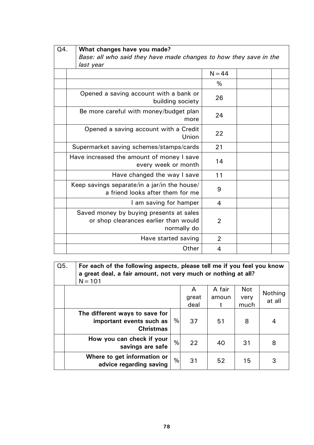| Q4. | What changes have you made?<br>Base: all who said they have made changes to how they save in the<br>last year |                |  |  |
|-----|---------------------------------------------------------------------------------------------------------------|----------------|--|--|
|     |                                                                                                               | $N = 44$       |  |  |
|     |                                                                                                               | %              |  |  |
|     | Opened a saving account with a bank or<br>building society                                                    | 26             |  |  |
|     | Be more careful with money/budget plan<br>more                                                                | 24             |  |  |
|     | Opened a saving account with a Credit<br>Union                                                                | 22             |  |  |
|     | Supermarket saving schemes/stamps/cards                                                                       | 21             |  |  |
|     | Have increased the amount of money I save<br>every week or month                                              | 14             |  |  |
|     | Have changed the way I save                                                                                   | 11             |  |  |
|     | Keep savings separate/in a jar/in the house/<br>a friend looks after them for me                              | 9              |  |  |
|     | I am saving for hamper                                                                                        | $\overline{4}$ |  |  |
|     | Saved money by buying presents at sales<br>or shop clearances earlier than would<br>normally do               | $\overline{2}$ |  |  |
|     | Have started saving                                                                                           | $\overline{2}$ |  |  |
|     | Other                                                                                                         | 4              |  |  |

| Q5.<br>For each of the following aspects, please tell me if you feel you know<br>a great deal, a fair amount, not very much or nothing at all?<br>$N = 101$ |      |                    |                       |                            |                   |
|-------------------------------------------------------------------------------------------------------------------------------------------------------------|------|--------------------|-----------------------|----------------------------|-------------------|
|                                                                                                                                                             |      | A<br>great<br>deal | A fair<br>amoun<br>t. | <b>Not</b><br>very<br>much | Nothing<br>at all |
| The different ways to save for<br>important events such as<br><b>Christmas</b>                                                                              | $\%$ | 37                 | 51                    | 8                          | 4                 |
| How you can check if your<br>savings are safe                                                                                                               | %    | 22                 | 40                    | 31                         | 8                 |
| Where to get information or<br>advice regarding saving                                                                                                      | %    | 31                 | 52                    | 15                         | 3                 |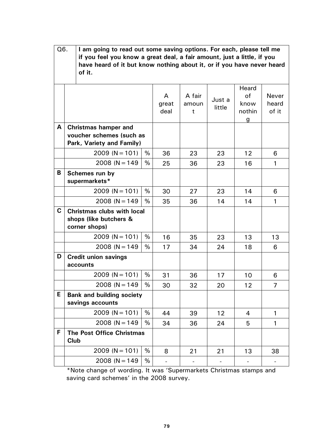|             | Q6.<br>I am going to read out some saving options. For each, please tell me<br>if you feel you know a great deal, a fair amount, just a little, if you<br>have heard of it but know nothing about it, or if you have never heard<br>of it. |      |                    |                      |                  |                                    |                         |
|-------------|--------------------------------------------------------------------------------------------------------------------------------------------------------------------------------------------------------------------------------------------|------|--------------------|----------------------|------------------|------------------------------------|-------------------------|
|             |                                                                                                                                                                                                                                            |      | A<br>great<br>deal | A fair<br>amoun<br>t | Just a<br>little | Heard<br>of<br>know<br>nothin<br>g | Never<br>heard<br>of it |
| A           | <b>Christmas hamper and</b><br>voucher schemes (such as<br>Park, Variety and Family)                                                                                                                                                       |      |                    |                      |                  |                                    |                         |
|             | $2009 (N = 101)$                                                                                                                                                                                                                           | %    | 36                 | 23                   | 23               | 12                                 | 6                       |
|             | $2008 (N = 149)$                                                                                                                                                                                                                           | %    | 25                 | 36                   | 23               | 16                                 | $\mathbf{1}$            |
| B           | Schemes run by<br>supermarkets*                                                                                                                                                                                                            |      |                    |                      |                  |                                    |                         |
|             | $2009 (N = 101)$                                                                                                                                                                                                                           | %    | 30                 | 27                   | 23               | 14                                 | 6                       |
|             | $2008 (N = 149)$                                                                                                                                                                                                                           | %    | 35                 | 36                   | 14               | 14                                 | $\mathbf{1}$            |
| $\mathbf C$ | <b>Christmas clubs with local</b><br>shops (like butchers &<br>corner shops)                                                                                                                                                               |      |                    |                      |                  |                                    |                         |
|             | $2009 (N = 101)$                                                                                                                                                                                                                           | %    | 16                 | 35                   | 23               | 13                                 | 13                      |
|             | $2008 (N = 149)$                                                                                                                                                                                                                           | %    | 17                 | 34                   | 24               | 18                                 | 6                       |
| D           | <b>Credit union savings</b><br>accounts                                                                                                                                                                                                    |      |                    |                      |                  |                                    |                         |
|             | $2009 (N = 101)$                                                                                                                                                                                                                           | %    | 31                 | 36                   | 17               | 10                                 | 6                       |
|             | $2008 (N = 149)$                                                                                                                                                                                                                           | %    | 30                 | 32                   | 20               | 12                                 | 7                       |
| E           | <b>Bank and building society</b><br>savings accounts                                                                                                                                                                                       |      |                    |                      |                  |                                    |                         |
|             | $2009 (N = 101)$                                                                                                                                                                                                                           | %    | 44                 | 39                   | 12               | 4                                  | 1                       |
|             | $2008 (N = 149)$                                                                                                                                                                                                                           | %    | 34                 | 36                   | 24               | 5                                  | 1                       |
| F           | <b>The Post Office Christmas</b><br>Club                                                                                                                                                                                                   |      |                    |                      |                  |                                    |                         |
|             | $2009 (N = 101)$                                                                                                                                                                                                                           | $\%$ | 8                  | 21                   | 21               | 13                                 | 38                      |
|             | $2008 (N = 149)$                                                                                                                                                                                                                           | %    |                    |                      |                  |                                    |                         |

\*Note change of wording. It was 'Supermarkets Christmas stamps and saving card schemes' in the 2008 survey.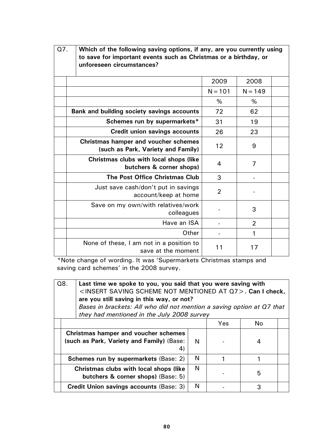| Q7. | Which of the following saving options, if any, are you currently using<br>to save for important events such as Christmas or a birthday, or<br>unforeseen circumstances? |                |                |  |
|-----|-------------------------------------------------------------------------------------------------------------------------------------------------------------------------|----------------|----------------|--|
|     |                                                                                                                                                                         | 2009           | 2008           |  |
|     |                                                                                                                                                                         | $N = 101$      | $N = 149$      |  |
|     |                                                                                                                                                                         | %              | %              |  |
|     | Bank and building society savings accounts                                                                                                                              | 72             | 62             |  |
|     | Schemes run by supermarkets*                                                                                                                                            | 31             | 19             |  |
|     | <b>Credit union savings accounts</b>                                                                                                                                    | 26             | 23             |  |
|     | <b>Christmas hamper and voucher schemes</b><br>(such as Park, Variety and Family)                                                                                       | 12             | 9              |  |
|     | Christmas clubs with local shops (like<br>butchers & corner shops)                                                                                                      | 4              | $\overline{7}$ |  |
|     | <b>The Post Office Christmas Club</b>                                                                                                                                   | 3              |                |  |
|     | Just save cash/don't put in savings<br>account/keep at home                                                                                                             | $\overline{2}$ |                |  |
|     | Save on my own/with relatives/work<br>colleagues                                                                                                                        |                | 3              |  |
|     | Have an ISA                                                                                                                                                             |                | $\overline{2}$ |  |
|     | Other                                                                                                                                                                   |                | 1              |  |
|     | None of these, I am not in a position to<br>save at the moment                                                                                                          | 11             | 17             |  |

\*Note change of wording. It was 'Supermarkets Christmas stamps and saving card schemes' in the 2008 survey.

| Q8.<br>Last time we spoke to you, you said that you were saving with<br><insert at="" mentioned="" not="" q7="" saving="" scheme="">. Can I check,<br/>are you still saving in this way, or not?<br/>Bases in brackets: All who did not mention a saving option at Q7 that<br/>they had mentioned in the July 2008 survey</insert> |                                                   |   |  |   |  |
|------------------------------------------------------------------------------------------------------------------------------------------------------------------------------------------------------------------------------------------------------------------------------------------------------------------------------------|---------------------------------------------------|---|--|---|--|
| Yes<br>No                                                                                                                                                                                                                                                                                                                          |                                                   |   |  |   |  |
| <b>Christmas hamper and voucher schemes</b><br>(such as Park, Variety and Family) (Base:<br>4)                                                                                                                                                                                                                                     |                                                   |   |  | 4 |  |
|                                                                                                                                                                                                                                                                                                                                    | N<br><b>Schemes run by supermarkets (Base: 2)</b> |   |  |   |  |
| <b>Christmas clubs with local shops (like)</b><br>butchers & corner shops) (Base: 5)                                                                                                                                                                                                                                               |                                                   | N |  | 5 |  |
|                                                                                                                                                                                                                                                                                                                                    | Credit Union savings accounts (Base: 3)           | N |  |   |  |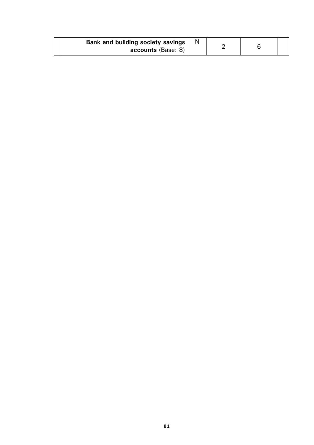| Bank and building society savings |  |  |
|-----------------------------------|--|--|
| accounts (Base: 8)                |  |  |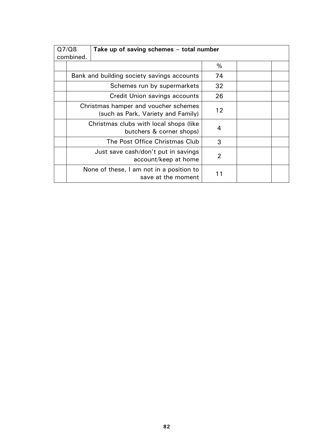| Q7/Q8     |                                      | Take up of saving schemes - total number                                   |                |  |
|-----------|--------------------------------------|----------------------------------------------------------------------------|----------------|--|
| combined. |                                      |                                                                            |                |  |
|           |                                      |                                                                            | %              |  |
|           |                                      | Bank and building society savings accounts                                 | 74             |  |
|           |                                      | Schemes run by supermarkets                                                | 32             |  |
|           | <b>Credit Union savings accounts</b> |                                                                            |                |  |
|           |                                      | Christmas hamper and voucher schemes<br>(such as Park, Variety and Family) |                |  |
|           |                                      | Christmas clubs with local shops (like<br>butchers & corner shops)         | $\overline{4}$ |  |
|           |                                      | The Post Office Christmas Club                                             | 3              |  |
|           |                                      | Just save cash/don't put in savings<br>account/keep at home                | $\overline{2}$ |  |
|           |                                      | None of these, I am not in a position to<br>save at the moment             | 11             |  |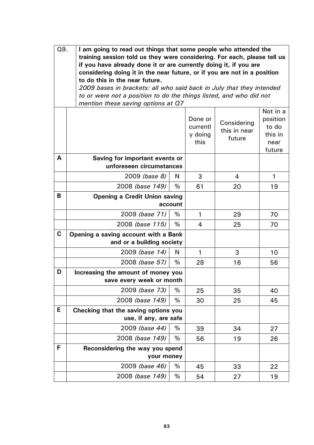| Q9.         | I am going to read out things that some people who attended the<br>training session told us they were considering. For each, please tell us<br>if you have already done it or are currently doing it, if you are<br>considering doing it in the near future, or if you are not in a position<br>to do this in the near future.<br>2009 bases in brackets: all who said back in July that they intended<br>to or were not a position to do the things listed, and who did not<br>mention these saving options at Q7 |      |                                        |                                       |                                                            |
|-------------|--------------------------------------------------------------------------------------------------------------------------------------------------------------------------------------------------------------------------------------------------------------------------------------------------------------------------------------------------------------------------------------------------------------------------------------------------------------------------------------------------------------------|------|----------------------------------------|---------------------------------------|------------------------------------------------------------|
|             |                                                                                                                                                                                                                                                                                                                                                                                                                                                                                                                    |      | Done or<br>currentl<br>y doing<br>this | Considering<br>this in near<br>future | Not in a<br>position<br>to do<br>this in<br>near<br>future |
| A           | Saving for important events or<br>unforeseen circumstances                                                                                                                                                                                                                                                                                                                                                                                                                                                         |      |                                        |                                       |                                                            |
|             | 2009 (base 8)                                                                                                                                                                                                                                                                                                                                                                                                                                                                                                      | N    | 3                                      | 4                                     | $\mathbf{1}$                                               |
|             | 2008 (base 149)                                                                                                                                                                                                                                                                                                                                                                                                                                                                                                    | %    | 61                                     | 20                                    | 19                                                         |
| B           | <b>Opening a Credit Union saving</b><br>account                                                                                                                                                                                                                                                                                                                                                                                                                                                                    |      |                                        |                                       |                                                            |
|             | 2009 (base 71)                                                                                                                                                                                                                                                                                                                                                                                                                                                                                                     | %    | $\mathbf{1}$                           | 29                                    | 70                                                         |
|             | 2008 (base 115)                                                                                                                                                                                                                                                                                                                                                                                                                                                                                                    | $\%$ | 4                                      | 25                                    | 70                                                         |
| $\mathbf C$ | Opening a saving account with a Bank<br>and or a building society                                                                                                                                                                                                                                                                                                                                                                                                                                                  |      |                                        |                                       |                                                            |
|             | 2009 (base 14)                                                                                                                                                                                                                                                                                                                                                                                                                                                                                                     | N    | $\mathbf{1}$                           | 3                                     | 10                                                         |
|             | 2008 (base 57)                                                                                                                                                                                                                                                                                                                                                                                                                                                                                                     | $\%$ | 28                                     | 16                                    | 56                                                         |
| D           | Increasing the amount of money you<br>save every week or month                                                                                                                                                                                                                                                                                                                                                                                                                                                     |      |                                        |                                       |                                                            |
|             | 2009 (base 73)                                                                                                                                                                                                                                                                                                                                                                                                                                                                                                     | %    | 25                                     | 35                                    | 40                                                         |
|             | 2008 (base 149)                                                                                                                                                                                                                                                                                                                                                                                                                                                                                                    | %    | 30                                     | 25                                    | 45                                                         |
| Е           | Checking that the saving options you<br>use, if any, are safe                                                                                                                                                                                                                                                                                                                                                                                                                                                      |      |                                        |                                       |                                                            |
|             | 2009 (base 44)                                                                                                                                                                                                                                                                                                                                                                                                                                                                                                     | %    | 39                                     | 34                                    | 27                                                         |
|             | 2008 (base 149)                                                                                                                                                                                                                                                                                                                                                                                                                                                                                                    | %    | 56                                     | 19                                    | 26                                                         |
| F           | Reconsidering the way you spend<br>your money                                                                                                                                                                                                                                                                                                                                                                                                                                                                      |      |                                        |                                       |                                                            |
|             | 2009 (base 46)                                                                                                                                                                                                                                                                                                                                                                                                                                                                                                     | %    | 45                                     | 33                                    | 22                                                         |
|             | 2008 (base 149)                                                                                                                                                                                                                                                                                                                                                                                                                                                                                                    | %    | 54                                     | 27                                    | 19                                                         |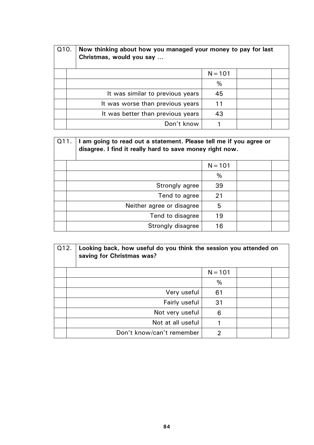| Q <sub>10</sub> . |  | Now thinking about how you managed your money to pay for last<br>Christmas, would you say |           |  |
|-------------------|--|-------------------------------------------------------------------------------------------|-----------|--|
|                   |  |                                                                                           | $N = 101$ |  |
|                   |  |                                                                                           | %         |  |
|                   |  | It was similar to previous years                                                          | 45        |  |
|                   |  | It was worse than previous years                                                          | 11        |  |
|                   |  | It was better than previous years                                                         | 43        |  |
|                   |  | Don't know                                                                                |           |  |

| Q11. |  | I am going to read out a statement. Please tell me if you agree or<br>disagree. I find it really hard to save money right now. |           |  |
|------|--|--------------------------------------------------------------------------------------------------------------------------------|-----------|--|
|      |  |                                                                                                                                | $N = 101$ |  |
|      |  |                                                                                                                                | %         |  |
|      |  | Strongly agree                                                                                                                 | 39        |  |
|      |  | Tend to agree                                                                                                                  | 21        |  |
|      |  | Neither agree or disagree                                                                                                      | 5         |  |
|      |  | Tend to disagree                                                                                                               | 19        |  |
|      |  | Strongly disagree                                                                                                              | 16        |  |

| Q12. |  | Looking back, how useful do you think the session you attended on<br>saving for Christmas was? |           |  |
|------|--|------------------------------------------------------------------------------------------------|-----------|--|
|      |  |                                                                                                | $N = 101$ |  |
|      |  |                                                                                                | %         |  |
|      |  | Very useful                                                                                    | 61        |  |
|      |  | Fairly useful                                                                                  | 31        |  |
|      |  | Not very useful                                                                                | 6         |  |
|      |  | Not at all useful                                                                              |           |  |
|      |  | Don't know/can't remember                                                                      | 2         |  |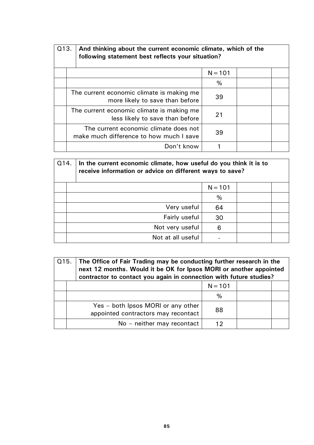| Q13. | And thinking about the current economic climate, which of the<br>following statement best reflects your situation? |           |  |  |
|------|--------------------------------------------------------------------------------------------------------------------|-----------|--|--|
|      |                                                                                                                    | $N = 101$ |  |  |
|      |                                                                                                                    | $\%$      |  |  |
|      | The current economic climate is making me<br>more likely to save than before                                       | 39        |  |  |
|      | The current economic climate is making me<br>less likely to save than before                                       | 21        |  |  |
|      | The current economic climate does not<br>make much difference to how much I save                                   | 39        |  |  |
|      | Don't know                                                                                                         |           |  |  |

| Q14. |  | In the current economic climate, how useful do you think it is to<br>receive information or advice on different ways to save? |           |  |
|------|--|-------------------------------------------------------------------------------------------------------------------------------|-----------|--|
|      |  |                                                                                                                               | $N = 101$ |  |
|      |  |                                                                                                                               | %         |  |
|      |  | Very useful                                                                                                                   | 64        |  |
|      |  | Fairly useful                                                                                                                 | 30        |  |
|      |  | Not very useful                                                                                                               | 6         |  |
|      |  | Not at all useful                                                                                                             |           |  |

| Q15. The Office of Fair Trading may be conducting further research in the<br>next 12 months. Would it be OK for Ipsos MORI or another appointed<br>contractor to contact you again in connection with future studies? |           |  |
|-----------------------------------------------------------------------------------------------------------------------------------------------------------------------------------------------------------------------|-----------|--|
|                                                                                                                                                                                                                       | $N = 101$ |  |
|                                                                                                                                                                                                                       | $\%$      |  |
| Yes – both Ipsos MORI or any other<br>appointed contractors may recontact                                                                                                                                             | 88        |  |
| No - neither may recontact                                                                                                                                                                                            | 12        |  |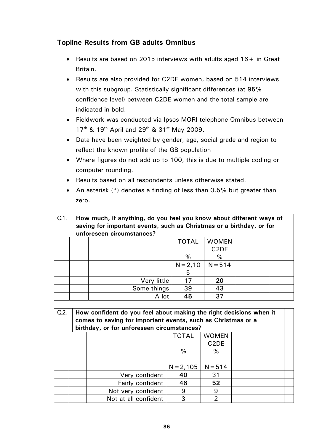## **Topline Results from GB adults Omnibus**

- Results are based on 2015 interviews with adults aged  $16 +$  in Great Britain.
- Results are also provided for C2DE women, based on 514 interviews with this subgroup. Statistically significant differences (at 95% confidence level) between C2DE women and the total sample are indicated in bold.
- Fieldwork was conducted via Ipsos MORI telephone Omnibus between 17<sup>th</sup> & 19<sup>th</sup> April and 29<sup>th</sup> & 31<sup>st</sup> May 2009.
- Data have been weighted by gender, age, social grade and region to reflect the known profile of the GB population
- Where figures do not add up to 100, this is due to multiple coding or computer rounding.
- Results based on all respondents unless otherwise stated.
- An asterisk (\*) denotes a finding of less than 0.5% but greater than zero.

| Q1. | How much, if anything, do you feel you know about different ways of<br>saving for important events, such as Christmas or a birthday, or for<br>unforeseen circumstances? |             |              |                   |  |  |  |  |  |
|-----|--------------------------------------------------------------------------------------------------------------------------------------------------------------------------|-------------|--------------|-------------------|--|--|--|--|--|
|     |                                                                                                                                                                          |             | <b>TOTAL</b> | <b>WOMEN</b>      |  |  |  |  |  |
|     |                                                                                                                                                                          |             |              | C <sub>2</sub> DE |  |  |  |  |  |
|     |                                                                                                                                                                          |             | %            | $\%$              |  |  |  |  |  |
|     |                                                                                                                                                                          |             | $N = 2,10$   | $N = 514$         |  |  |  |  |  |
|     |                                                                                                                                                                          |             | 5            |                   |  |  |  |  |  |
|     |                                                                                                                                                                          | Very little | 17           | 20                |  |  |  |  |  |
|     |                                                                                                                                                                          | Some things | 39           | 43                |  |  |  |  |  |
|     |                                                                                                                                                                          | A lot       | 45           | 37                |  |  |  |  |  |

| Q2. | How confident do you feel about making the right decisions when it<br>comes to saving for important events, such as Christmas or a<br>birthday, or for unforeseen circumstances? |                      |              |                               |  |  |  |  |
|-----|----------------------------------------------------------------------------------------------------------------------------------------------------------------------------------|----------------------|--------------|-------------------------------|--|--|--|--|
|     |                                                                                                                                                                                  |                      | <b>TOTAL</b> | <b>WOMEN</b>                  |  |  |  |  |
|     |                                                                                                                                                                                  |                      |              | C <sub>2</sub> D <sub>E</sub> |  |  |  |  |
|     |                                                                                                                                                                                  |                      | %            | %                             |  |  |  |  |
|     |                                                                                                                                                                                  |                      |              |                               |  |  |  |  |
|     |                                                                                                                                                                                  |                      | $N = 2,105$  | $N = 514$                     |  |  |  |  |
|     |                                                                                                                                                                                  | Very confident       | 40           | 31                            |  |  |  |  |
|     |                                                                                                                                                                                  | Fairly confident     | 46           | 52                            |  |  |  |  |
|     |                                                                                                                                                                                  | Not very confident   | 9            | 9                             |  |  |  |  |
|     |                                                                                                                                                                                  | Not at all confident | 3            | っ                             |  |  |  |  |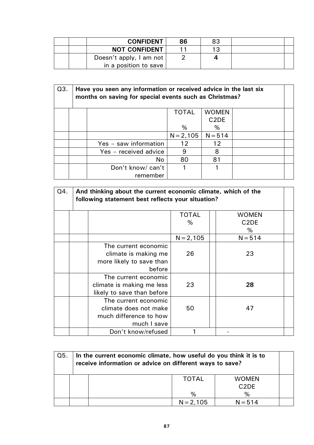|  | <b>CONFIDENT</b>        | 86 | 83 |  |
|--|-------------------------|----|----|--|
|  | <b>NOT CONFIDENT</b>    |    | 13 |  |
|  | Doesn't apply, I am not |    |    |  |
|  | in a position to save   |    |    |  |

| Q3. |                       | Have you seen any information or received advice in the last six<br>months on saving for special events such as Christmas? |                               |  |  |  |  |  |  |  |  |
|-----|-----------------------|----------------------------------------------------------------------------------------------------------------------------|-------------------------------|--|--|--|--|--|--|--|--|
|     |                       | <b>TOTAL</b>                                                                                                               | <b>WOMEN</b>                  |  |  |  |  |  |  |  |  |
|     |                       |                                                                                                                            | C <sub>2</sub> D <sub>E</sub> |  |  |  |  |  |  |  |  |
|     |                       | $\%$                                                                                                                       | %                             |  |  |  |  |  |  |  |  |
|     |                       | $N = 2,105$                                                                                                                | $N = 514$                     |  |  |  |  |  |  |  |  |
|     | Yes - saw information | 12                                                                                                                         | 12                            |  |  |  |  |  |  |  |  |
|     | Yes - received advice | 9                                                                                                                          | 8                             |  |  |  |  |  |  |  |  |
|     | No.                   | 80                                                                                                                         | 81                            |  |  |  |  |  |  |  |  |
|     | Don't know/ can't     |                                                                                                                            |                               |  |  |  |  |  |  |  |  |
|     | remember              |                                                                                                                            |                               |  |  |  |  |  |  |  |  |

| Q4. | And thinking about the current economic climate, which of the<br>following statement best reflects your situation? |              |                                    |  |  |  |  |  |  |
|-----|--------------------------------------------------------------------------------------------------------------------|--------------|------------------------------------|--|--|--|--|--|--|
|     |                                                                                                                    | <b>TOTAL</b> | <b>WOMEN</b>                       |  |  |  |  |  |  |
|     |                                                                                                                    | %            | C <sub>2</sub> D <sub>E</sub><br>% |  |  |  |  |  |  |
|     |                                                                                                                    | $N = 2,105$  | $N = 514$                          |  |  |  |  |  |  |
|     | The current economic<br>climate is making me<br>more likely to save than<br>before                                 | 26           | 23                                 |  |  |  |  |  |  |
|     | The current economic<br>climate is making me less<br>likely to save than before                                    | 23           | 28                                 |  |  |  |  |  |  |
|     | The current economic<br>climate does not make<br>much difference to how<br>much I save                             | 50           | 47                                 |  |  |  |  |  |  |
|     | Don't know/refused                                                                                                 |              |                                    |  |  |  |  |  |  |

| Q5. | In the current economic climate, how useful do you think it is to<br>receive information or advice on different ways to save? |              |                               |  |  |  |  |  |  |
|-----|-------------------------------------------------------------------------------------------------------------------------------|--------------|-------------------------------|--|--|--|--|--|--|
|     |                                                                                                                               | <b>TOTAL</b> | <b>WOMEN</b>                  |  |  |  |  |  |  |
|     |                                                                                                                               |              | C <sub>2</sub> D <sub>E</sub> |  |  |  |  |  |  |
|     |                                                                                                                               | %            | %                             |  |  |  |  |  |  |
|     |                                                                                                                               | $N = 2,105$  | $N = 514$                     |  |  |  |  |  |  |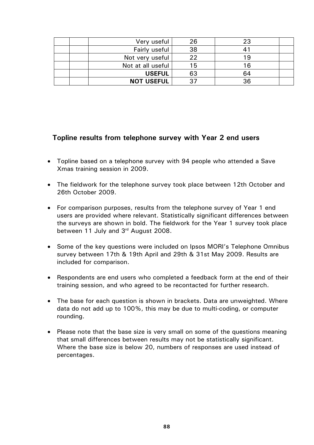| Very useful       | 26 | 23 |  |
|-------------------|----|----|--|
| Fairly useful     | 38 |    |  |
| Not very useful   | 22 | 19 |  |
| Not at all useful | 15 | 16 |  |
| <b>USEFUL</b>     | 63 | 64 |  |
| <b>NOT USEFUL</b> |    | 36 |  |

### **Topline results from telephone survey with Year 2 end users**

- Topline based on a telephone survey with 94 people who attended a Save Xmas training session in 2009.
- The fieldwork for the telephone survey took place between 12th October and 26th October 2009.
- For comparison purposes, results from the telephone survey of Year 1 end users are provided where relevant. Statistically significant differences between the surveys are shown in bold. The fieldwork for the Year 1 survey took place between 11 July and 3<sup>rd</sup> August 2008.
- Some of the key questions were included on Ipsos MORI's Telephone Omnibus survey between 17th & 19th April and 29th & 31st May 2009. Results are included for comparison.
- Respondents are end users who completed a feedback form at the end of their training session, and who agreed to be recontacted for further research.
- The base for each question is shown in brackets. Data are unweighted. Where data do not add up to 100%, this may be due to multi-coding, or computer rounding.
- Please note that the base size is very small on some of the questions meaning that small differences between results may not be statistically significant. Where the base size is below 20, numbers of responses are used instead of percentages.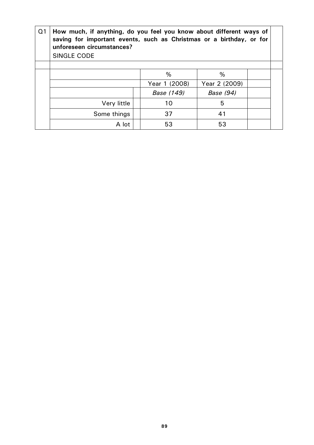| Q <sub>1</sub> | How much, if anything, do you feel you know about different ways of<br>saving for important events, such as Christmas or a birthday, or for<br>unforeseen circumstances?<br><b>SINGLE CODE</b> |  |               |               |  |  |  |  |
|----------------|------------------------------------------------------------------------------------------------------------------------------------------------------------------------------------------------|--|---------------|---------------|--|--|--|--|
|                |                                                                                                                                                                                                |  |               |               |  |  |  |  |
|                |                                                                                                                                                                                                |  | %             | %             |  |  |  |  |
|                |                                                                                                                                                                                                |  | Year 1 (2008) | Year 2 (2009) |  |  |  |  |
|                |                                                                                                                                                                                                |  | Base (149)    | Base (94)     |  |  |  |  |
|                | Very little                                                                                                                                                                                    |  | 10            | 5             |  |  |  |  |
|                | Some things                                                                                                                                                                                    |  | 37            | 41            |  |  |  |  |
|                | A lot                                                                                                                                                                                          |  | 53            | 53            |  |  |  |  |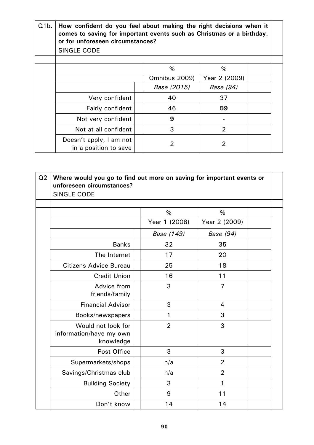| Q1b. | How confident do you feel about making the right decisions when it<br>comes to saving for important events such as Christmas or a birthday,<br>or for unforeseen circumstances? |  |               |                |  |  |  |  |  |  |
|------|---------------------------------------------------------------------------------------------------------------------------------------------------------------------------------|--|---------------|----------------|--|--|--|--|--|--|
|      | <b>SINGLE CODE</b>                                                                                                                                                              |  |               |                |  |  |  |  |  |  |
|      |                                                                                                                                                                                 |  |               |                |  |  |  |  |  |  |
|      |                                                                                                                                                                                 |  | %             | %              |  |  |  |  |  |  |
|      |                                                                                                                                                                                 |  | Omnibus 2009) | Year 2 (2009)  |  |  |  |  |  |  |
|      |                                                                                                                                                                                 |  | Base (2015)   | Base (94)      |  |  |  |  |  |  |
|      | Very confident                                                                                                                                                                  |  | 40            | 37             |  |  |  |  |  |  |
|      | Fairly confident                                                                                                                                                                |  | 46            | 59             |  |  |  |  |  |  |
|      | Not very confident                                                                                                                                                              |  | 9             |                |  |  |  |  |  |  |
|      | Not at all confident                                                                                                                                                            |  | 3             | $\overline{2}$ |  |  |  |  |  |  |
|      | Doesn't apply, I am not<br>in a position to save                                                                                                                                |  | 2             | 2              |  |  |  |  |  |  |

| Q <sub>2</sub> | Where would you go to find out more on saving for important events or<br>unforeseen circumstances?<br><b>SINGLE CODE</b> |                |                    |  |
|----------------|--------------------------------------------------------------------------------------------------------------------------|----------------|--------------------|--|
|                |                                                                                                                          |                |                    |  |
|                |                                                                                                                          | %              | %<br>Year 2 (2009) |  |
|                |                                                                                                                          | Year 1 (2008)  |                    |  |
|                |                                                                                                                          | Base (149)     | Base (94)          |  |
|                | <b>Banks</b>                                                                                                             | 32             | 35                 |  |
|                | The Internet                                                                                                             | 17             | 20                 |  |
|                | <b>Citizens Advice Bureau</b>                                                                                            | 25             | 18                 |  |
|                | <b>Credit Union</b>                                                                                                      | 16             | 11                 |  |
|                | Advice from<br>friends/family                                                                                            | 3              | $\overline{7}$     |  |
|                | <b>Financial Advisor</b>                                                                                                 | 3              | $\overline{4}$     |  |
|                | Books/newspapers                                                                                                         | 1              | 3                  |  |
|                | Would not look for<br>information/have my own<br>knowledge                                                               | $\overline{2}$ | 3                  |  |
|                | Post Office                                                                                                              | 3              | 3                  |  |
|                | Supermarkets/shops                                                                                                       | n/a            | $\overline{2}$     |  |
|                | Savings/Christmas club                                                                                                   | n/a            | $\overline{2}$     |  |
|                | <b>Building Society</b>                                                                                                  | 3              | 1                  |  |
|                | Other                                                                                                                    | 9              | 11                 |  |
|                | Don't know                                                                                                               | 14             | 14                 |  |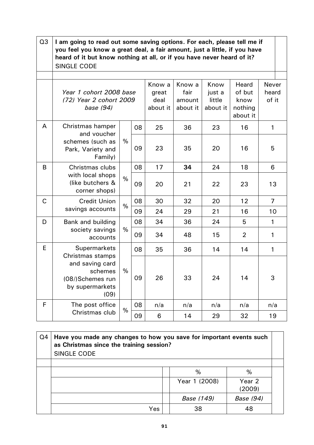| Q <sub>3</sub> | I am going to read out some saving options. For each, please tell me if<br>you feel you know a great deal, a fair amount, just a little, if you have<br>heard of it but know nothing at all, or if you have never heard of it?<br><b>SINGLE CODE</b> |               |    |                                     |                                      |                                      |                                                |                                |  |  |  |
|----------------|------------------------------------------------------------------------------------------------------------------------------------------------------------------------------------------------------------------------------------------------------|---------------|----|-------------------------------------|--------------------------------------|--------------------------------------|------------------------------------------------|--------------------------------|--|--|--|
|                | Year 1 cohort 2008 base<br>(72) Year 2 cohort 2009<br>base (94)                                                                                                                                                                                      |               |    | Know a<br>great<br>deal<br>about it | Know a<br>fair<br>amount<br>about it | Know<br>just a<br>little<br>about it | Heard<br>of but<br>know<br>nothing<br>about it | <b>Never</b><br>heard<br>of it |  |  |  |
| A              | Christmas hamper<br>and voucher                                                                                                                                                                                                                      |               | 08 | 25                                  | 36                                   | 23                                   | 16                                             | 1                              |  |  |  |
|                | schemes (such as<br>Park, Variety and<br>Family)                                                                                                                                                                                                     | %             | 09 | 23                                  | 35                                   | 20                                   | 16                                             | 5                              |  |  |  |
| B              | Christmas clubs                                                                                                                                                                                                                                      |               | 08 | 17                                  | 34                                   | 24                                   | 18                                             | 6                              |  |  |  |
|                | with local shops<br>(like butchers &<br>corner shops)                                                                                                                                                                                                | $\frac{0}{0}$ | 09 | 20                                  | 21                                   | 22                                   | 23                                             | 13                             |  |  |  |
| C              | <b>Credit Union</b>                                                                                                                                                                                                                                  | $\%$          | 08 | 30                                  | 32                                   | 20                                   | 12                                             | $\overline{7}$                 |  |  |  |
|                | savings accounts                                                                                                                                                                                                                                     |               | 09 | 24                                  | 29                                   | 21                                   | 16                                             | 10                             |  |  |  |
| D              | Bank and building                                                                                                                                                                                                                                    |               | 08 | 34                                  | 36                                   | 24                                   | 5                                              | $\mathbf{1}$                   |  |  |  |
|                | society savings<br>accounts                                                                                                                                                                                                                          | $\%$          | 09 | 34                                  | 48                                   | 15                                   | $\overline{2}$                                 | 1                              |  |  |  |
| E              | <b>Supermarkets</b><br>Christmas stamps                                                                                                                                                                                                              |               | 08 | 35                                  | 36                                   | 14                                   | 14                                             | 1                              |  |  |  |
|                | and saving card<br>schemes<br>(08/)Schemes run<br>by supermarkets<br>(09)                                                                                                                                                                            | $\%$          | 09 | 26                                  | 33                                   | 24                                   | 14                                             | 3                              |  |  |  |
| F              | The post office                                                                                                                                                                                                                                      | %             | 08 | n/a                                 | n/a                                  | n/a                                  | n/a                                            | n/a                            |  |  |  |
|                | Christmas club                                                                                                                                                                                                                                       |               | 09 | 6                                   | 14                                   | 29                                   | 32                                             | 19                             |  |  |  |

| Q4 | Have you made any changes to how you save for important events such<br>as Christmas since the training session?<br>SINGLE CODE |  |               |                  |  |  |  |
|----|--------------------------------------------------------------------------------------------------------------------------------|--|---------------|------------------|--|--|--|
|    |                                                                                                                                |  | %             | %                |  |  |  |
|    |                                                                                                                                |  | Year 1 (2008) | Year 2<br>(2009) |  |  |  |
|    |                                                                                                                                |  | Base (149)    | <b>Base (94)</b> |  |  |  |
|    | Yes                                                                                                                            |  | 38            | 48               |  |  |  |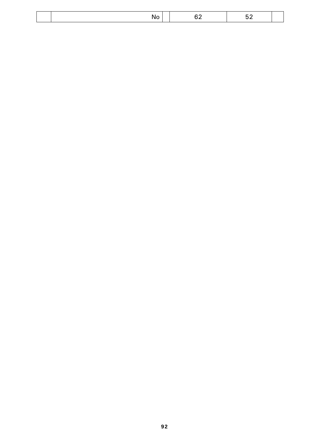|--|--|--|--|--|

 $\overline{\phantom{a}}$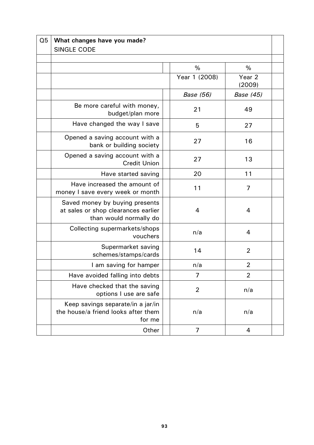| Q <sub>5</sub> | What changes have you made?<br><b>SINGLE CODE</b>                                               |  |               |                             |  |  |  |
|----------------|-------------------------------------------------------------------------------------------------|--|---------------|-----------------------------|--|--|--|
|                |                                                                                                 |  |               |                             |  |  |  |
|                |                                                                                                 |  | %             | %                           |  |  |  |
|                |                                                                                                 |  | Year 1 (2008) | Year <sub>2</sub><br>(2009) |  |  |  |
|                |                                                                                                 |  | Base (56)     | Base (45)                   |  |  |  |
|                | Be more careful with money,<br>budget/plan more                                                 |  | 21            | 49                          |  |  |  |
|                | Have changed the way I save                                                                     |  | 5             | 27                          |  |  |  |
|                | Opened a saving account with a<br>bank or building society                                      |  | 27            | 16                          |  |  |  |
|                | Opened a saving account with a<br><b>Credit Union</b>                                           |  | 27            | 13                          |  |  |  |
|                | Have started saving                                                                             |  | 20            | 11                          |  |  |  |
|                | Have increased the amount of<br>money I save every week or month                                |  | 11            | 7                           |  |  |  |
|                | Saved money by buying presents<br>at sales or shop clearances earlier<br>than would normally do |  | 4             | 4                           |  |  |  |
|                | Collecting supermarkets/shops<br>vouchers                                                       |  | n/a           | $\overline{4}$              |  |  |  |
|                | Supermarket saving<br>schemes/stamps/cards                                                      |  | 14            | $\overline{2}$              |  |  |  |
|                | I am saving for hamper                                                                          |  | n/a           | $\overline{2}$              |  |  |  |
|                | Have avoided falling into debts                                                                 |  | 7             | 2                           |  |  |  |
|                | Have checked that the saving<br>options I use are safe                                          |  | 2             | n/a                         |  |  |  |
|                | Keep savings separate/in a jar/in<br>the house/a friend looks after them<br>for me              |  | n/a           | n/a                         |  |  |  |
|                | Other                                                                                           |  | 7             | 4                           |  |  |  |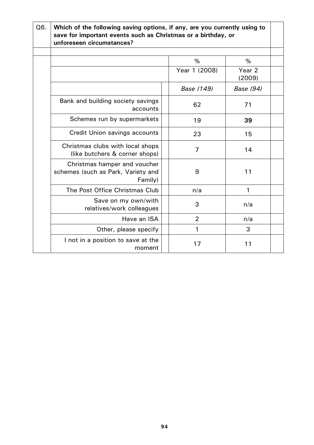| Q6. | Which of the following saving options, if any, are you currently using to<br>save for important events such as Christmas or a birthday, or<br>unforeseen circumstances? |  |                |                             |  |  |  |
|-----|-------------------------------------------------------------------------------------------------------------------------------------------------------------------------|--|----------------|-----------------------------|--|--|--|
|     |                                                                                                                                                                         |  |                |                             |  |  |  |
|     |                                                                                                                                                                         |  | %              | %                           |  |  |  |
|     |                                                                                                                                                                         |  | Year 1 (2008)  | Year <sub>2</sub><br>(2009) |  |  |  |
|     |                                                                                                                                                                         |  | Base (149)     | Base (94)                   |  |  |  |
|     | Bank and building society savings<br>accounts                                                                                                                           |  | 62             | 71                          |  |  |  |
|     | Schemes run by supermarkets                                                                                                                                             |  | 19             | 39                          |  |  |  |
|     | <b>Credit Union savings accounts</b>                                                                                                                                    |  | 23             | 15                          |  |  |  |
|     | Christmas clubs with local shops<br>(like butchers & corner shops)                                                                                                      |  | 7              | 14                          |  |  |  |
|     | Christmas hamper and voucher<br>schemes (such as Park, Variety and<br>Family)                                                                                           |  | 9              | 11                          |  |  |  |
|     | The Post Office Christmas Club                                                                                                                                          |  | n/a            | 1                           |  |  |  |
|     | Save on my own/with<br>relatives/work colleagues                                                                                                                        |  | 3              | n/a                         |  |  |  |
|     | Have an ISA                                                                                                                                                             |  | $\overline{2}$ | n/a                         |  |  |  |
|     | Other, please specify                                                                                                                                                   |  | 1              | 3                           |  |  |  |
|     | I not in a position to save at the<br>moment                                                                                                                            |  | 17             | 11                          |  |  |  |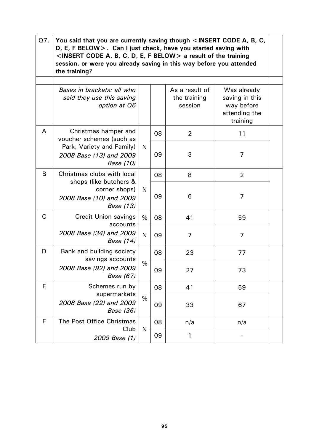| Q7.          | You said that you are currently saving though <insert a,="" b,="" c,<br="" code="">D, E, F BELOW &gt;. Can I just check, have you started saving with<br/><insert a,="" b,="" below="" c,="" code="" d,="" e,="" f=""> a result of the training<br/>session, or were you already saving in this way before you attended<br/>the training?</insert></insert> |      |    |                                           |                                                                          |  |  |  |  |
|--------------|-------------------------------------------------------------------------------------------------------------------------------------------------------------------------------------------------------------------------------------------------------------------------------------------------------------------------------------------------------------|------|----|-------------------------------------------|--------------------------------------------------------------------------|--|--|--|--|
|              |                                                                                                                                                                                                                                                                                                                                                             |      |    |                                           |                                                                          |  |  |  |  |
|              | Bases in brackets: all who<br>said they use this saving<br>option at Q6                                                                                                                                                                                                                                                                                     |      |    | As a result of<br>the training<br>session | Was already<br>saving in this<br>way before<br>attending the<br>training |  |  |  |  |
| A            | Christmas hamper and<br>voucher schemes (such as                                                                                                                                                                                                                                                                                                            |      | 08 | $\overline{2}$                            | 11                                                                       |  |  |  |  |
|              | Park, Variety and Family)<br>2008 Base (13) and 2009<br>Base (10)                                                                                                                                                                                                                                                                                           | N    | 09 | 3                                         | 7                                                                        |  |  |  |  |
| B            | Christmas clubs with local<br>shops (like butchers &                                                                                                                                                                                                                                                                                                        | N    | 08 | 8                                         | $\overline{2}$                                                           |  |  |  |  |
|              | corner shops)<br>2008 Base (10) and 2009<br>Base (13)                                                                                                                                                                                                                                                                                                       |      | 09 | 6                                         | 7                                                                        |  |  |  |  |
| C            | <b>Credit Union savings</b><br>accounts                                                                                                                                                                                                                                                                                                                     | $\%$ | 08 | 41                                        | 59                                                                       |  |  |  |  |
|              | 2008 Base (34) and 2009<br>Base (14)                                                                                                                                                                                                                                                                                                                        | N    | 09 | 7                                         | 7                                                                        |  |  |  |  |
| D            | Bank and building society<br>savings accounts                                                                                                                                                                                                                                                                                                               |      | 08 | 23                                        | 77                                                                       |  |  |  |  |
|              | 2008 Base (92) and 2009<br>Base (67)                                                                                                                                                                                                                                                                                                                        | %    | 09 | 27                                        | 73                                                                       |  |  |  |  |
| E            | Schemes run by<br>supermarkets                                                                                                                                                                                                                                                                                                                              |      | 08 | 41                                        | 59                                                                       |  |  |  |  |
|              | 2008 Base (22) and 2009<br><b>Base (36)</b>                                                                                                                                                                                                                                                                                                                 | %    | 09 | 33                                        | 67                                                                       |  |  |  |  |
| $\mathsf{F}$ | The Post Office Christmas                                                                                                                                                                                                                                                                                                                                   |      | 08 | n/a                                       | n/a                                                                      |  |  |  |  |
|              | Club<br>2009 Base (1)                                                                                                                                                                                                                                                                                                                                       | N    | 09 | 1                                         |                                                                          |  |  |  |  |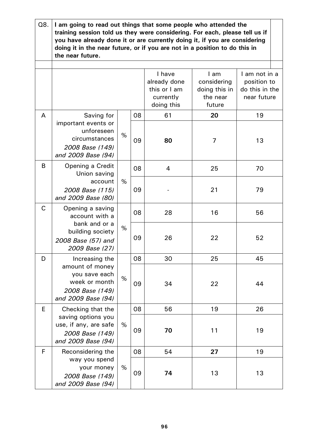| Q8.          | I am going to read out things that some people who attended the<br>training session told us they were considering. For each, please tell us if<br>you have already done it or are currently doing it, if you are considering<br>doing it in the near future, or if you are not in a position to do this in<br>the near future. |      |    |                                                                   |                                                            |                                                               |  |  |  |  |
|--------------|--------------------------------------------------------------------------------------------------------------------------------------------------------------------------------------------------------------------------------------------------------------------------------------------------------------------------------|------|----|-------------------------------------------------------------------|------------------------------------------------------------|---------------------------------------------------------------|--|--|--|--|
|              |                                                                                                                                                                                                                                                                                                                                |      |    |                                                                   |                                                            |                                                               |  |  |  |  |
|              |                                                                                                                                                                                                                                                                                                                                |      |    | I have<br>already done<br>this or I am<br>currently<br>doing this | I am<br>considering<br>doing this in<br>the near<br>future | I am not in a<br>position to<br>do this in the<br>near future |  |  |  |  |
| A            | Saving for                                                                                                                                                                                                                                                                                                                     |      | 08 | 61                                                                | 20                                                         | 19                                                            |  |  |  |  |
|              | important events or<br>unforeseen<br>circumstances<br>2008 Base (149)<br>and 2009 Base (94)                                                                                                                                                                                                                                    | %    | 09 | 80                                                                | 7                                                          | 13                                                            |  |  |  |  |
| B            | Opening a Credit<br>Union saving                                                                                                                                                                                                                                                                                               |      | 08 | 4                                                                 | 25                                                         | 70                                                            |  |  |  |  |
|              | account<br>2008 Base (115)<br>and 2009 Base (80)                                                                                                                                                                                                                                                                               | %    | 09 |                                                                   | 21                                                         | 79                                                            |  |  |  |  |
| $\mathsf{C}$ | Opening a saving<br>account with a                                                                                                                                                                                                                                                                                             |      | 08 | 28                                                                | 16                                                         | 56                                                            |  |  |  |  |
|              | bank and or a<br>building society<br>2008 Base (57) and<br>2009 Base (27)                                                                                                                                                                                                                                                      | %    | 09 | 26                                                                | 22                                                         | 52                                                            |  |  |  |  |
| D            | Increasing the                                                                                                                                                                                                                                                                                                                 |      | 08 | 30                                                                | 25                                                         | 45                                                            |  |  |  |  |
|              | amount of money<br>you save each<br>week or month<br>2008 Base (149)<br>and 2009 Base (94)                                                                                                                                                                                                                                     | $\%$ | 09 | 34                                                                | 22                                                         | 44                                                            |  |  |  |  |
| E            | Checking that the                                                                                                                                                                                                                                                                                                              |      | 08 | 56                                                                | 19                                                         | 26                                                            |  |  |  |  |
|              | saving options you<br>use, if any, are safe<br>2008 Base (149)<br>and 2009 Base (94)                                                                                                                                                                                                                                           | %    | 09 | 70                                                                | 11                                                         | 19                                                            |  |  |  |  |
| F            | Reconsidering the                                                                                                                                                                                                                                                                                                              |      | 08 | 54                                                                | 27                                                         | 19                                                            |  |  |  |  |
|              | way you spend<br>your money<br>2008 Base (149)<br>and 2009 Base (94)                                                                                                                                                                                                                                                           | %    | 09 | 74                                                                | 13                                                         | 13                                                            |  |  |  |  |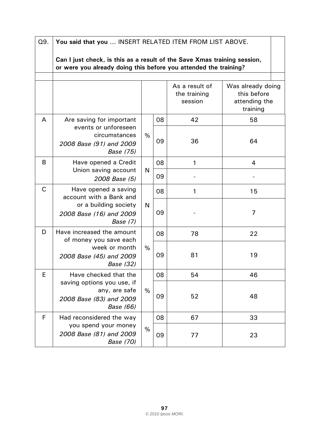| Q9.         | You said that you  INSERT RELATED ITEM FROM LIST ABOVE.                                                                                      |      |    |                                           |                                                               |  |  |  |  |
|-------------|----------------------------------------------------------------------------------------------------------------------------------------------|------|----|-------------------------------------------|---------------------------------------------------------------|--|--|--|--|
|             | Can I just check, is this as a result of the Save Xmas training session,<br>or were you already doing this before you attended the training? |      |    |                                           |                                                               |  |  |  |  |
|             |                                                                                                                                              |      |    | As a result of<br>the training<br>session | Was already doing<br>this before<br>attending the<br>training |  |  |  |  |
| A           | Are saving for important                                                                                                                     |      | 08 | 42                                        | 58                                                            |  |  |  |  |
|             | events or unforeseen<br>circumstances<br>2008 Base (91) and 2009<br>Base (75)                                                                | $\%$ | 09 | 36                                        | 64                                                            |  |  |  |  |
| B           | Have opened a Credit                                                                                                                         |      | 08 | 1                                         | 4                                                             |  |  |  |  |
|             | Union saving account<br>2008 Base (5)                                                                                                        | N    | 09 |                                           |                                                               |  |  |  |  |
| $\mathsf C$ | Have opened a saving<br>account with a Bank and                                                                                              |      | 08 | 1                                         | 15                                                            |  |  |  |  |
|             | or a building society<br>2008 Base (16) and 2009<br>Base (7)                                                                                 | N    | 09 |                                           | 7                                                             |  |  |  |  |
| D           | Have increased the amount<br>of money you save each                                                                                          |      | 08 | 78                                        | 22                                                            |  |  |  |  |
|             | week or month<br>2008 Base (45) and 2009<br>Base (32)                                                                                        | $\%$ | 09 | 81                                        | 19                                                            |  |  |  |  |
| E           | Have checked that the                                                                                                                        |      | 08 | 54                                        | 46                                                            |  |  |  |  |
|             | saving options you use, if<br>any, are safe<br>2008 Base (83) and 2009<br><b>Base</b> (66)                                                   | $\%$ | 09 | 52                                        | 48                                                            |  |  |  |  |
| F           | Had reconsidered the way                                                                                                                     |      | 08 | 67                                        | 33                                                            |  |  |  |  |
|             | you spend your money<br>2008 Base (81) and 2009<br>Base (70)                                                                                 | $\%$ | 09 | 77                                        | 23                                                            |  |  |  |  |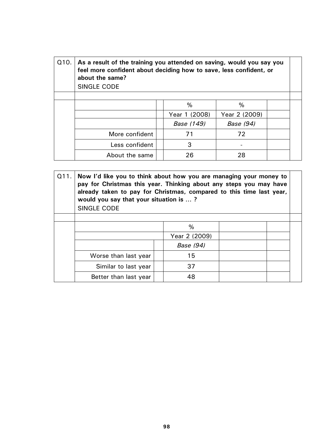| Q <sub>10</sub> . | As a result of the training you attended on saving, would you say you<br>feel more confident about deciding how to save, less confident, or<br>about the same?<br>SINGLE CODE |               |               |  |  |  |  |
|-------------------|-------------------------------------------------------------------------------------------------------------------------------------------------------------------------------|---------------|---------------|--|--|--|--|
|                   |                                                                                                                                                                               |               |               |  |  |  |  |
|                   |                                                                                                                                                                               | %             | %             |  |  |  |  |
|                   |                                                                                                                                                                               | Year 1 (2008) | Year 2 (2009) |  |  |  |  |
|                   |                                                                                                                                                                               | Base (149)    | Base (94)     |  |  |  |  |
|                   | More confident                                                                                                                                                                | 71            | 72            |  |  |  |  |
|                   | Less confident                                                                                                                                                                | 3             |               |  |  |  |  |
|                   | About the same                                                                                                                                                                | 26            | 28            |  |  |  |  |

| Q11. | Now I'd like you to think about how you are managing your money to<br>pay for Christmas this year. Thinking about any steps you may have<br>already taken to pay for Christmas, compared to this time last year,<br>would you say that your situation is ? |  |               |  |  |  |  |  |
|------|------------------------------------------------------------------------------------------------------------------------------------------------------------------------------------------------------------------------------------------------------------|--|---------------|--|--|--|--|--|
|      | <b>SINGLE CODE</b>                                                                                                                                                                                                                                         |  |               |  |  |  |  |  |
|      |                                                                                                                                                                                                                                                            |  |               |  |  |  |  |  |
|      |                                                                                                                                                                                                                                                            |  | $\%$          |  |  |  |  |  |
|      |                                                                                                                                                                                                                                                            |  | Year 2 (2009) |  |  |  |  |  |
|      |                                                                                                                                                                                                                                                            |  | Base (94)     |  |  |  |  |  |
|      | Worse than last year                                                                                                                                                                                                                                       |  | 15            |  |  |  |  |  |
|      | Similar to last year                                                                                                                                                                                                                                       |  | 37            |  |  |  |  |  |
|      | Better than last year                                                                                                                                                                                                                                      |  | 48            |  |  |  |  |  |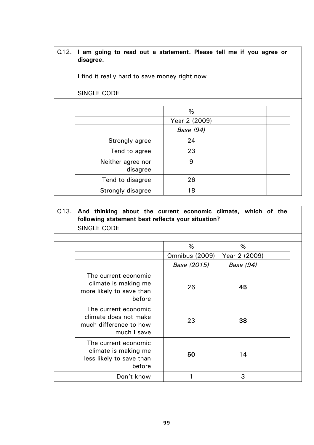| Q12. | I am going to read out a statement. Please tell me if you agree or<br>disagree. |               |  |  |  |  |  |
|------|---------------------------------------------------------------------------------|---------------|--|--|--|--|--|
|      | I find it really hard to save money right now                                   |               |  |  |  |  |  |
|      | <b>SINGLE CODE</b>                                                              |               |  |  |  |  |  |
|      |                                                                                 |               |  |  |  |  |  |
|      |                                                                                 | $\%$          |  |  |  |  |  |
|      |                                                                                 | Year 2 (2009) |  |  |  |  |  |
|      |                                                                                 | Base (94)     |  |  |  |  |  |
|      | Strongly agree                                                                  | 24            |  |  |  |  |  |
|      | Tend to agree                                                                   | 23            |  |  |  |  |  |
|      | Neither agree nor<br>disagree                                                   | 9             |  |  |  |  |  |
|      | Tend to disagree                                                                | 26            |  |  |  |  |  |
|      | Strongly disagree                                                               | 18            |  |  |  |  |  |

| Q13. | And thinking about the current economic climate, which of the<br>following statement best reflects your situation?<br><b>SINGLE CODE</b> |  |                     |                    |  |  |  |
|------|------------------------------------------------------------------------------------------------------------------------------------------|--|---------------------|--------------------|--|--|--|
|      |                                                                                                                                          |  | %<br>Omnibus (2009) | %<br>Year 2 (2009) |  |  |  |
|      |                                                                                                                                          |  | Base (2015)         | Base (94)          |  |  |  |
|      | The current economic<br>climate is making me<br>more likely to save than<br>before                                                       |  | 26                  | 45                 |  |  |  |
|      | The current economic<br>climate does not make<br>much difference to how<br>much I save                                                   |  | 23                  | 38                 |  |  |  |
|      | The current economic<br>climate is making me<br>less likely to save than<br>before                                                       |  | 50                  | 14                 |  |  |  |
|      | Don't know                                                                                                                               |  |                     | 3                  |  |  |  |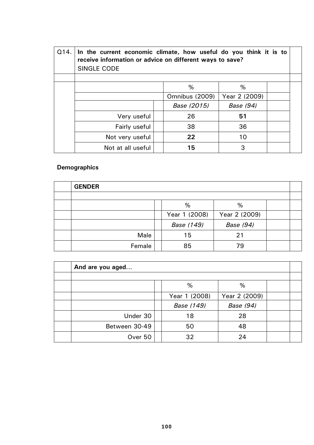| Q14. | In the current economic climate, how useful do you think it is to<br>receive information or advice on different ways to save?<br><b>SINGLE CODE</b> |  |                |               |  |  |  |  |
|------|-----------------------------------------------------------------------------------------------------------------------------------------------------|--|----------------|---------------|--|--|--|--|
|      |                                                                                                                                                     |  | $\%$           | %             |  |  |  |  |
|      |                                                                                                                                                     |  | Omnibus (2009) | Year 2 (2009) |  |  |  |  |
|      |                                                                                                                                                     |  | Base (2015)    | Base (94)     |  |  |  |  |
|      | Very useful                                                                                                                                         |  | 26             | 51            |  |  |  |  |
|      | Fairly useful                                                                                                                                       |  | 38             | 36            |  |  |  |  |
|      | Not very useful                                                                                                                                     |  | 22             | 10            |  |  |  |  |
|      | Not at all useful                                                                                                                                   |  | 15             | 3             |  |  |  |  |

## **Demographics**

| <b>GENDER</b> |               |               |  |
|---------------|---------------|---------------|--|
|               |               |               |  |
|               | %             | %             |  |
|               | Year 1 (2008) | Year 2 (2009) |  |
|               | Base (149)    | Base (94)     |  |
| Male          | 15            | 21            |  |
| Female        | 85            | 79            |  |

| And are you aged |  |               |               |  |  |  |  |  |
|------------------|--|---------------|---------------|--|--|--|--|--|
|                  |  |               |               |  |  |  |  |  |
|                  |  | %             | %             |  |  |  |  |  |
|                  |  | Year 1 (2008) | Year 2 (2009) |  |  |  |  |  |
|                  |  | Base (149)    | Base (94)     |  |  |  |  |  |
| Under 30         |  | 18            | 28            |  |  |  |  |  |
| Between 30-49    |  | 50            | 48            |  |  |  |  |  |
| Over 50          |  | 32            | 24            |  |  |  |  |  |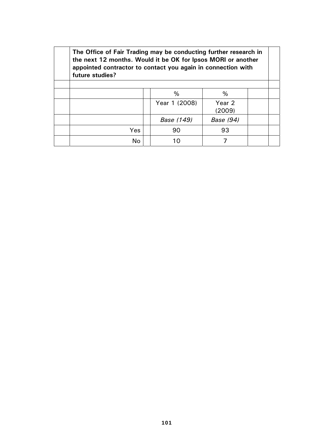| future studies? | The Office of Fair Trading may be conducting further research in<br>the next 12 months. Would it be OK for Ipsos MORI or another<br>appointed contractor to contact you again in connection with |               |                             |  |  |  |  |  |  |
|-----------------|--------------------------------------------------------------------------------------------------------------------------------------------------------------------------------------------------|---------------|-----------------------------|--|--|--|--|--|--|
|                 |                                                                                                                                                                                                  |               |                             |  |  |  |  |  |  |
|                 |                                                                                                                                                                                                  | %             | %                           |  |  |  |  |  |  |
|                 |                                                                                                                                                                                                  | Year 1 (2008) | Year <sub>2</sub><br>(2009) |  |  |  |  |  |  |
|                 |                                                                                                                                                                                                  | Base (149)    | Base (94)                   |  |  |  |  |  |  |
| Yes             |                                                                                                                                                                                                  | 90            | 93                          |  |  |  |  |  |  |
| No.             |                                                                                                                                                                                                  |               |                             |  |  |  |  |  |  |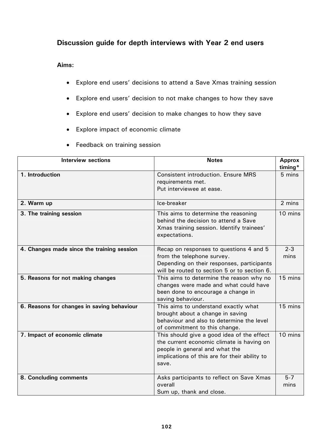## **Discussion guide for depth interviews with Year 2 end users**

**Aims:** 

- Explore end users' decisions to attend a Save Xmas training session
- Explore end users' decision to not make changes to how they save
- Explore end users' decision to make changes to how they save
- Explore impact of economic climate
- Feedback on training session

| <b>Interview sections</b>                  | <b>Notes</b>                                                                                                                                                                        | <b>Approx</b><br>timing* |
|--------------------------------------------|-------------------------------------------------------------------------------------------------------------------------------------------------------------------------------------|--------------------------|
| 1. Introduction                            | <b>Consistent introduction. Ensure MRS</b><br>requirements met.<br>Put interviewee at ease.                                                                                         | 5 mins                   |
| 2. Warm up                                 | Ice-breaker                                                                                                                                                                         | 2 mins                   |
| 3. The training session                    | This aims to determine the reasoning<br>behind the decision to attend a Save<br>Xmas training session. Identify trainees'<br>expectations.                                          | 10 mins                  |
| 4. Changes made since the training session | Recap on responses to questions 4 and 5<br>from the telephone survey.<br>Depending on their responses, participants<br>will be routed to section 5 or to section 6.                 | $2 - 3$<br>mins          |
| 5. Reasons for not making changes          | This aims to determine the reason why no<br>changes were made and what could have<br>been done to encourage a change in<br>saving behaviour.                                        | 15 mins                  |
| 6. Reasons for changes in saving behaviour | This aims to understand exactly what<br>brought about a change in saving<br>behaviour and also to determine the level<br>of commitment to this change.                              | 15 mins                  |
| 7. Impact of economic climate              | This should give a good idea of the effect<br>the current economic climate is having on<br>people in general and what the<br>implications of this are for their ability to<br>save. | 10 mins                  |
| 8. Concluding comments                     | Asks participants to reflect on Save Xmas<br>overall<br>Sum up, thank and close.                                                                                                    | $5 - 7$<br>mins          |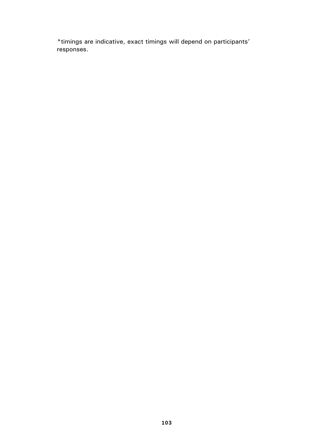\*timings are indicative, exact timings will depend on participants' responses.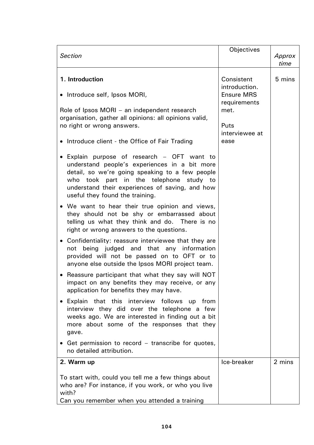| <b>Section</b>                                                                                                                                                                                                                                                                   | Objectives                        | Approx<br>time |
|----------------------------------------------------------------------------------------------------------------------------------------------------------------------------------------------------------------------------------------------------------------------------------|-----------------------------------|----------------|
| 1. Introduction                                                                                                                                                                                                                                                                  | Consistent<br>introduction.       | 5 mins         |
| • Introduce self, Ipsos MORI,                                                                                                                                                                                                                                                    | <b>Ensure MRS</b><br>requirements |                |
| Role of Ipsos MORI – an independent research<br>organisation, gather all opinions: all opinions valid,<br>no right or wrong answers.                                                                                                                                             | met.<br>Puts                      |                |
| • Introduce client - the Office of Fair Trading                                                                                                                                                                                                                                  | interviewee at<br>ease            |                |
| · Explain purpose of research - OFT want to<br>understand people's experiences in a bit more<br>detail, so we're going speaking to a few people<br>who took part in the telephone study to<br>understand their experiences of saving, and how<br>useful they found the training. |                                   |                |
| • We want to hear their true opinion and views,<br>they should not be shy or embarrassed about<br>telling us what they think and do. There is no<br>right or wrong answers to the questions.                                                                                     |                                   |                |
| • Confidentiality: reassure interviewee that they are<br>not being judged and that any information<br>provided will not be passed on to OFT or to<br>anyone else outside the Ipsos MORI project team.                                                                            |                                   |                |
| • Reassure participant that what they say will NOT<br>impact on any benefits they may receive, or any<br>application for benefits they may have.                                                                                                                                 |                                   |                |
| Explain that this interview follows up from<br>interview they did over the telephone a few<br>weeks ago. We are interested in finding out a bit<br>more about some of the responses that they<br>gave.                                                                           |                                   |                |
| • Get permission to record – transcribe for quotes,<br>no detailed attribution.                                                                                                                                                                                                  |                                   |                |
| 2. Warm up                                                                                                                                                                                                                                                                       | Ice-breaker                       | 2 mins         |
| To start with, could you tell me a few things about<br>who are? For instance, if you work, or who you live<br>with?<br>Can you remember when you attended a training                                                                                                             |                                   |                |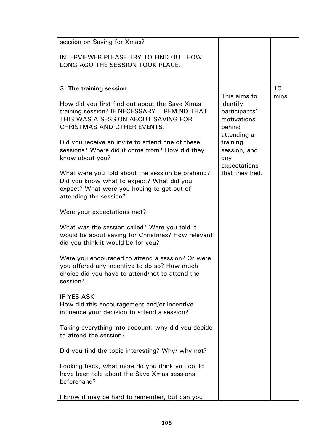| INTERVIEWER PLEASE TRY TO FIND OUT HOW                                                                                                                                                                                                                                                                                                                                                                                                                                                                                                                                                                                                                                                                                                                                                                                                                                                                                                                                                                                                                                                                   |                                                                                                                                                        |            |
|----------------------------------------------------------------------------------------------------------------------------------------------------------------------------------------------------------------------------------------------------------------------------------------------------------------------------------------------------------------------------------------------------------------------------------------------------------------------------------------------------------------------------------------------------------------------------------------------------------------------------------------------------------------------------------------------------------------------------------------------------------------------------------------------------------------------------------------------------------------------------------------------------------------------------------------------------------------------------------------------------------------------------------------------------------------------------------------------------------|--------------------------------------------------------------------------------------------------------------------------------------------------------|------------|
| LONG AGO THE SESSION TOOK PLACE.                                                                                                                                                                                                                                                                                                                                                                                                                                                                                                                                                                                                                                                                                                                                                                                                                                                                                                                                                                                                                                                                         |                                                                                                                                                        |            |
| 3. The training session<br>How did you first find out about the Save Xmas<br>training session? IF NECESSARY - REMIND THAT<br>THIS WAS A SESSION ABOUT SAVING FOR<br>CHRISTMAS AND OTHER EVENTS.<br>Did you receive an invite to attend one of these<br>sessions? Where did it come from? How did they<br>know about you?<br>What were you told about the session beforehand?<br>Did you know what to expect? What did you<br>expect? What were you hoping to get out of<br>attending the session?<br>Were your expectations met?<br>What was the session called? Were you told it<br>would be about saving for Christmas? How relevant<br>did you think it would be for you?<br>Were you encouraged to attend a session? Or were<br>you offered any incentive to do so? How much<br>choice did you have to attend/not to attend the<br>session?<br><b>IF YES ASK</b><br>How did this encouragement and/or incentive<br>influence your decision to attend a session?<br>Taking everything into account, why did you decide<br>to attend the session?<br>Did you find the topic interesting? Why/ why not? | This aims to<br>identify<br>participants'<br>motivations<br>behind<br>attending a<br>training<br>session, and<br>any<br>expectations<br>that they had. | 10<br>mins |
| Looking back, what more do you think you could<br>have been told about the Save Xmas sessions<br>beforehand?<br>I know it may be hard to remember, but can you                                                                                                                                                                                                                                                                                                                                                                                                                                                                                                                                                                                                                                                                                                                                                                                                                                                                                                                                           |                                                                                                                                                        |            |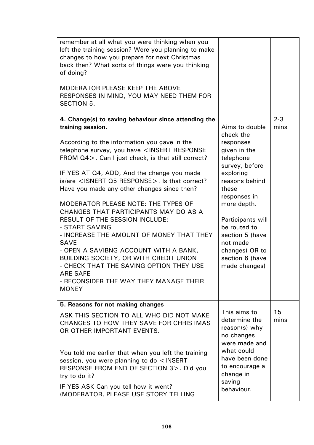| remember at all what you were thinking when you<br>left the training session? Were you planning to make<br>changes to how you prepare for next Christmas<br>back then? What sorts of things were you thinking<br>of doing? |                                                                               |                 |
|----------------------------------------------------------------------------------------------------------------------------------------------------------------------------------------------------------------------------|-------------------------------------------------------------------------------|-----------------|
| <b>MODERATOR PLEASE KEEP THE ABOVE</b><br>RESPONSES IN MIND, YOU MAY NEED THEM FOR<br><b>SECTION 5.</b>                                                                                                                    |                                                                               |                 |
| 4. Change(s) to saving behaviour since attending the<br>training session.                                                                                                                                                  | Aims to double<br>check the                                                   | $2 - 3$<br>mins |
| According to the information you gave in the<br>telephone survey, you have <insert response<br="">FROM Q4&gt;. Can I just check, is that still correct?</insert>                                                           | responses<br>given in the<br>telephone<br>survey, before                      |                 |
| IF YES AT Q4, ADD, And the change you made<br>is/are <isnert q5="" response="">. Is that correct?<br/>Have you made any other changes since then?</isnert>                                                                 | exploring<br>reasons behind<br>these<br>responses in                          |                 |
| MODERATOR PLEASE NOTE: THE TYPES OF<br>CHANGES THAT PARTICIPANTS MAY DO AS A<br>RESULT OF THE SESSION INCLUDE:<br>- START SAVING                                                                                           | more depth.<br>Participants will<br>be routed to                              |                 |
| - INCREASE THE AMOUNT OF MONEY THAT THEY<br><b>SAVE</b><br>- OPEN A SAVIBNG ACCOUNT WITH A BANK,                                                                                                                           | section 5 (have<br>not made<br>changes) OR to                                 |                 |
| BUILDING SOCIETY, OR WITH CREDIT UNION<br>- CHECK THAT THE SAVING OPTION THEY USE<br><b>ARE SAFE</b>                                                                                                                       | section 6 (have<br>made changes)                                              |                 |
| - RECONSIDER THE WAY THEY MANAGE THEIR<br><b>MONEY</b>                                                                                                                                                                     |                                                                               |                 |
| 5. Reasons for not making changes                                                                                                                                                                                          |                                                                               |                 |
| ASK THIS SECTION TO ALL WHO DID NOT MAKE<br>CHANGES TO HOW THEY SAVE FOR CHRISTMAS<br>OR OTHER IMPORTANT EVENTS.                                                                                                           | This aims to<br>determine the<br>reason(s) why<br>no changes<br>were made and | 15<br>mins      |
| You told me earlier that when you left the training<br>session, you were planning to do <insert<br>RESPONSE FROM END OF SECTION 3&gt;. Did you<br/>try to do it?</insert<br>                                               | what could<br>have been done<br>to encourage a<br>change in<br>saving         |                 |
| IF YES ASK Can you tell how it went?<br>(MODERATOR, PLEASE USE STORY TELLING                                                                                                                                               | behaviour.                                                                    |                 |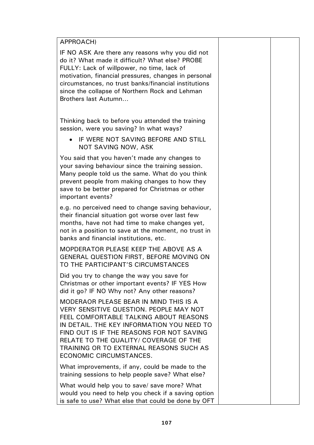APPROACH) IF NO ASK Are there any reasons why you did not do it? What made it difficult? What else? PROBE FULLY: Lack of willpower, no time, lack of motivation, financial pressures, changes in personal circumstances, no trust banks/financial institutions since the collapse of Northern Rock and Lehman Brothers last Autumn… Thinking back to before you attended the training session, were you saving? In what ways? • IF WERE NOT SAVING BEFORE AND STILL NOT SAVING NOW, ASK You said that you haven't made any changes to your saving behaviour since the training session. Many people told us the same. What do you think prevent people from making changes to how they save to be better prepared for Christmas or other important events? e.g. no perceived need to change saving behaviour, their financial situation got worse over last few months, have not had time to make changes yet, not in a position to save at the moment, no trust in banks and financial institutions, etc. MOPDERATOR PLEASE KEEP THE ABOVE AS A GENERAL QUESTION FIRST, BEFORE MOVING ON TO THE PARTICIPANT'S CIRCUMSTANCES Did you try to change the way you save for Christmas or other important events? IF YES How did it go? IF NO Why not? Any other reasons? MODERAOR PLEASE BEAR IN MIND THIS IS A VERY SENSITIVE QUESTION. PEOPLE MAY NOT FEEL COMFORTABLE TALKING ABOUT REASONS IN DETAIL. THE KEY INFORMATION YOU NEED TO FIND OUT IS IF THE REASONS FOR NOT SAVING RELATE TO THE QUALITY/ COVERAGE OF THE TRAINING OR TO EXTERNAL REASONS SUCH AS ECONOMIC CIRCUMSTANCES. What improvements, if any, could be made to the training sessions to help people save? What else? What would help you to save/ save more? What would you need to help you check if a saving option

is safe to use? What else that could be done by OFT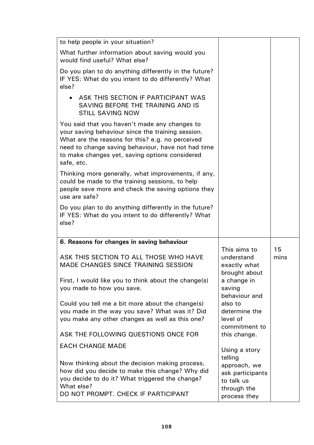| to help people in your situation?                                                                                                                                                                                                                                            |                                                               |            |
|------------------------------------------------------------------------------------------------------------------------------------------------------------------------------------------------------------------------------------------------------------------------------|---------------------------------------------------------------|------------|
| What further information about saving would you<br>would find useful? What else?                                                                                                                                                                                             |                                                               |            |
| Do you plan to do anything differently in the future?<br>IF YES: What do you intent to do differently? What<br>else?                                                                                                                                                         |                                                               |            |
| ASK THIS SECTION IF PARTICIPANT WAS<br>SAVING BEFORE THE TRAINING AND IS<br><b>STILL SAVING NOW</b>                                                                                                                                                                          |                                                               |            |
| You said that you haven't made any changes to<br>your saving behaviour since the training session.<br>What are the reasons for this? e.g. no perceived<br>need to change saving behaviour, have not had time<br>to make changes yet, saving options considered<br>safe, etc. |                                                               |            |
| Thinking more generally, what improvements, if any,<br>could be made to the training sessions, to help<br>people save more and check the saving options they<br>use are safe?                                                                                                |                                                               |            |
| Do you plan to do anything differently in the future?<br>IF YES: What do you intent to do differently? What<br>else?                                                                                                                                                         |                                                               |            |
| 6. Reasons for changes in saving behaviour                                                                                                                                                                                                                                   |                                                               |            |
| ASK THIS SECTION TO ALL THOSE WHO HAVE<br><b>MADE CHANGES SINCE TRAINING SESSION</b>                                                                                                                                                                                         | This aims to<br>understand<br>exactly what<br>brought about   | 15<br>mins |
| First, I would like you to think about the change(s)<br>you made to how you save.                                                                                                                                                                                            | a change in<br>saving<br>behaviour and                        |            |
| Could you tell me a bit more about the change(s)<br>you made in the way you save? What was it? Did<br>you make any other changes as well as this one?                                                                                                                        | also to<br>determine the<br>level of<br>commitment to         |            |
| ASK THE FOLLOWING QUESTIONS ONCE FOR                                                                                                                                                                                                                                         | this change.                                                  |            |
| <b>EACH CHANGE MADE</b>                                                                                                                                                                                                                                                      | Using a story<br>telling                                      |            |
| Now thinking about the decision making process,<br>how did you decide to make this change? Why did<br>you decide to do it? What triggered the change?<br>What else?                                                                                                          | approach, we<br>ask participants<br>to talk us<br>through the |            |
| DO NOT PROMPT. CHECK IF PARTICIPANT                                                                                                                                                                                                                                          | process they                                                  |            |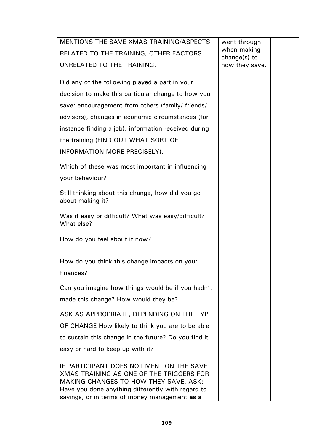| MENTIONS THE SAVE XMAS TRAINING/ASPECTS                                                                                                                                                                                             | went through                   |  |
|-------------------------------------------------------------------------------------------------------------------------------------------------------------------------------------------------------------------------------------|--------------------------------|--|
| RELATED TO THE TRAINING, OTHER FACTORS                                                                                                                                                                                              | when making                    |  |
| UNRELATED TO THE TRAINING.                                                                                                                                                                                                          | change(s) to<br>how they save. |  |
|                                                                                                                                                                                                                                     |                                |  |
| Did any of the following played a part in your                                                                                                                                                                                      |                                |  |
| decision to make this particular change to how you                                                                                                                                                                                  |                                |  |
| save: encouragement from others (family/ friends/                                                                                                                                                                                   |                                |  |
| advisors), changes in economic circumstances (for                                                                                                                                                                                   |                                |  |
| instance finding a job), information received during                                                                                                                                                                                |                                |  |
| the training (FIND OUT WHAT SORT OF                                                                                                                                                                                                 |                                |  |
| INFORMATION MORE PRECISELY).                                                                                                                                                                                                        |                                |  |
| Which of these was most important in influencing                                                                                                                                                                                    |                                |  |
| your behaviour?                                                                                                                                                                                                                     |                                |  |
|                                                                                                                                                                                                                                     |                                |  |
| Still thinking about this change, how did you go<br>about making it?                                                                                                                                                                |                                |  |
| Was it easy or difficult? What was easy/difficult?<br>What else?                                                                                                                                                                    |                                |  |
| How do you feel about it now?                                                                                                                                                                                                       |                                |  |
| How do you think this change impacts on your                                                                                                                                                                                        |                                |  |
| finances?                                                                                                                                                                                                                           |                                |  |
| Can you imagine how things would be if you hadn't                                                                                                                                                                                   |                                |  |
| made this change? How would they be?                                                                                                                                                                                                |                                |  |
| ASK AS APPROPRIATE, DEPENDING ON THE TYPE                                                                                                                                                                                           |                                |  |
| OF CHANGE How likely to think you are to be able                                                                                                                                                                                    |                                |  |
| to sustain this change in the future? Do you find it                                                                                                                                                                                |                                |  |
| easy or hard to keep up with it?                                                                                                                                                                                                    |                                |  |
| IF PARTICIPANT DOES NOT MENTION THE SAVE<br>XMAS TRAINING AS ONE OF THE TRIGGERS FOR<br>MAKING CHANGES TO HOW THEY SAVE, ASK:<br>Have you done anything differently with regard to<br>savings, or in terms of money management as a |                                |  |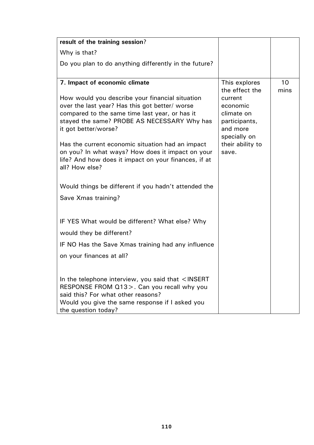| result of the training session?                                                                                                                                                                                            |                                                                                |            |
|----------------------------------------------------------------------------------------------------------------------------------------------------------------------------------------------------------------------------|--------------------------------------------------------------------------------|------------|
| Why is that?                                                                                                                                                                                                               |                                                                                |            |
| Do you plan to do anything differently in the future?                                                                                                                                                                      |                                                                                |            |
|                                                                                                                                                                                                                            |                                                                                |            |
| 7. Impact of economic climate                                                                                                                                                                                              | This explores<br>the effect the                                                | 10<br>mins |
| How would you describe your financial situation<br>over the last year? Has this got better/ worse<br>compared to the same time last year, or has it<br>stayed the same? PROBE AS NECESSARY Why has<br>it got better/worse? | current<br>economic<br>climate on<br>participants,<br>and more<br>specially on |            |
| Has the current economic situation had an impact<br>on you? In what ways? How does it impact on your<br>life? And how does it impact on your finances, if at<br>all? How else?                                             | their ability to<br>save.                                                      |            |
| Would things be different if you hadn't attended the                                                                                                                                                                       |                                                                                |            |
| Save Xmas training?                                                                                                                                                                                                        |                                                                                |            |
| IF YES What would be different? What else? Why<br>would they be different?                                                                                                                                                 |                                                                                |            |
| IF NO Has the Save Xmas training had any influence                                                                                                                                                                         |                                                                                |            |
| on your finances at all?                                                                                                                                                                                                   |                                                                                |            |
| In the telephone interview, you said that $\leq$ INSERT<br>RESPONSE FROM Q13>. Can you recall why you<br>said this? For what other reasons?<br>Would you give the same response if I asked you<br>the question today?      |                                                                                |            |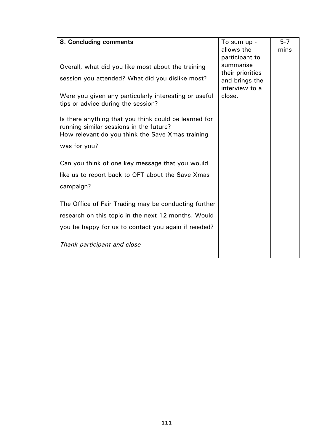| 8. Concluding comments                                | To sum up -      | $5 - 7$ |
|-------------------------------------------------------|------------------|---------|
|                                                       | allows the       | mins    |
|                                                       | participant to   |         |
|                                                       | summarise        |         |
| Overall, what did you like most about the training    | their priorities |         |
| session you attended? What did you dislike most?      | and brings the   |         |
|                                                       | interview to a   |         |
| Were you given any particularly interesting or useful | close.           |         |
| tips or advice during the session?                    |                  |         |
|                                                       |                  |         |
| Is there anything that you think could be learned for |                  |         |
| running similar sessions in the future?               |                  |         |
| How relevant do you think the Save Xmas training      |                  |         |
|                                                       |                  |         |
| was for you?                                          |                  |         |
|                                                       |                  |         |
| Can you think of one key message that you would       |                  |         |
| like us to report back to OFT about the Save Xmas     |                  |         |
| campaign?                                             |                  |         |
|                                                       |                  |         |
|                                                       |                  |         |
| The Office of Fair Trading may be conducting further  |                  |         |
| research on this topic in the next 12 months. Would   |                  |         |
| you be happy for us to contact you again if needed?   |                  |         |
|                                                       |                  |         |
| Thank participant and close                           |                  |         |
|                                                       |                  |         |
|                                                       |                  |         |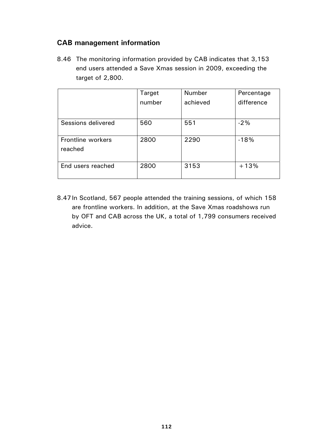## **CAB management information**

8.46 The monitoring information provided by CAB indicates that 3,153 end users attended a Save Xmas session in 2009, exceeding the target of 2,800.

|                              | Target | <b>Number</b> | Percentage |
|------------------------------|--------|---------------|------------|
|                              | number | achieved      | difference |
|                              |        |               |            |
| Sessions delivered           | 560    | 551           | $-2%$      |
| Frontline workers<br>reached | 2800   | 2290          | $-18%$     |
| End users reached            | 2800   | 3153          | $+13%$     |

8.47 In Scotland, 567 people attended the training sessions, of which 158 are frontline workers. In addition, at the Save Xmas roadshows run by OFT and CAB across the UK, a total of 1,799 consumers received advice.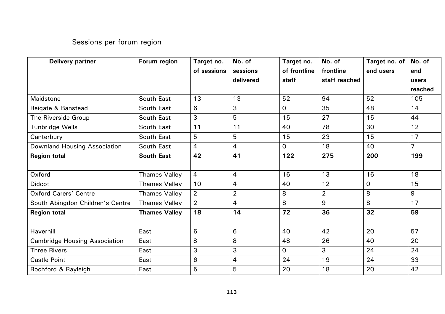## Sessions per forum region

| <b>Delivery partner</b>              | Forum region         | Target no.     | No. of         | Target no.     | No. of         | Target no. of | No. of         |
|--------------------------------------|----------------------|----------------|----------------|----------------|----------------|---------------|----------------|
|                                      |                      | of sessions    | sessions       | of frontline   | frontline      | end users     | end            |
|                                      |                      |                | delivered      | staff          | staff reached  |               | users          |
|                                      |                      |                |                |                |                |               | reached        |
| Maidstone                            | South East           | 13             | 13             | 52             | 94             | 52            | 105            |
| Reigate & Banstead                   | South East           | 6              | 3              | $\mathsf{O}$   | 35             | 48            | 14             |
| The Riverside Group                  | South East           | 3              | 5              | 15             | 27             | 15            | 44             |
| <b>Tunbridge Wells</b>               | South East           | 11             | 11             | 40             | 78             | 30            | 12             |
| Canterbury                           | South East           | 5              | 5              | 15             | 23             | 15            | 17             |
| <b>Downland Housing Association</b>  | South East           | $\overline{4}$ | $\overline{4}$ | $\overline{0}$ | 18             | 40            | $\overline{7}$ |
| <b>Region total</b>                  | <b>South East</b>    | 42             | 41             | 122            | 275            | 200           | 199            |
|                                      |                      |                |                |                |                |               |                |
| Oxford                               | <b>Thames Valley</b> | $\overline{4}$ | $\overline{4}$ | 16             | 13             | 16            | 18             |
| <b>Didcot</b>                        | <b>Thames Valley</b> | 10             | $\overline{4}$ | 40             | 12             | 0             | 15             |
| <b>Oxford Carers' Centre</b>         | <b>Thames Valley</b> | $\overline{2}$ | $\overline{2}$ | 8              | $\overline{2}$ | 8             | 9              |
| South Abingdon Children's Centre     | <b>Thames Valley</b> | $\overline{2}$ | $\overline{4}$ | 8              | 9              | 8             | 17             |
| <b>Region total</b>                  | <b>Thames Valley</b> | 18             | 14             | 72             | 36             | 32            | 59             |
|                                      |                      |                |                |                |                |               |                |
| Haverhill                            | East                 | 6              | 6              | 40             | 42             | 20            | 57             |
| <b>Cambridge Housing Association</b> | East                 | 8              | 8              | 48             | 26             | 40            | 20             |
| <b>Three Rivers</b>                  | East                 | 3              | 3              | $\overline{O}$ | 3              | 24            | 24             |
| <b>Castle Point</b>                  | East                 | 6              | $\overline{4}$ | 24             | 19             | 24            | 33             |
| Rochford & Rayleigh                  | East                 | 5              | 5              | 20             | 18             | 20            | 42             |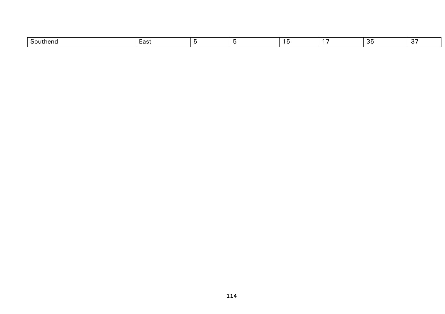| $\sim$<br>- AUTP 1<br>וסווט | וים ב−<br>Laɔเ |  |  | $\sim$<br>. | - - |
|-----------------------------|----------------|--|--|-------------|-----|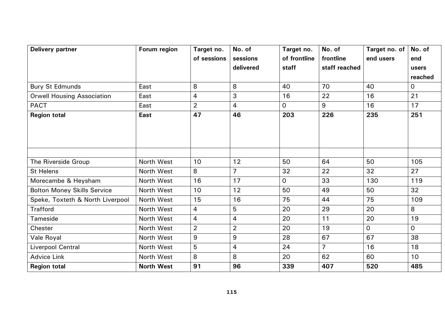| <b>Delivery partner</b>            | Forum region      | Target no.<br>of sessions | No. of<br>sessions<br>delivered | Target no.<br>of frontline<br>staff | No. of<br>frontline<br>staff reached | Target no. of $ $<br>end users | No. of<br>end<br>users<br>reached |
|------------------------------------|-------------------|---------------------------|---------------------------------|-------------------------------------|--------------------------------------|--------------------------------|-----------------------------------|
| <b>Bury St Edmunds</b>             | East              | 8                         | 8                               | 40                                  | 70                                   | 40                             | $\mathsf{O}$                      |
| <b>Orwell Housing Association</b>  | East              | 4                         | 3                               | 16                                  | 22                                   | 16                             | 21                                |
| <b>PACT</b>                        | East              | $\overline{2}$            | $\overline{4}$                  | 0                                   | 9                                    | 16                             | 17                                |
| <b>Region total</b>                | <b>East</b>       | 47                        | 46                              | 203                                 | 226                                  | 235                            | 251                               |
| The Riverside Group                | North West        | 10                        | 12                              | 50                                  | 64                                   | 50                             | 105                               |
| <b>St Helens</b>                   | North West        | 8                         | $\overline{7}$                  | 32                                  | 22                                   | 32                             | 27                                |
| Morecambe & Heysham                | North West        | 16                        | 17                              | 0                                   | 33                                   | 130                            | 119                               |
| <b>Bolton Money Skills Service</b> | North West        | 10                        | 12                              | 50                                  | 49                                   | 50                             | 32                                |
| Speke, Toxteth & North Liverpool   | North West        | 15                        | 16                              | 75                                  | 44                                   | 75                             | 109                               |
| <b>Trafford</b>                    | North West        | 4                         | 5                               | 20                                  | 29                                   | 20                             | 8                                 |
| Tameside                           | North West        | $\overline{4}$            | $\overline{4}$                  | 20                                  | 11                                   | 20                             | 19                                |
| Chester                            | North West        | $\overline{2}$            | $\overline{2}$                  | 20                                  | 19                                   | $\overline{O}$                 | $\overline{O}$                    |
| Vale Royal                         | North West        | $\boldsymbol{9}$          | 9                               | 28                                  | 67                                   | 67                             | 38                                |
| <b>Liverpool Central</b>           | North West        | 5                         | $\overline{4}$                  | 24                                  | $\overline{7}$                       | 16                             | 18                                |
| <b>Advice Link</b>                 | North West        | 8                         | 8                               | 20                                  | 62                                   | 60                             | 10                                |
| <b>Region total</b>                | <b>North West</b> | 91                        | 96                              | 339                                 | 407                                  | 520                            | 485                               |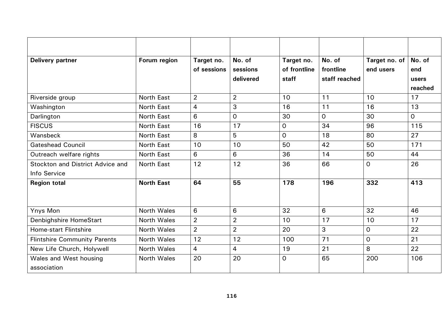| <b>Delivery partner</b>             | Forum region       | Target no.     | No. of         | Target no.     | No. of         | Target no. of  | No. of         |
|-------------------------------------|--------------------|----------------|----------------|----------------|----------------|----------------|----------------|
|                                     |                    | of sessions    | sessions       | of frontline   | frontline      | end users      | end            |
|                                     |                    |                | delivered      | staff          | staff reached  |                | users          |
|                                     |                    |                |                |                |                |                | reached        |
| Riverside group                     | <b>North East</b>  | $\overline{2}$ | $\overline{2}$ | 10             | 11             | 10             | 17             |
| Washington                          | North East         | $\overline{4}$ | 3              | 16             | 11             | 16             | 13             |
| Darlington                          | <b>North East</b>  | 6              | 0              | 30             | $\overline{O}$ | 30             | $\overline{O}$ |
| <b>FISCUS</b>                       | North East         | 16             | 17             | $\mathbf 0$    | 34             | 96             | 115            |
| Wansbeck                            | North East         | 8              | 5              | $\overline{O}$ | 18             | 80             | 27             |
| <b>Gateshead Council</b>            | North East         | 10             | 10             | 50             | 42             | 50             | 171            |
| Outreach welfare rights             | North East         | 6              | 6              | 36             | 14             | 50             | 44             |
| Stockton and District Advice and    | <b>North East</b>  | 12             | 12             | 36             | 66             | $\overline{0}$ | 26             |
| Info Service                        |                    |                |                |                |                |                |                |
| <b>Region total</b>                 | <b>North East</b>  | 64             | 55             | 178            | 196            | 332            | 413            |
|                                     |                    |                |                |                |                |                |                |
| Ynys Mon                            | North Wales        | 6              | 6              | 32             | 6              | 32             | 46             |
| Denbighshire HomeStart              | <b>North Wales</b> | $\overline{2}$ | $\overline{2}$ | 10             | 17             | 10             | 17             |
| <b>Home-start Flintshire</b>        | <b>North Wales</b> | $\overline{2}$ | $\overline{2}$ | 20             | 3              | $\mathsf{O}$   | 22             |
| <b>Flintshire Community Parents</b> | <b>North Wales</b> | 12             | 12             | 100            | 71             | $\overline{O}$ | 21             |
| New Life Church, Holywell           | <b>North Wales</b> | $\overline{4}$ | 4              | 19             | 21             | 8              | 22             |
| Wales and West housing              | <b>North Wales</b> | 20             | 20             | $\mathsf{O}$   | 65             | 200            | 106            |
| association                         |                    |                |                |                |                |                |                |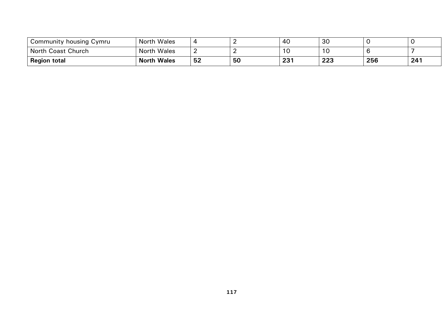| Community housing Cymru | <b>North Wales</b> | 4  |    | -40         | 30  |     |     |
|-------------------------|--------------------|----|----|-------------|-----|-----|-----|
| North Coast Church      | <b>North Wales</b> | -  |    | ں ،         | 10  |     |     |
| <b>Region total</b>     | <b>North Wales</b> | 52 | 50 | າາ1<br>23 I | 223 | 256 | 241 |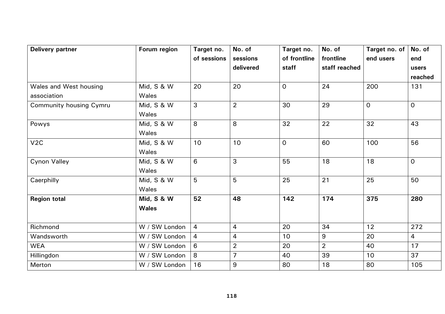| <b>Delivery partner</b>               | Forum region               | Target no.<br>of sessions | No. of<br>sessions<br>delivered | Target no.<br>of frontline<br>staff | No. of<br>frontline<br>staff reached | Target no. of<br>end users | No. of<br>end<br>users<br>reached |
|---------------------------------------|----------------------------|---------------------------|---------------------------------|-------------------------------------|--------------------------------------|----------------------------|-----------------------------------|
| Wales and West housing<br>association | Mid, S & W<br>Wales        | 20                        | 20                              | $\overline{O}$                      | 24                                   | 200                        | 131                               |
| <b>Community housing Cymru</b>        | Mid, S & W<br>Wales        | 3                         | $\overline{2}$                  | 30                                  | 29                                   | $\overline{O}$             | $\overline{0}$                    |
| Powys                                 | Mid, S & W<br>Wales        | 8                         | 8                               | 32                                  | 22                                   | 32                         | 43                                |
| V2C                                   | Mid, S & W<br>Wales        | 10                        | 10                              | $\overline{O}$                      | 60                                   | 100                        | 56                                |
| <b>Cynon Valley</b>                   | Mid, S & W<br>Wales        | $\,6\,$                   | 3                               | 55                                  | 18                                   | 18                         | $\overline{0}$                    |
| Caerphilly                            | Mid, S & W<br>Wales        | 5                         | 5                               | 25                                  | 21                                   | 25                         | 50                                |
| <b>Region total</b>                   | Mid, S & W<br><b>Wales</b> | 52                        | 48                              | 142                                 | 174                                  | 375                        | 280                               |
| Richmond                              | W / SW London              | $\overline{4}$            | $\overline{4}$                  | 20                                  | 34                                   | 12                         | 272                               |
| Wandsworth                            | W / SW London              | $\overline{4}$            | 4                               | 10                                  | 9                                    | 20                         | $\overline{4}$                    |
| <b>WEA</b>                            | W / SW London              | 6                         | $\overline{2}$                  | 20                                  | $\overline{2}$                       | 40                         | 17                                |
| Hillingdon                            | W / SW London              | 8                         | $\overline{7}$                  | 40                                  | 39                                   | 10                         | 37                                |
| Merton                                | W / SW London              | 16                        | $9$                             | 80                                  | 18                                   | 80                         | 105                               |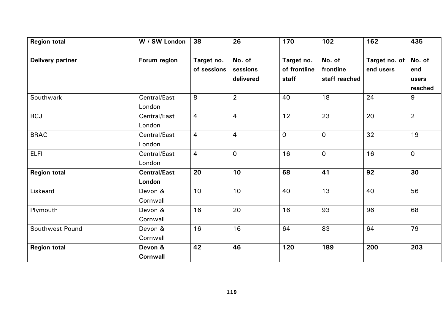| <b>Region total</b> | W / SW London                 | 38                        | 26                              | 170                                 | 102                                  | 162                        | 435                               |
|---------------------|-------------------------------|---------------------------|---------------------------------|-------------------------------------|--------------------------------------|----------------------------|-----------------------------------|
| Delivery partner    | Forum region                  | Target no.<br>of sessions | No. of<br>sessions<br>delivered | Target no.<br>of frontline<br>staff | No. of<br>frontline<br>staff reached | Target no. of<br>end users | No. of<br>end<br>users<br>reached |
| Southwark           | Central/East<br>London        | 8                         | $\overline{2}$                  | 40                                  | 18                                   | 24                         | 9                                 |
| <b>RCJ</b>          | Central/East<br>London        | $\overline{4}$            | $\overline{4}$                  | 12                                  | 23                                   | 20                         | $\overline{2}$                    |
| <b>BRAC</b>         | Central/East<br>London        | $\overline{4}$            | $\overline{4}$                  | $\overline{O}$                      | $\mathsf{O}$                         | 32                         | 19                                |
| <b>ELFI</b>         | Central/East<br>London        | $\overline{4}$            | $\mathsf{O}$                    | 16                                  | $\overline{0}$                       | 16                         | $\overline{0}$                    |
| <b>Region total</b> | <b>Central/East</b><br>London | 20                        | 10                              | 68                                  | 41                                   | 92                         | 30                                |
| Liskeard            | Devon &<br>Cornwall           | 10                        | 10                              | 40                                  | 13                                   | 40                         | 56                                |
| Plymouth            | Devon &<br>Cornwall           | 16                        | 20                              | 16                                  | 93                                   | 96                         | 68                                |
| Southwest Pound     | Devon &<br>Cornwall           | 16                        | 16                              | 64                                  | 83                                   | 64                         | 79                                |
| <b>Region total</b> | Devon &<br><b>Cornwall</b>    | 42                        | 46                              | 120                                 | 189                                  | 200                        | 203                               |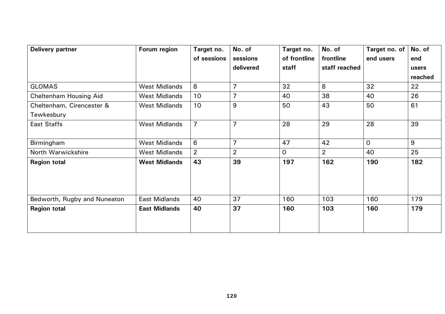| <b>Delivery partner</b>      | Forum region         | Target no.     | No. of         | Target no.     | No. of         | Target no. of | No. of  |
|------------------------------|----------------------|----------------|----------------|----------------|----------------|---------------|---------|
|                              |                      | of sessions    | sessions       | of frontline   | frontline      | end users     | end     |
|                              |                      |                | delivered      | staff          | staff reached  |               | users   |
|                              |                      |                |                |                |                |               | reached |
| <b>GLOMAS</b>                | <b>West Midlands</b> | 8              | $\overline{7}$ | 32             | 8              | 32            | 22      |
| Cheltenham Housing Aid       | <b>West Midlands</b> | 10             | $\overline{7}$ | 40             | 38             | 40            | 26      |
| Cheltenham, Cirencester &    | <b>West Midlands</b> | 10             | 9              | 50             | 43             | 50            | 61      |
| Tewkesbury                   |                      |                |                |                |                |               |         |
| East Staffs                  | <b>West Midlands</b> | $\overline{7}$ | $\overline{7}$ | 28             | 29             | 28            | 39      |
|                              |                      |                |                |                |                |               |         |
| Birmingham                   | <b>West Midlands</b> | 6              | $\overline{7}$ | 47             | 42             | $\Omega$      | 9       |
| North Warwickshire           | <b>West Midlands</b> | $\overline{2}$ | $\overline{2}$ | $\overline{O}$ | $\overline{2}$ | 40            | 25      |
| <b>Region total</b>          | <b>West Midlands</b> | 43             | 39             | 197            | 162            | 190           | 182     |
|                              |                      |                |                |                |                |               |         |
|                              |                      |                |                |                |                |               |         |
|                              |                      |                |                |                |                |               |         |
| Bedworth, Rugby and Nuneaton | <b>East Midlands</b> | 40             | 37             | 160            | 103            | 160           | 179     |
| <b>Region total</b>          | <b>East Midlands</b> | 40             | 37             | 160            | 103            | 160           | 179     |
|                              |                      |                |                |                |                |               |         |
|                              |                      |                |                |                |                |               |         |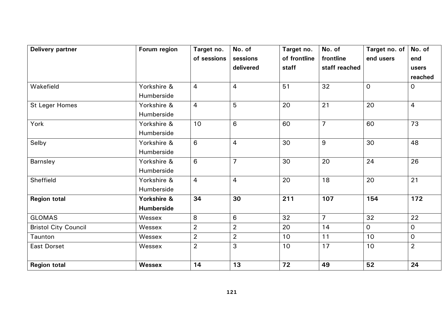| <b>Delivery partner</b>     | Forum region      | Target no.     | No. of         | Target no.   | No. of         | Target no. of  | No. of         |
|-----------------------------|-------------------|----------------|----------------|--------------|----------------|----------------|----------------|
|                             |                   | of sessions    | sessions       | of frontline | frontline      | end users      | end            |
|                             |                   |                | delivered      | staff        | staff reached  |                | users          |
|                             |                   |                |                |              |                |                | reached        |
| Wakefield                   | Yorkshire &       | $\overline{4}$ | $\overline{4}$ | 51           | 32             | $\overline{O}$ | $\overline{O}$ |
|                             | Humberside        |                |                |              |                |                |                |
| <b>St Leger Homes</b>       | Yorkshire &       | 4              | 5              | 20           | 21             | 20             | $\overline{4}$ |
|                             | Humberside        |                |                |              |                |                |                |
| York                        | Yorkshire &       | 10             | 6              | 60           | $\overline{7}$ | 60             | 73             |
|                             | Humberside        |                |                |              |                |                |                |
| Selby                       | Yorkshire &       | 6              | $\overline{4}$ | 30           | 9              | 30             | 48             |
|                             | Humberside        |                |                |              |                |                |                |
| Barnsley                    | Yorkshire &       | 6              | $\overline{7}$ | 30           | 20             | 24             | 26             |
|                             | Humberside        |                |                |              |                |                |                |
| Sheffield                   | Yorkshire &       | 4              | $\overline{4}$ | 20           | 18             | 20             | 21             |
|                             | Humberside        |                |                |              |                |                |                |
| <b>Region total</b>         | Yorkshire &       | 34             | 30             | 211          | 107            | 154            | 172            |
|                             | <b>Humberside</b> |                |                |              |                |                |                |
| <b>GLOMAS</b>               | Wessex            | 8              | 6              | 32           | $\overline{7}$ | 32             | 22             |
| <b>Bristol City Council</b> | Wessex            | $\overline{2}$ | $\overline{2}$ | 20           | 14             | $\overline{O}$ | $\overline{O}$ |
| Taunton                     | Wessex            | $\overline{2}$ | $\overline{2}$ | 10           | 11             | 10             | $\overline{O}$ |
| <b>East Dorset</b>          | Wessex            | $\overline{2}$ | 3              | 10           | 17             | 10             | $\overline{2}$ |
| <b>Region total</b>         | <b>Wessex</b>     | 14             | 13             | 72           | 49             | 52             | 24             |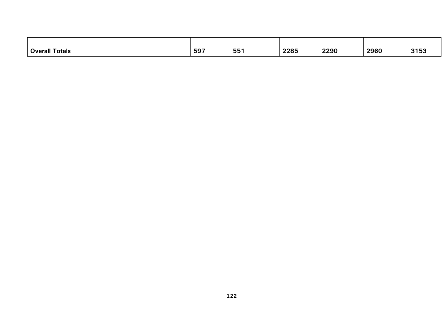| <b>Overall</b><br><b>Totals</b> | EO7<br>່ວວ. | --<br>nh<br>ິບບ | <b>220F</b><br>2205 | 2290 | 2960<br>____ | 3153 |
|---------------------------------|-------------|-----------------|---------------------|------|--------------|------|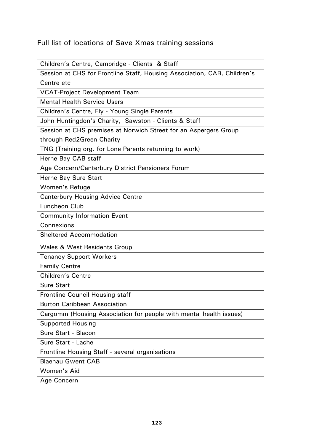## Full list of locations of Save Xmas training sessions

| Children's Centre, Cambridge - Clients & Staff |  |
|------------------------------------------------|--|
|------------------------------------------------|--|

| Session at CHS for Frontline Staff, Housing Association, CAB, Children's |
|--------------------------------------------------------------------------|
| Centre etc                                                               |
| <b>VCAT-Project Development Team</b>                                     |
| <b>Mental Health Service Users</b>                                       |
| Children's Centre, Ely - Young Single Parents                            |
| John Huntingdon's Charity, Sawston - Clients & Staff                     |
| Session at CHS premises at Norwich Street for an Aspergers Group         |
| through Red2Green Charity                                                |
| TNG (Training org. for Lone Parents returning to work)                   |
| Herne Bay CAB staff                                                      |
| Age Concern/Canterbury District Pensioners Forum                         |
| Herne Bay Sure Start                                                     |
| Women's Refuge                                                           |
| <b>Canterbury Housing Advice Centre</b>                                  |
| Luncheon Club                                                            |
| <b>Community Information Event</b>                                       |
| Connexions                                                               |
| <b>Sheltered Accommodation</b>                                           |
| <b>Wales &amp; West Residents Group</b>                                  |
| <b>Tenancy Support Workers</b>                                           |
| <b>Family Centre</b>                                                     |
| <b>Children's Centre</b>                                                 |
| <b>Sure Start</b>                                                        |
| <b>Frontline Council Housing staff</b>                                   |
| <b>Burton Caribbean Association</b>                                      |
| Cargomm (Housing Association for people with mental health issues)       |
| <b>Supported Housing</b>                                                 |
| Sure Start - Blacon                                                      |
| Sure Start - Lache                                                       |
| Frontline Housing Staff - several organisations                          |
| <b>Blaenau Gwent CAB</b>                                                 |
| Women's Aid                                                              |
| Age Concern                                                              |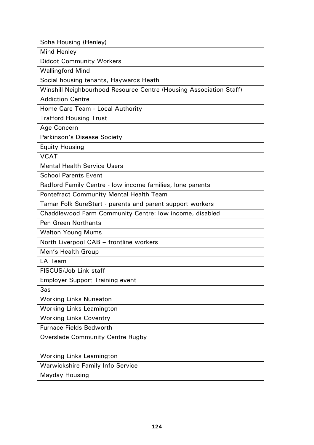Soha Housing (Henley)

Mind Henley

Didcot Community Workers

Wallingford Mind

Social housing tenants, Haywards Heath

Winshill Neighbourhood Resource Centre (Housing Association Staff)

Addiction Centre

Home Care Team - Local Authority

Trafford Housing Trust

Age Concern

Parkinson's Disease Society

Equity Housing

VCAT

Mental Health Service Users

School Parents Event

Radford Family Centre - low income families, lone parents

Pontefract Community Mental Health Team

Tamar Folk SureStart - parents and parent support workers

Chaddlewood Farm Community Centre: low income, disabled

Pen Green Northants

Walton Young Mums

North Liverpool CAB – frontline workers

Men's Health Group

LA Team

FISCUS/Job Link staff

Employer Support Training event

3as

Working Links Nuneaton

Working Links Leamington

Working Links Coventry

Furnace Fields Bedworth

Overslade Community Centre Rugby

Working Links Leamington

Warwickshire Family Info Service

Mayday Housing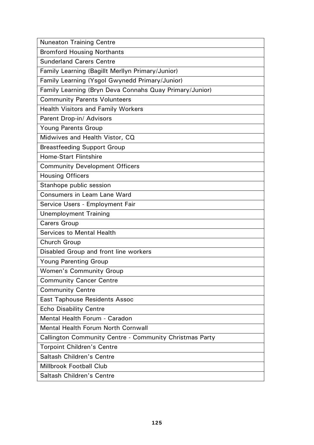| <b>Nuneaton Training Centre</b>                                |
|----------------------------------------------------------------|
| <b>Bromford Housing Northants</b>                              |
| <b>Sunderland Carers Centre</b>                                |
| Family Learning (Bagillt Merllyn Primary/Junior)               |
| Family Learning (Ysgol Gwynedd Primary/Junior)                 |
| Family Learning (Bryn Deva Connahs Quay Primary/Junior)        |
| <b>Community Parents Volunteers</b>                            |
| <b>Health Visitors and Family Workers</b>                      |
| Parent Drop-in/ Advisors                                       |
| <b>Young Parents Group</b>                                     |
| Midwives and Health Vistor, CQ                                 |
| <b>Breastfeeding Support Group</b>                             |
| <b>Home-Start Flintshire</b>                                   |
| <b>Community Development Officers</b>                          |
| <b>Housing Officers</b>                                        |
| Stanhope public session                                        |
| <b>Consumers in Leam Lane Ward</b>                             |
| Service Users - Employment Fair                                |
| <b>Unemployment Training</b>                                   |
| <b>Carers Group</b>                                            |
| <b>Services to Mental Health</b>                               |
| Church Group                                                   |
| Disabled Group and front line workers                          |
| <b>Young Parenting Group</b>                                   |
| <b>Women's Community Group</b>                                 |
| <b>Community Cancer Centre</b>                                 |
| <b>Community Centre</b>                                        |
| <b>East Taphouse Residents Assoc</b>                           |
| <b>Echo Disability Centre</b>                                  |
| Mental Health Forum - Caradon                                  |
| <b>Mental Health Forum North Cornwall</b>                      |
| <b>Callington Community Centre - Community Christmas Party</b> |
| <b>Torpoint Children's Centre</b>                              |
| <b>Saltash Children's Centre</b>                               |
| <b>Millbrook Football Club</b>                                 |
| <b>Saltash Children's Centre</b>                               |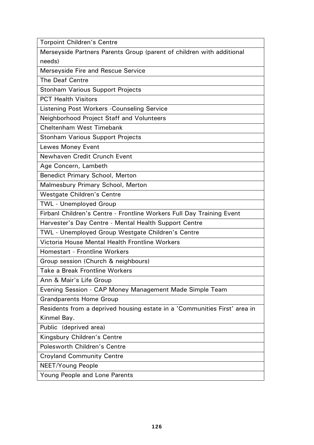Torpoint Children's Centre

Merseyside Partners Parents Group (parent of children with additional needs)

Merseyside Fire and Rescue Service

The Deaf Centre

Stonham Various Support Projects

PCT Health Visitors

Listening Post Workers -Counseling Service

Neighborhood Project Staff and Volunteers

Cheltenham West Timebank

Stonham Various Support Projects

Lewes Money Event

Newhaven Credit Crunch Event

Age Concern, Lambeth

Benedict Primary School, Merton

Malmesbury Primary School, Merton

Westgate Children's Centre

TWL - Unemployed Group

Firbanl Children's Centre - Frontline Workers Full Day Training Event

Harvester's Day Centre - Mental Health Support Centre

TWL - Unemployed Group Westgate Children's Centre

Victoria House Mental Health Frontline Workers

Homestart - Frontline Workers

Group session (Church & neighbours)

Take a Break Frontline Workers

Ann & Mair's Life Group

Evening Session - CAP Money Management Made Simple Team

Grandparents Home Group

Residents from a deprived housing estate in a 'Communities First' area in Kinmel Bay.

Public (deprived area)

Kingsbury Children's Centre

Polesworth Children's Centre

Croyland Community Centre

NEET/Young People

Young People and Lone Parents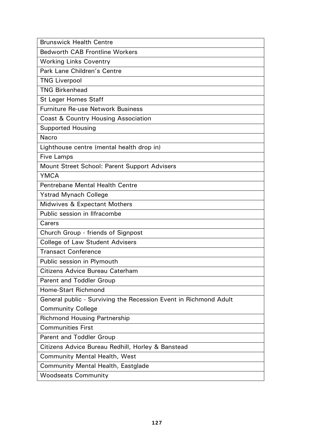| <b>Brunswick Health Centre</b>                                   |
|------------------------------------------------------------------|
| <b>Bedworth CAB Frontline Workers</b>                            |
| <b>Working Links Coventry</b>                                    |
| Park Lane Children's Centre                                      |
| <b>TNG Liverpool</b>                                             |
| <b>TNG Birkenhead</b>                                            |
| <b>St Leger Homes Staff</b>                                      |
| <b>Furniture Re-use Network Business</b>                         |
| Coast & Country Housing Association                              |
| <b>Supported Housing</b>                                         |
| Nacro                                                            |
| Lighthouse centre (mental health drop in)                        |
| <b>Five Lamps</b>                                                |
| Mount Street School: Parent Support Advisers                     |
| <b>YMCA</b>                                                      |
| <b>Pentrebane Mental Health Centre</b>                           |
| <b>Ystrad Mynach College</b>                                     |
| <b>Midwives &amp; Expectant Mothers</b>                          |
| Public session in Ilfracombe                                     |
| Carers                                                           |
| Church Group - friends of Signpost                               |
| <b>College of Law Student Advisers</b>                           |
| <b>Transact Conference</b>                                       |
| Public session in Plymouth                                       |
| Citizens Advice Bureau Caterham                                  |
| <b>Parent and Toddler Group</b>                                  |
| Home-Start Richmond                                              |
| General public - Surviving the Recession Event in Richmond Adult |
| <b>Community College</b>                                         |
| <b>Richmond Housing Partnership</b>                              |
| <b>Communities First</b>                                         |
| <b>Parent and Toddler Group</b>                                  |
| Citizens Advice Bureau Redhill, Horley & Banstead                |
| <b>Community Mental Health, West</b>                             |
| Community Mental Health, Eastglade                               |
| <b>Woodseats Community</b>                                       |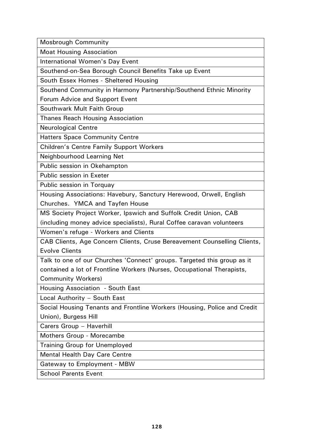Mosbrough Community

Moat Housing Association

International Women's Day Event

Southend-on-Sea Borough Council Benefits Take up Event

South Essex Homes - Sheltered Housing

Southend Community in Harmony Partnership/Southend Ethnic Minority

Forum Advice and Support Event

Southwark Mult Faith Group

Thanes Reach Housing Association

Neurological Centre

Hatters Space Community Centre

Children's Centre Family Support Workers

Neighbourhood Learning Net

Public session in Okehampton

Public session in Exeter

Public session in Torquay

Housing Associations: Havebury, Sanctury Herewood, Orwell, English Churches. YMCA and Tayfen House

MS Society Project Worker, Ipswich and Suffolk Credit Union, CAB

(including money advice specialists), Rural Coffee caravan volunteers

Women's refuge - Workers and Clients

CAB Clients, Age Concern Clients, Cruse Bereavement Counselling Clients, Evolve Clients

Talk to one of our Churches 'Connect' groups. Targeted this group as it contained a lot of Frontline Workers (Nurses, Occupational Therapists, Community Workers)

Housing Association - South East

Local Authority – South East

Social Housing Tenants and Frontline Workers (Housing, Police and Credit Union), Burgess Hill

Carers Group – Haverhill

Mothers Group - Morecambe

Training Group for Unemployed

Mental Health Day Care Centre

Gateway to Employment - MBW

School Parents Event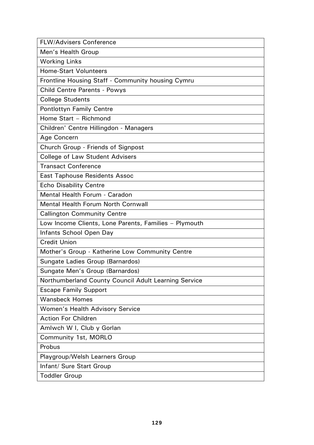FLW/Advisers Conference

Men's Health Group

Working Links

Home-Start Volunteers

Frontline Housing Staff - Community housing Cymru

Child Centre Parents - Powys

College Students

Pontlottyn Family Centre

Home Start – Richmond

Children' Centre Hillingdon - Managers

Age Concern

Church Group - Friends of Signpost

College of Law Student Advisers

Transact Conference

East Taphouse Residents Assoc

Echo Disability Centre

Mental Health Forum - Caradon

Mental Health Forum North Cornwall

Callington Community Centre

Low Income Clients, Lone Parents, Families – Plymouth

Infants School Open Day

Credit Union

Mother's Group - Katherine Low Community Centre

Sungate Ladies Group (Barnardos)

Sungate Men's Group (Barnardos)

Northumberland County Council Adult Learning Service

Escape Family Support

Wansbeck Homes

Women's Health Advisory Service

Action For Children

Amlwch W I, Club y Gorlan

Community 1st, MORLO

Probus

Playgroup/Welsh Learners Group

Infant/ Sure Start Group

Toddler Group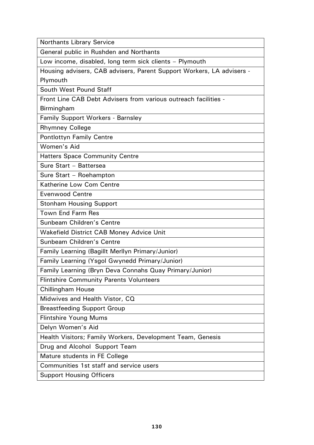Northants Library Service

General public in Rushden and Northants

Low income, disabled, long term sick clients – Plymouth

Housing advisers, CAB advisers, Parent Support Workers, LA advisers - Plymouth

South West Pound Staff

Front Line CAB Debt Advisers from various outreach facilities -

Birmingham

Family Support Workers - Barnsley

Rhymney College

Pontlottyn Family Centre

Women's Aid

Hatters Space Community Centre

Sure Start – Battersea

Sure Start – Roehampton

Katherine Low Com Centre

Evenwood Centre

Stonham Housing Support

Town End Farm Res

Sunbeam Children's Centre

Wakefield District CAB Money Advice Unit

Sunbeam Children's Centre

Family Learning (Bagillt Merllyn Primary/Junior)

Family Learning (Ysgol Gwynedd Primary/Junior)

Family Learning (Bryn Deva Connahs Quay Primary/Junior)

Flintshire Community Parents Volunteers

Chillingham House

Midwives and Health Vistor, CQ

Breastfeeding Support Group

Flintshire Young Mums

Delyn Women's Aid

Health Visitors; Family Workers, Development Team, Genesis

Drug and Alcohol Support Team

Mature students in FE College

Communities 1st staff and service users

Support Housing Officers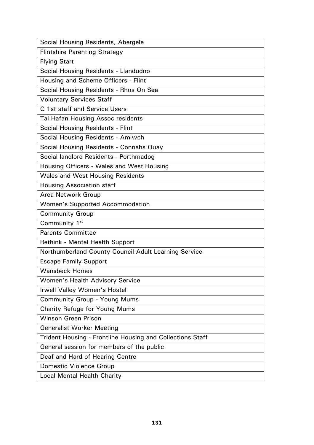| Social Housing Residents, Abergele                        |
|-----------------------------------------------------------|
| <b>Flintshire Parenting Strategy</b>                      |
| <b>Flying Start</b>                                       |
| Social Housing Residents - Llandudno                      |
| Housing and Scheme Officers - Flint                       |
| Social Housing Residents - Rhos On Sea                    |
| <b>Voluntary Services Staff</b>                           |
| C 1st staff and Service Users                             |
| <b>Tai Hafan Housing Assoc residents</b>                  |
| <b>Social Housing Residents - Flint</b>                   |
| Social Housing Residents - Amlwch                         |
| Social Housing Residents - Connahs Quay                   |
| Social landlord Residents - Porthmadog                    |
| Housing Officers - Wales and West Housing                 |
| <b>Wales and West Housing Residents</b>                   |
| <b>Housing Association staff</b>                          |
| Area Network Group                                        |
| <b>Women's Supported Accommodation</b>                    |
| <b>Community Group</b>                                    |
|                                                           |
| Community 1 <sup>st</sup>                                 |
| <b>Parents Committee</b>                                  |
| <b>Rethink - Mental Health Support</b>                    |
| Northumberland County Council Adult Learning Service      |
| <b>Escape Family Support</b>                              |
| <b>Wansbeck Homes</b>                                     |
| <b>Women's Health Advisory Service</b>                    |
| Irwell Valley Women's Hostel                              |
| <b>Community Group - Young Mums</b>                       |
| <b>Charity Refuge for Young Mums</b>                      |
| <b>Winson Green Prison</b>                                |
| <b>Generalist Worker Meeting</b>                          |
| Trident Housing - Frontline Housing and Collections Staff |
| General session for members of the public                 |
| Deaf and Hard of Hearing Centre                           |
| <b>Domestic Violence Group</b>                            |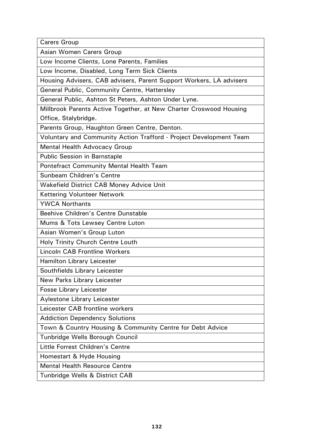Carers Group

Asian Women Carers Group

Low Income Clients, Lone Parents, Families

Low Income, Disabled, Long Term Sick Clients

Housing Advisers, CAB advisers, Parent Support Workers, LA advisers

General Public, Community Centre, Hattersley

General Public, Ashton St Peters, Ashton Under Lyne.

Millbrook Parents Active Together, at New Charter Croswood Housing Office, Stalybridge.

Parents Group, Haughton Green Centre, Denton.

Voluntary and Community Action Trafford - Project Development Team

Mental Health Advocacy Group

Public Session in Barnstaple

Pontefract Community Mental Health Team

Sunbeam Children's Centre

Wakefield District CAB Money Advice Unit

Kettering Volunteer Network

YWCA Northants

Beehive Children's Centre Dunstable

Mums & Tots Lewsey Centre Luton

Asian Women's Group Luton

Holy Trinity Church Centre Louth

Lincoln CAB Frontline Workers

Hamilton Library Leicester

Southfields Library Leicester

New Parks Library Leicester

Fosse Library Leicester

Aylestone Library Leicester

Leicester CAB frontline workers

Addiction Dependency Solutions

Town & Country Housing & Community Centre for Debt Advice

Tunbridge Wells Borough Council

Little Forrest Children's Centre

Homestart & Hyde Housing

Mental Health Resource Centre

Tunbridge Wells & District CAB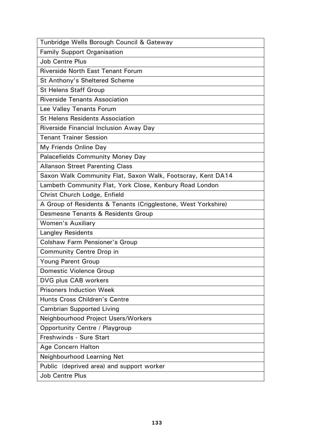Tunbridge Wells Borough Council & Gateway

Family Support Organisation

Job Centre Plus

Riverside North East Tenant Forum

St Anthony's Sheltered Scheme

St Helens Staff Group

Riverside Tenants Association

Lee Valley Tenants Forum

St Helens Residents Association

Riverside Financial Inclusion Away Day

Tenant Trainer Session

My Friends Online Day

Palacefields Community Money Day

Allanson Street Parenting Class

Saxon Walk Community Flat, Saxon Walk, Footscray, Kent DA14

Lambeth Community Flat, York Close, Kenbury Road London

Christ Church Lodge, Enfield

A Group of Residents & Tenants (Crigglestone, West Yorkshire)

Desmesne Tenants & Residents Group

Women's Auxiliary

Langley Residents

Colshaw Farm Pensioner's Group

Community Centre Drop in

Young Parent Group

Domestic Violence Group

DVG plus CAB workers

Prisoners Induction Week

Hunts Cross Children's Centre

Cambrian Supported Living

Neighbourhood Project Users/Workers

Opportunity Centre / Playgroup

Freshwinds - Sure Start

Age Concern Halton

Neighbourhood Learning Net

Public (deprived area) and support worker

Job Centre Plus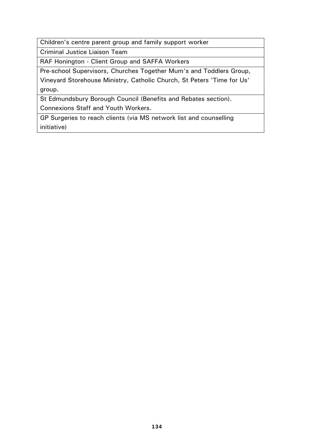Children's centre parent group and family support worker

Criminal Justice Liaison Team

RAF Honington - Client Group and SAFFA Workers

Pre-school Supervisors, Churches Together Mum's and Toddlers Group,

Vineyard Storehouse Ministry, Catholic Church, St Peters 'Time for Us' group.

St Edmundsbury Borough Council (Benefits and Rebates section). Connexions Staff and Youth Workers.

GP Surgeries to reach clients (via MS network list and counselling initiative)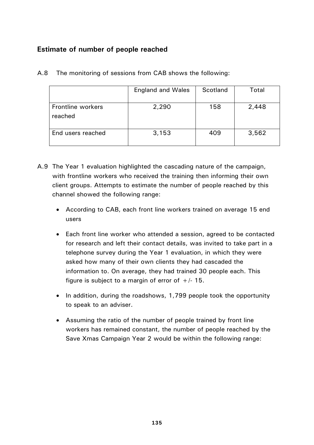## **Estimate of number of people reached**

|                              | <b>England and Wales</b> | Scotland | Total |
|------------------------------|--------------------------|----------|-------|
| Frontline workers<br>reached | 2,290                    | 158      | 2,448 |
| End users reached            | 3,153                    | 409      | 3,562 |

A.8 The monitoring of sessions from CAB shows the following:

- A.9 The Year 1 evaluation highlighted the cascading nature of the campaign, with frontline workers who received the training then informing their own client groups. Attempts to estimate the number of people reached by this channel showed the following range:
	- According to CAB, each front line workers trained on average 15 end users
	- Each front line worker who attended a session, agreed to be contacted for research and left their contact details, was invited to take part in a telephone survey during the Year 1 evaluation, in which they were asked how many of their own clients they had cascaded the information to. On average, they had trained 30 people each. This figure is subject to a margin of error of  $+/- 15$ .
	- In addition, during the roadshows, 1,799 people took the opportunity to speak to an adviser.
	- Assuming the ratio of the number of people trained by front line workers has remained constant, the number of people reached by the Save Xmas Campaign Year 2 would be within the following range: